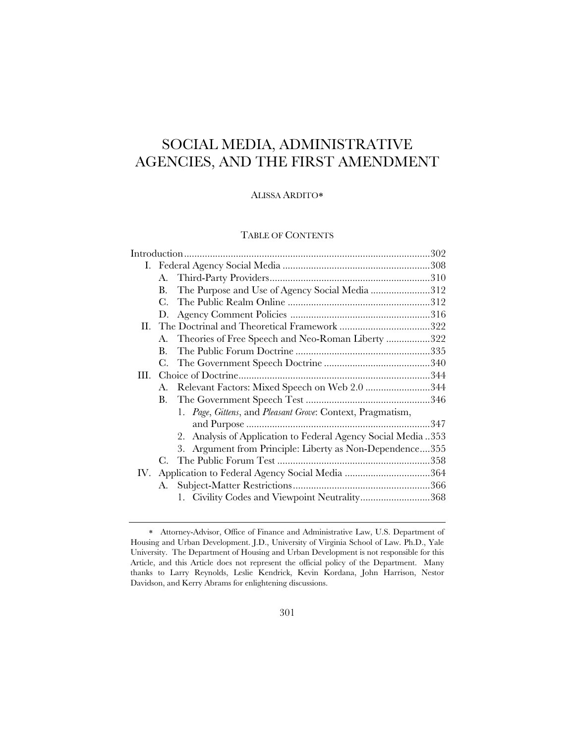# SOCIAL MEDIA, ADMINISTRATIVE AGENCIES, AND THE FIRST AMENDMENT

## ALISSA ARDITO

# TABLE OF CONTENTS

|     | A. |                                                               |  |  |
|-----|----|---------------------------------------------------------------|--|--|
|     | В. | The Purpose and Use of Agency Social Media 312                |  |  |
|     | C. |                                                               |  |  |
|     | D. |                                                               |  |  |
|     |    |                                                               |  |  |
|     | A. | Theories of Free Speech and Neo-Roman Liberty 322             |  |  |
|     | В. |                                                               |  |  |
|     | C. |                                                               |  |  |
| Ш.  |    |                                                               |  |  |
|     | A. | Relevant Factors: Mixed Speech on Web 2.0 344                 |  |  |
|     | В. |                                                               |  |  |
|     |    | 1. Page, Gittens, and Pleasant Grove: Context, Pragmatism,    |  |  |
|     |    |                                                               |  |  |
|     |    | 2. Analysis of Application to Federal Agency Social Media 353 |  |  |
|     |    | 3. Argument from Principle: Liberty as Non-Dependence355      |  |  |
|     |    |                                                               |  |  |
| IV. |    |                                                               |  |  |
|     | А. |                                                               |  |  |
|     |    | 1. Civility Codes and Viewpoint Neutrality368                 |  |  |
|     |    |                                                               |  |  |

Attorney-Advisor, Office of Finance and Administrative Law, U.S. Department of Housing and Urban Development. J.D., University of Virginia School of Law. Ph.D., Yale University. The Department of Housing and Urban Development is not responsible for this Article, and this Article does not represent the official policy of the Department. Many thanks to Larry Reynolds, Leslie Kendrick, Kevin Kordana, John Harrison, Nestor Davidson, and Kerry Abrams for enlightening discussions.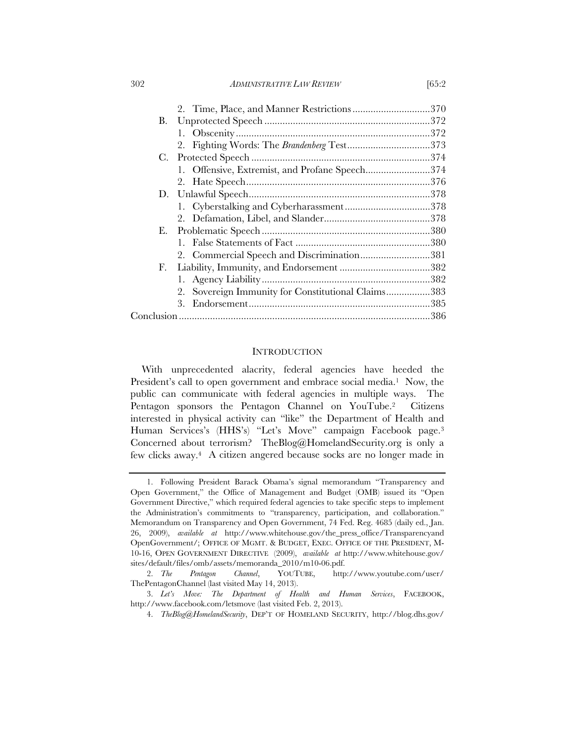302 *ADMINISTRATIVE LAW REVIEW* [65:2

|    | 2. Time, Place, and Manner Restrictions370         |  |
|----|----------------------------------------------------|--|
| В. |                                                    |  |
|    |                                                    |  |
|    |                                                    |  |
|    |                                                    |  |
|    | 1. Offensive, Extremist, and Profane Speech374     |  |
|    |                                                    |  |
|    |                                                    |  |
|    |                                                    |  |
|    |                                                    |  |
| Е. |                                                    |  |
|    |                                                    |  |
|    | 2. Commercial Speech and Discrimination381         |  |
| F. |                                                    |  |
|    |                                                    |  |
|    | 2. Sovereign Immunity for Constitutional Claims383 |  |
|    | 3.                                                 |  |
|    |                                                    |  |
|    |                                                    |  |

### **INTRODUCTION**

With unprecedented alacrity, federal agencies have heeded the President's call to open government and embrace social media.<sup>1</sup> Now, the public can communicate with federal agencies in multiple ways. The Pentagon sponsors the Pentagon Channel on YouTube.2 Citizens interested in physical activity can "like" the Department of Health and Human Services's (HHS's) "Let's Move" campaign Facebook page.3 Concerned about terrorism? TheBlog@HomelandSecurity.org is only a few clicks away.4 A citizen angered because socks are no longer made in

 <sup>1.</sup> Following President Barack Obama's signal memorandum "Transparency and Open Government," the Office of Management and Budget (OMB) issued its "Open Government Directive," which required federal agencies to take specific steps to implement the Administration's commitments to "transparency, participation, and collaboration." Memorandum on Transparency and Open Government, 74 Fed. Reg. 4685 (daily ed., Jan. 26, 2009), *available at* http://www.whitehouse.gov/the\_press\_office/Transparencyand OpenGovernment/; OFFICE OF MGMT. & BUDGET, EXEC. OFFICE OF THE PRESIDENT, M-10-16, OPEN GOVERNMENT DIRECTIVE (2009), *available at* http://www.whitehouse.gov/ sites/default/files/omb/assets/memoranda\_2010/m10-06.pdf.

 <sup>2.</sup> *The Pentagon Channel*, YOUTUBE, http://www.youtube.com/user/ ThePentagonChannel (last visited May 14, 2013).

 <sup>3.</sup> *Let's Move: The Department of Health and Human Services*, FACEBOOK, http://www.facebook.com/letsmove (last visited Feb. 2, 2013).

 <sup>4.</sup> *TheBlog@HomelandSecurity*, DEP'T OF HOMELAND SECURITY, http://blog.dhs.gov/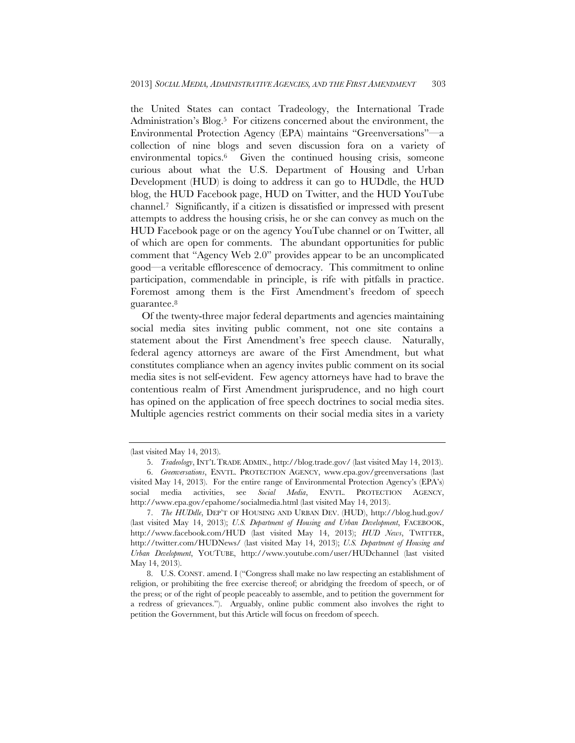the United States can contact Tradeology, the International Trade Administration's Blog.<sup>5</sup> For citizens concerned about the environment, the Environmental Protection Agency (EPA) maintains "Greenversations"—a collection of nine blogs and seven discussion fora on a variety of environmental topics.6 Given the continued housing crisis, someone curious about what the U.S. Department of Housing and Urban Development (HUD) is doing to address it can go to HUDdle, the HUD blog, the HUD Facebook page, HUD on Twitter, and the HUD YouTube channel.7 Significantly, if a citizen is dissatisfied or impressed with present attempts to address the housing crisis, he or she can convey as much on the HUD Facebook page or on the agency YouTube channel or on Twitter, all of which are open for comments. The abundant opportunities for public comment that "Agency Web 2.0" provides appear to be an uncomplicated good—a veritable efflorescence of democracy. This commitment to online participation, commendable in principle, is rife with pitfalls in practice. Foremost among them is the First Amendment's freedom of speech guarantee.8

Of the twenty-three major federal departments and agencies maintaining social media sites inviting public comment, not one site contains a statement about the First Amendment's free speech clause. Naturally, federal agency attorneys are aware of the First Amendment, but what constitutes compliance when an agency invites public comment on its social media sites is not self-evident. Few agency attorneys have had to brave the contentious realm of First Amendment jurisprudence, and no high court has opined on the application of free speech doctrines to social media sites. Multiple agencies restrict comments on their social media sites in a variety

<sup>(</sup>last visited May 14, 2013).

 <sup>5.</sup> *Tradeology*, INT'L TRADE ADMIN., http://blog.trade.gov/ (last visited May 14, 2013).

 <sup>6.</sup> *Greenversations*, ENVTL. PROTECTION AGENCY, www.epa.gov/greenversations (last visited May 14, 2013). For the entire range of Environmental Protection Agency's (EPA's) social media activities, see *Social Media*, ENVTL. PROTECTION AGENCY, http://www.epa.gov/epahome/socialmedia.html (last visited May 14, 2013).

 <sup>7.</sup> *The HUDdle*, DEP'T OF HOUSING AND URBAN DEV. (HUD), http://blog.hud.gov/ (last visited May 14, 2013); *U.S. Department of Housing and Urban Development*, FACEBOOK, http://www.facebook.com/HUD (last visited May 14, 2013); *HUD News*, TWITTER, http://twitter.com/HUDNews/ (last visited May 14, 2013); *U.S. Department of Housing and Urban Development*, YOUTUBE, http://www.youtube.com/user/HUDchannel (last visited May 14, 2013).

 <sup>8.</sup> U.S. CONST. amend. I ("Congress shall make no law respecting an establishment of religion, or prohibiting the free exercise thereof; or abridging the freedom of speech, or of the press; or of the right of people peaceably to assemble, and to petition the government for a redress of grievances."). Arguably, online public comment also involves the right to petition the Government, but this Article will focus on freedom of speech.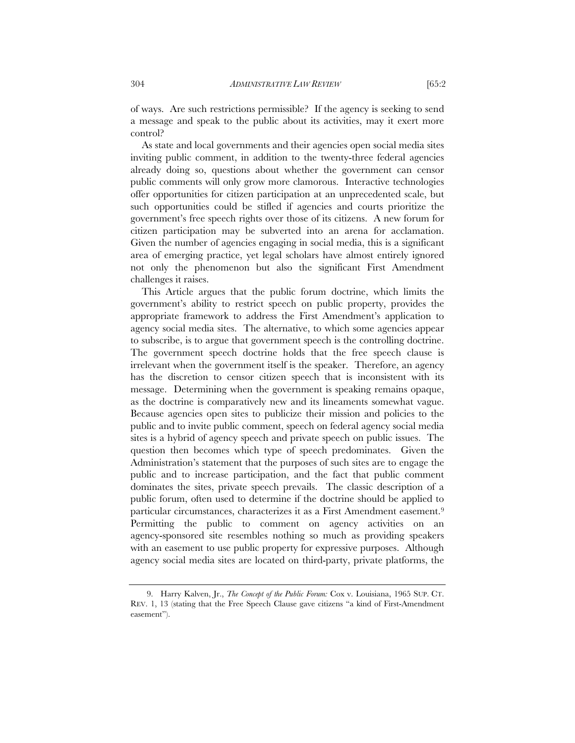control? As state and local governments and their agencies open social media sites inviting public comment, in addition to the twenty-three federal agencies already doing so, questions about whether the government can censor public comments will only grow more clamorous. Interactive technologies offer opportunities for citizen participation at an unprecedented scale, but such opportunities could be stifled if agencies and courts prioritize the government's free speech rights over those of its citizens. A new forum for citizen participation may be subverted into an arena for acclamation. Given the number of agencies engaging in social media, this is a significant area of emerging practice, yet legal scholars have almost entirely ignored not only the phenomenon but also the significant First Amendment challenges it raises.

This Article argues that the public forum doctrine, which limits the government's ability to restrict speech on public property, provides the appropriate framework to address the First Amendment's application to agency social media sites. The alternative, to which some agencies appear to subscribe, is to argue that government speech is the controlling doctrine. The government speech doctrine holds that the free speech clause is irrelevant when the government itself is the speaker. Therefore, an agency has the discretion to censor citizen speech that is inconsistent with its message. Determining when the government is speaking remains opaque, as the doctrine is comparatively new and its lineaments somewhat vague. Because agencies open sites to publicize their mission and policies to the public and to invite public comment, speech on federal agency social media sites is a hybrid of agency speech and private speech on public issues. The question then becomes which type of speech predominates. Given the Administration's statement that the purposes of such sites are to engage the public and to increase participation, and the fact that public comment dominates the sites, private speech prevails. The classic description of a public forum, often used to determine if the doctrine should be applied to particular circumstances, characterizes it as a First Amendment easement.9 Permitting the public to comment on agency activities on an agency-sponsored site resembles nothing so much as providing speakers with an easement to use public property for expressive purposes. Although agency social media sites are located on third-party, private platforms, the

 <sup>9.</sup> Harry Kalven, Jr., *The Concept of the Public Forum:* Cox v. Louisiana, 1965 SUP. CT. REV. 1, 13 (stating that the Free Speech Clause gave citizens "a kind of First-Amendment easement").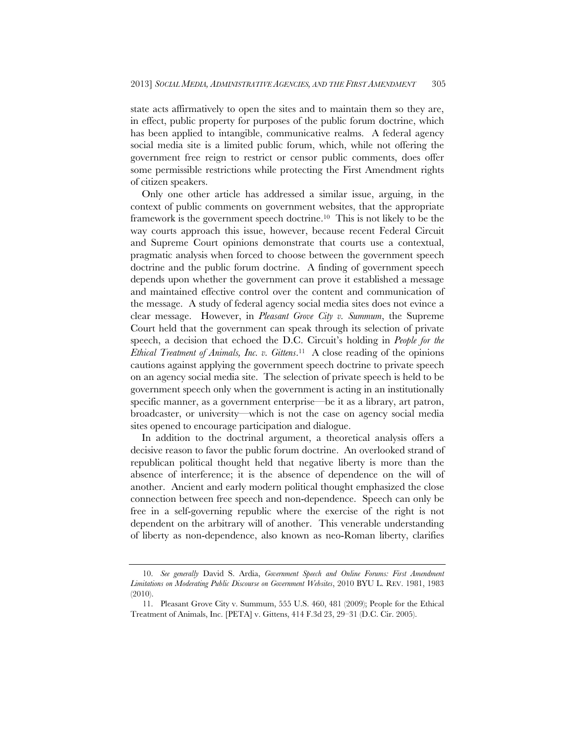state acts affirmatively to open the sites and to maintain them so they are, in effect, public property for purposes of the public forum doctrine, which has been applied to intangible, communicative realms. A federal agency social media site is a limited public forum, which, while not offering the government free reign to restrict or censor public comments, does offer some permissible restrictions while protecting the First Amendment rights of citizen speakers.

Only one other article has addressed a similar issue, arguing, in the context of public comments on government websites, that the appropriate framework is the government speech doctrine.10 This is not likely to be the way courts approach this issue, however, because recent Federal Circuit and Supreme Court opinions demonstrate that courts use a contextual, pragmatic analysis when forced to choose between the government speech doctrine and the public forum doctrine. A finding of government speech depends upon whether the government can prove it established a message and maintained effective control over the content and communication of the message. A study of federal agency social media sites does not evince a clear message. However, in *Pleasant Grove City v. Summum*, the Supreme Court held that the government can speak through its selection of private speech, a decision that echoed the D.C. Circuit's holding in *People for the Ethical Treatment of Animals, Inc. v. Gittens*.11 A close reading of the opinions cautions against applying the government speech doctrine to private speech on an agency social media site. The selection of private speech is held to be government speech only when the government is acting in an institutionally specific manner, as a government enterprise—be it as a library, art patron, broadcaster, or university—which is not the case on agency social media sites opened to encourage participation and dialogue.

In addition to the doctrinal argument, a theoretical analysis offers a decisive reason to favor the public forum doctrine. An overlooked strand of republican political thought held that negative liberty is more than the absence of interference; it is the absence of dependence on the will of another. Ancient and early modern political thought emphasized the close connection between free speech and non-dependence. Speech can only be free in a self-governing republic where the exercise of the right is not dependent on the arbitrary will of another. This venerable understanding of liberty as non-dependence, also known as neo-Roman liberty, clarifies

 <sup>10.</sup> *See generally* David S. Ardia, *Government Speech and Online Forums: First Amendment Limitations on Moderating Public Discourse on Government Websites*, 2010 BYU L. REV. 1981, 1983 (2010).

 <sup>11.</sup> Pleasant Grove City v. Summum, 555 U.S. 460, 481 (2009); People for the Ethical Treatment of Animals, Inc. [PETA] v. Gittens, 414 F.3d 23, 29–31 (D.C. Cir. 2005).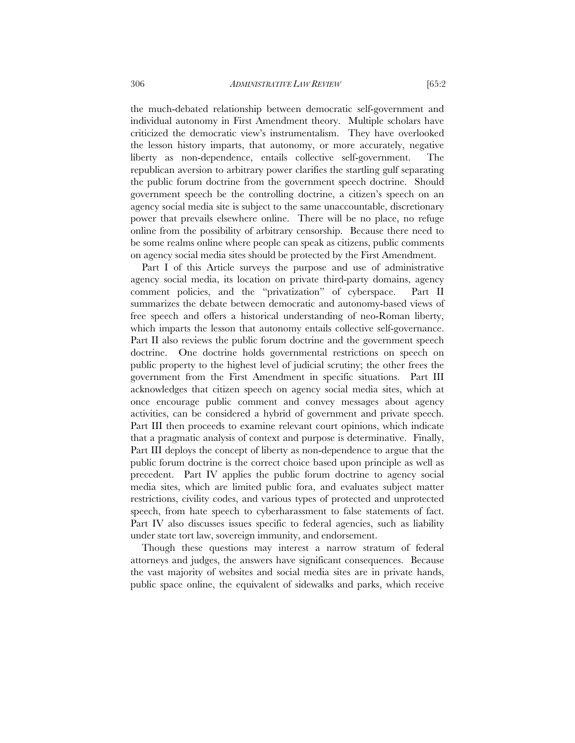the much-debated relationship between democratic self-government and individual autonomy in First Amendment theory. Multiple scholars have criticized the democratic view's instrumentalism. They have overlooked the lesson history imparts, that autonomy, or more accurately, negative liberty as non-dependence, entails collective self-government. The republican aversion to arbitrary power clarifies the startling gulf separating the public forum doctrine from the government speech doctrine. Should government speech be the controlling doctrine, a citizen's speech on an agency social media site is subject to the same unaccountable, discretionary power that prevails elsewhere online. There will be no place, no refuge online from the possibility of arbitrary censorship. Because there need to be some realms online where people can speak as citizens, public comments on agency social media sites should be protected by the First Amendment.

Part I of this Article surveys the purpose and use of administrative agency social media, its location on private third-party domains, agency comment policies, and the "privatization" of cyberspace. Part II summarizes the debate between democratic and autonomy-based views of free speech and offers a historical understanding of neo-Roman liberty, which imparts the lesson that autonomy entails collective self-governance. Part II also reviews the public forum doctrine and the government speech doctrine. One doctrine holds governmental restrictions on speech on public property to the highest level of judicial scrutiny; the other frees the government from the First Amendment in specific situations. Part III acknowledges that citizen speech on agency social media sites, which at once encourage public comment and convey messages about agency activities, can be considered a hybrid of government and private speech. Part III then proceeds to examine relevant court opinions, which indicate that a pragmatic analysis of context and purpose is determinative. Finally, Part III deploys the concept of liberty as non-dependence to argue that the public forum doctrine is the correct choice based upon principle as well as precedent. Part IV applies the public forum doctrine to agency social media sites, which are limited public fora, and evaluates subject matter restrictions, civility codes, and various types of protected and unprotected speech, from hate speech to cyberharassment to false statements of fact. Part IV also discusses issues specific to federal agencies, such as liability under state tort law, sovereign immunity, and endorsement.

Though these questions may interest a narrow stratum of federal attorneys and judges, the answers have significant consequences. Because the vast majority of websites and social media sites are in private hands, public space online, the equivalent of sidewalks and parks, which receive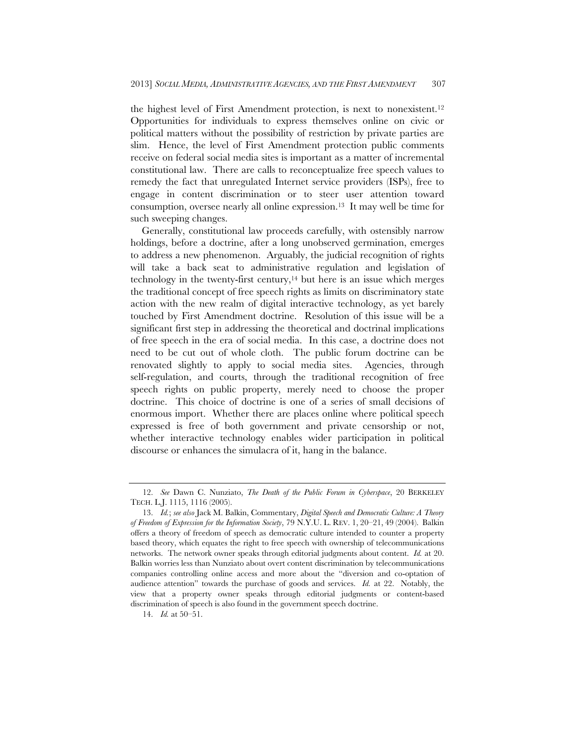the highest level of First Amendment protection, is next to nonexistent.12 Opportunities for individuals to express themselves online on civic or political matters without the possibility of restriction by private parties are slim. Hence, the level of First Amendment protection public comments receive on federal social media sites is important as a matter of incremental constitutional law. There are calls to reconceptualize free speech values to remedy the fact that unregulated Internet service providers (ISPs), free to engage in content discrimination or to steer user attention toward consumption, oversee nearly all online expression.13 It may well be time for such sweeping changes.

Generally, constitutional law proceeds carefully, with ostensibly narrow holdings, before a doctrine, after a long unobserved germination, emerges to address a new phenomenon. Arguably, the judicial recognition of rights will take a back seat to administrative regulation and legislation of technology in the twenty-first century, $14$  but here is an issue which merges the traditional concept of free speech rights as limits on discriminatory state action with the new realm of digital interactive technology, as yet barely touched by First Amendment doctrine. Resolution of this issue will be a significant first step in addressing the theoretical and doctrinal implications of free speech in the era of social media. In this case, a doctrine does not need to be cut out of whole cloth. The public forum doctrine can be renovated slightly to apply to social media sites. Agencies, through self-regulation, and courts, through the traditional recognition of free speech rights on public property, merely need to choose the proper doctrine. This choice of doctrine is one of a series of small decisions of enormous import. Whether there are places online where political speech expressed is free of both government and private censorship or not, whether interactive technology enables wider participation in political discourse or enhances the simulacra of it, hang in the balance.

 <sup>12.</sup> *See* Dawn C. Nunziato, *The Death of the Public Forum in Cyberspace*, 20 BERKELEY TECH. L.J. 1115, 1116 (2005).

 <sup>13.</sup> *Id.*; *see also* Jack M. Balkin, Commentary, *Digital Speech and Democratic Culture: A Theory of Freedom of Expression for the Information Society*, 79 N.Y.U. L. REV. 1, 20–21, 49 (2004). Balkin offers a theory of freedom of speech as democratic culture intended to counter a property based theory, which equates the right to free speech with ownership of telecommunications networks. The network owner speaks through editorial judgments about content. *Id.* at 20. Balkin worries less than Nunziato about overt content discrimination by telecommunications companies controlling online access and more about the "diversion and co-optation of audience attention" towards the purchase of goods and services. *Id.* at 22. Notably, the view that a property owner speaks through editorial judgments or content-based discrimination of speech is also found in the government speech doctrine.

 <sup>14.</sup> *Id.* at 50–51.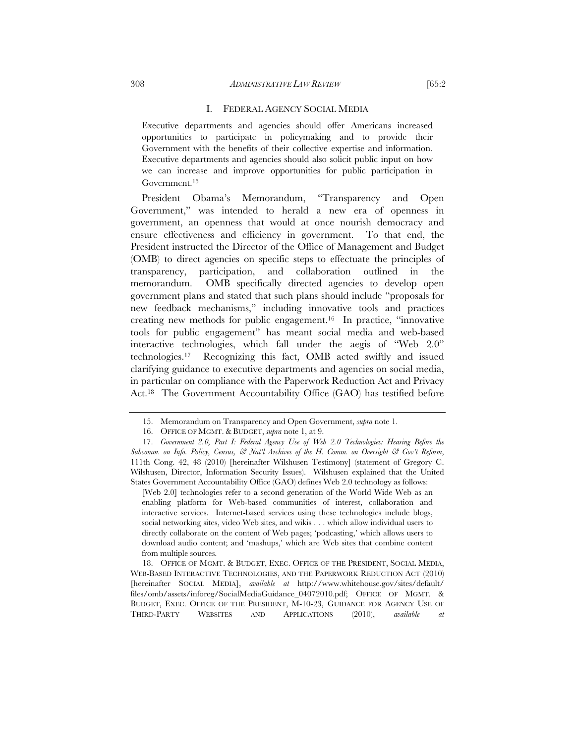#### 308 *ADMINISTRATIVE LAW REVIEW* [65:2

#### I. FEDERAL AGENCY SOCIAL MEDIA

Executive departments and agencies should offer Americans increased opportunities to participate in policymaking and to provide their Government with the benefits of their collective expertise and information. Executive departments and agencies should also solicit public input on how we can increase and improve opportunities for public participation in Government.15

President Obama's Memorandum, "Transparency and Open Government," was intended to herald a new era of openness in government, an openness that would at once nourish democracy and ensure effectiveness and efficiency in government. To that end, the President instructed the Director of the Office of Management and Budget (OMB) to direct agencies on specific steps to effectuate the principles of transparency, participation, and collaboration outlined in the memorandum. OMB specifically directed agencies to develop open government plans and stated that such plans should include "proposals for new feedback mechanisms," including innovative tools and practices creating new methods for public engagement.16 In practice, "innovative tools for public engagement" has meant social media and web-based interactive technologies, which fall under the aegis of "Web 2.0" technologies.17 Recognizing this fact, OMB acted swiftly and issued clarifying guidance to executive departments and agencies on social media, in particular on compliance with the Paperwork Reduction Act and Privacy Act.18 The Government Accountability Office (GAO) has testified before

[Web 2.0] technologies refer to a second generation of the World Wide Web as an enabling platform for Web-based communities of interest, collaboration and interactive services. Internet-based services using these technologies include blogs, social networking sites, video Web sites, and wikis . . . which allow individual users to directly collaborate on the content of Web pages; 'podcasting,' which allows users to download audio content; and 'mashups,' which are Web sites that combine content from multiple sources.

 18. OFFICE OF MGMT. & BUDGET, EXEC. OFFICE OF THE PRESIDENT, SOCIAL MEDIA, WEB-BASED INTERACTIVE TECHNOLOGIES, AND THE PAPERWORK REDUCTION ACT (2010) [hereinafter SOCIAL MEDIA], *available at* http://www.whitehouse.gov/sites/default/ files/omb/assets/inforeg/SocialMediaGuidance\_04072010.pdf; OFFICE OF MGMT. & BUDGET, EXEC. OFFICE OF THE PRESIDENT, M-10-23, GUIDANCE FOR AGENCY USE OF THIRD-PARTY WEBSITES AND APPLICATIONS (2010), *available at*

 <sup>15.</sup> Memorandum on Transparency and Open Government, *supra* note 1.

 <sup>16.</sup> OFFICE OF MGMT. & BUDGET, *supra* note 1, at 9.

 <sup>17.</sup> *Government 2.0, Part I: Federal Agency Use of Web 2.0 Technologies: Hearing Before the Subcomm. on Info. Policy, Census, & Nat'l Archives of the H. Comm. on Oversight & Gov't Reform*, 111th Cong. 42, 48 (2010) [hereinafter Wilshusen Testimony] (statement of Gregory C. Wilshusen, Director, Information Security Issues). Wilshusen explained that the United States Government Accountability Office (GAO) defines Web 2.0 technology as follows: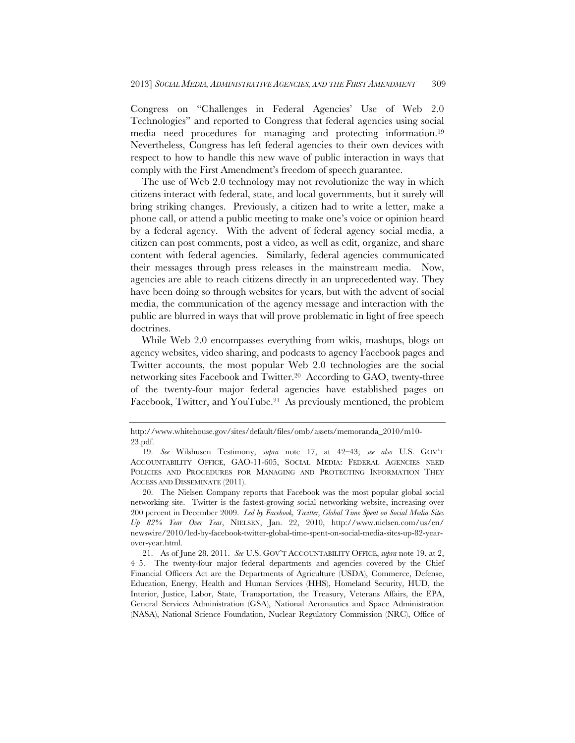Congress on "Challenges in Federal Agencies' Use of Web 2.0 Technologies" and reported to Congress that federal agencies using social media need procedures for managing and protecting information.19 Nevertheless, Congress has left federal agencies to their own devices with respect to how to handle this new wave of public interaction in ways that comply with the First Amendment's freedom of speech guarantee.

The use of Web 2.0 technology may not revolutionize the way in which citizens interact with federal, state, and local governments, but it surely will bring striking changes. Previously, a citizen had to write a letter, make a phone call, or attend a public meeting to make one's voice or opinion heard by a federal agency. With the advent of federal agency social media, a citizen can post comments, post a video, as well as edit, organize, and share content with federal agencies. Similarly, federal agencies communicated their messages through press releases in the mainstream media. Now, agencies are able to reach citizens directly in an unprecedented way. They have been doing so through websites for years, but with the advent of social media, the communication of the agency message and interaction with the public are blurred in ways that will prove problematic in light of free speech doctrines.

While Web 2.0 encompasses everything from wikis, mashups, blogs on agency websites, video sharing, and podcasts to agency Facebook pages and Twitter accounts, the most popular Web 2.0 technologies are the social networking sites Facebook and Twitter.20 According to GAO, twenty-three of the twenty-four major federal agencies have established pages on Facebook, Twitter, and YouTube.21 As previously mentioned, the problem

http://www.whitehouse.gov/sites/default/files/omb/assets/memoranda\_2010/m10- 23.pdf.

 <sup>19.</sup> *See* Wilshusen Testimony, *supra* note 17, at 42–43; *see also* U.S. GOV'T ACCOUNTABILITY OFFICE, GAO-11-605, SOCIAL MEDIA: FEDERAL AGENCIES NEED POLICIES AND PROCEDURES FOR MANAGING AND PROTECTING INFORMATION THEY ACCESS AND DISSEMINATE (2011).

 <sup>20.</sup> The Nielsen Company reports that Facebook was the most popular global social networking site. Twitter is the fastest-growing social networking website, increasing over 200 percent in December 2009. *Led by Facebook, Twitter, Global Time Spent on Social Media Sites Up 82% Year Over Year*, NIELSEN, Jan. 22, 2010, http://www.nielsen.com/us/en/ newswire/2010/led-by-facebook-twitter-global-time-spent-on-social-media-sites-up-82-yearover-year.html.

 <sup>21.</sup> As of June 28, 2011. *See* U.S. GOV'T ACCOUNTABILITY OFFICE, *supra* note 19, at 2, 4–5. The twenty-four major federal departments and agencies covered by the Chief Financial Officers Act are the Departments of Agriculture (USDA), Commerce, Defense, Education, Energy, Health and Human Services (HHS), Homeland Security, HUD, the Interior, Justice, Labor, State, Transportation, the Treasury, Veterans Affairs, the EPA, General Services Administration (GSA), National Aeronautics and Space Administration (NASA), National Science Foundation, Nuclear Regulatory Commission (NRC), Office of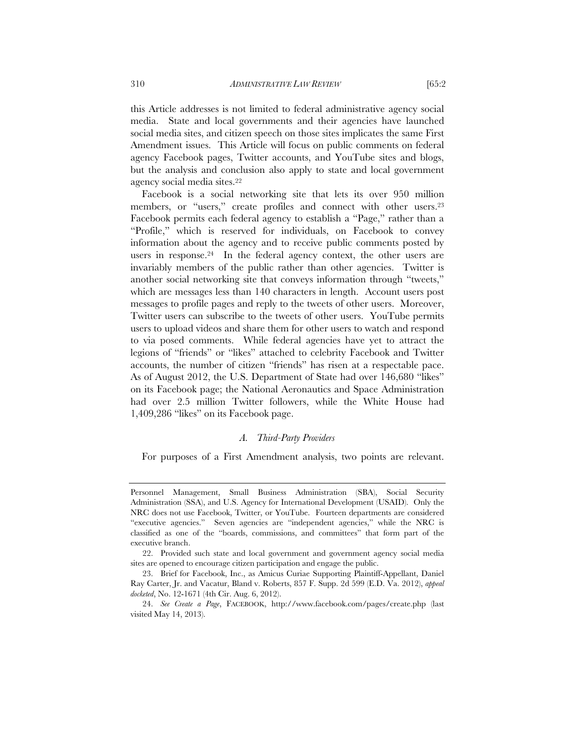this Article addresses is not limited to federal administrative agency social media. State and local governments and their agencies have launched social media sites, and citizen speech on those sites implicates the same First Amendment issues. This Article will focus on public comments on federal agency Facebook pages, Twitter accounts, and YouTube sites and blogs, but the analysis and conclusion also apply to state and local government agency social media sites.22

Facebook is a social networking site that lets its over 950 million members, or "users," create profiles and connect with other users.<sup>23</sup> Facebook permits each federal agency to establish a "Page," rather than a "Profile," which is reserved for individuals, on Facebook to convey information about the agency and to receive public comments posted by users in response.24 In the federal agency context, the other users are invariably members of the public rather than other agencies. Twitter is another social networking site that conveys information through "tweets," which are messages less than 140 characters in length. Account users post messages to profile pages and reply to the tweets of other users. Moreover, Twitter users can subscribe to the tweets of other users. YouTube permits users to upload videos and share them for other users to watch and respond to via posed comments. While federal agencies have yet to attract the legions of "friends" or "likes" attached to celebrity Facebook and Twitter accounts, the number of citizen "friends" has risen at a respectable pace. As of August 2012, the U.S. Department of State had over 146,680 "likes" on its Facebook page; the National Aeronautics and Space Administration had over 2.5 million Twitter followers, while the White House had 1,409,286 "likes" on its Facebook page.

#### *A. Third-Party Providers*

For purposes of a First Amendment analysis, two points are relevant.

Personnel Management, Small Business Administration (SBA), Social Security Administration (SSA), and U.S. Agency for International Development (USAID). Only the NRC does not use Facebook, Twitter, or YouTube. Fourteen departments are considered "executive agencies." Seven agencies are "independent agencies," while the NRC is classified as one of the "boards, commissions, and committees" that form part of the executive branch.

 <sup>22.</sup> Provided such state and local government and government agency social media sites are opened to encourage citizen participation and engage the public.

 <sup>23.</sup> Brief for Facebook, Inc., as Amicus Curiae Supporting Plaintiff-Appellant, Daniel Ray Carter, Jr. and Vacatur, Bland v. Roberts, 857 F. Supp. 2d 599 (E.D. Va. 2012), *appeal docketed*, No. 12-1671 (4th Cir. Aug. 6, 2012).

 <sup>24.</sup> *See Create a Page*, FACEBOOK, http://www.facebook.com/pages/create.php (last visited May 14, 2013).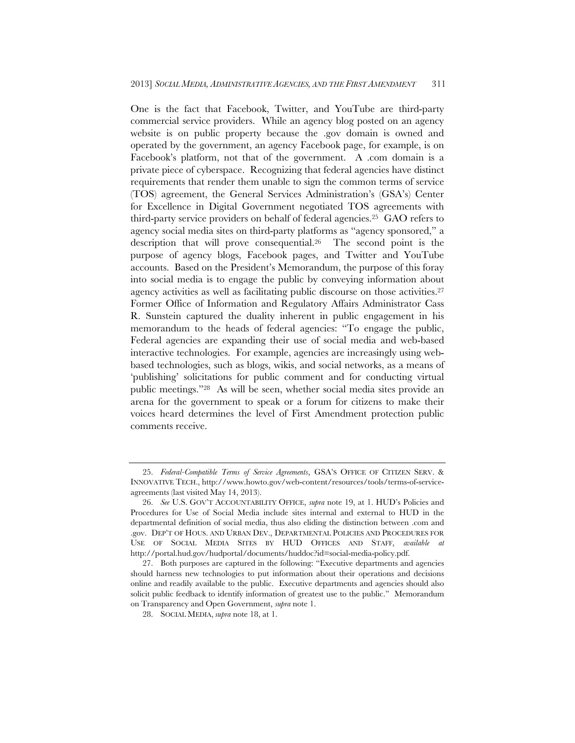One is the fact that Facebook, Twitter, and YouTube are third-party commercial service providers. While an agency blog posted on an agency website is on public property because the .gov domain is owned and operated by the government, an agency Facebook page, for example, is on Facebook's platform, not that of the government. A .com domain is a private piece of cyberspace. Recognizing that federal agencies have distinct requirements that render them unable to sign the common terms of service (TOS) agreement, the General Services Administration's (GSA's) Center for Excellence in Digital Government negotiated TOS agreements with third-party service providers on behalf of federal agencies.25 GAO refers to agency social media sites on third-party platforms as "agency sponsored," a description that will prove consequential.26 The second point is the purpose of agency blogs, Facebook pages, and Twitter and YouTube accounts. Based on the President's Memorandum, the purpose of this foray into social media is to engage the public by conveying information about agency activities as well as facilitating public discourse on those activities.27 Former Office of Information and Regulatory Affairs Administrator Cass R. Sunstein captured the duality inherent in public engagement in his memorandum to the heads of federal agencies: "To engage the public, Federal agencies are expanding their use of social media and web-based interactive technologies. For example, agencies are increasingly using webbased technologies, such as blogs, wikis, and social networks, as a means of 'publishing' solicitations for public comment and for conducting virtual public meetings."28 As will be seen, whether social media sites provide an arena for the government to speak or a forum for citizens to make their voices heard determines the level of First Amendment protection public comments receive.

 <sup>25.</sup> *Federal-Compatible Terms of Service Agreements*, GSA'S OFFICE OF CITIZEN SERV. & INNOVATIVE TECH., http://www.howto.gov/web-content/resources/tools/terms-of-serviceagreements (last visited May 14, 2013).

 <sup>26.</sup> *See* U.S. GOV'T ACCOUNTABILITY OFFICE, *supra* note 19, at 1. HUD's Policies and Procedures for Use of Social Media include sites internal and external to HUD in the departmental definition of social media, thus also eliding the distinction between .com and .gov. DEP'T OF HOUS. AND URBAN DEV., DEPARTMENTAL POLICIES AND PROCEDURES FOR USE OF SOCIAL MEDIA SITES BY HUD OFFICES AND STAFF, *available at* http://portal.hud.gov/hudportal/documents/huddoc?id=social-media-policy.pdf.

 <sup>27.</sup> Both purposes are captured in the following: "Executive departments and agencies should harness new technologies to put information about their operations and decisions online and readily available to the public. Executive departments and agencies should also solicit public feedback to identify information of greatest use to the public." Memorandum on Transparency and Open Government, *supra* note 1.

 <sup>28.</sup> SOCIAL MEDIA, *supra* note 18, at 1.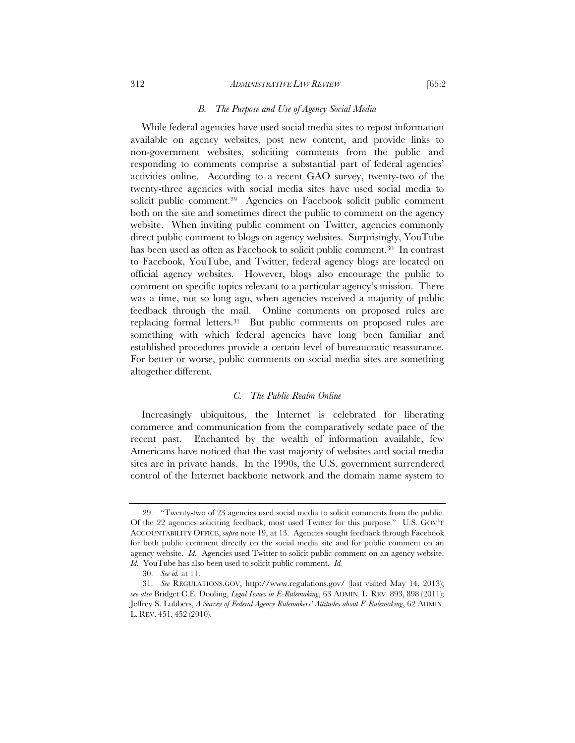#### 312 *ADMINISTRATIVE LAW REVIEW* [65:2

#### *B. The Purpose and Use of Agency Social Media*

While federal agencies have used social media sites to repost information available on agency websites, post new content, and provide links to non-government websites, soliciting comments from the public and responding to comments comprise a substantial part of federal agencies' activities online. According to a recent GAO survey, twenty-two of the twenty-three agencies with social media sites have used social media to solicit public comment.<sup>29</sup> Agencies on Facebook solicit public comment both on the site and sometimes direct the public to comment on the agency website. When inviting public comment on Twitter, agencies commonly direct public comment to blogs on agency websites. Surprisingly, YouTube has been used as often as Facebook to solicit public comment.30 In contrast to Facebook, YouTube, and Twitter, federal agency blogs are located on official agency websites. However, blogs also encourage the public to comment on specific topics relevant to a particular agency's mission. There was a time, not so long ago, when agencies received a majority of public feedback through the mail. Online comments on proposed rules are replacing formal letters.31 But public comments on proposed rules are something with which federal agencies have long been familiar and established procedures provide a certain level of bureaucratic reassurance. For better or worse, public comments on social media sites are something altogether different.

#### *C. The Public Realm Online*

Increasingly ubiquitous, the Internet is celebrated for liberating commerce and communication from the comparatively sedate pace of the recent past. Enchanted by the wealth of information available, few Americans have noticed that the vast majority of websites and social media sites are in private hands. In the 1990s, the U.S. government surrendered control of the Internet backbone network and the domain name system to

 <sup>29. &</sup>quot;Twenty-two of 23 agencies used social media to solicit comments from the public. Of the 22 agencies soliciting feedback, most used Twitter for this purpose." U.S. GOV'T ACCOUNTABILITY OFFICE, *supra* note 19, at 13. Agencies sought feedback through Facebook for both public comment directly on the social media site and for public comment on an agency website. *Id.* Agencies used Twitter to solicit public comment on an agency website. *Id.* YouTube has also been used to solicit public comment. *Id.*

 <sup>30.</sup> *See id.* at 11.

 <sup>31.</sup> *See* REGULATIONS.GOV, http://www.regulations.gov/ (last visited May 14, 2013); *see also* Bridget C.E. Dooling, *Legal Issues in E-Rulemaking*, 63 ADMIN. L. REV. 893, 898 (2011); Jeffrey S. Lubbers, *A Survey of Federal Agency Rulemakers' Attitudes about E-Rulemaking*, 62 ADMIN. L. REV. 451, 452 (2010).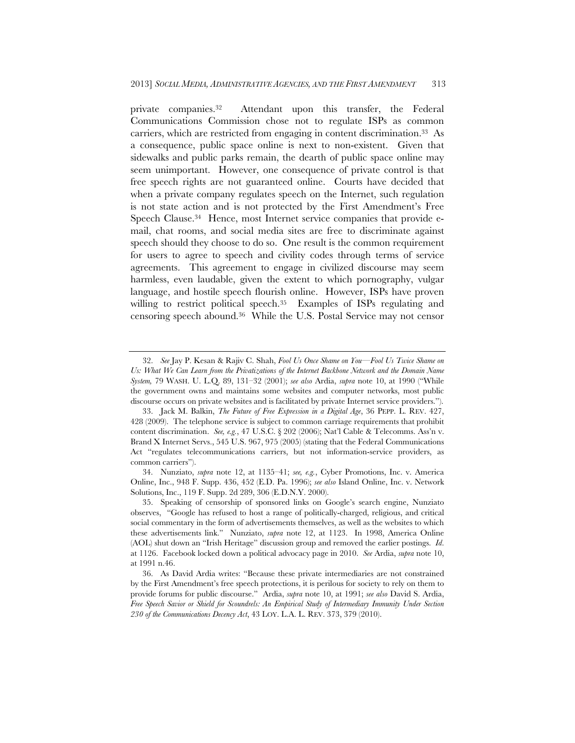private companies.32 Attendant upon this transfer, the Federal Communications Commission chose not to regulate ISPs as common carriers, which are restricted from engaging in content discrimination.33 As a consequence, public space online is next to non-existent. Given that sidewalks and public parks remain, the dearth of public space online may seem unimportant. However, one consequence of private control is that free speech rights are not guaranteed online. Courts have decided that when a private company regulates speech on the Internet, such regulation is not state action and is not protected by the First Amendment's Free Speech Clause.34 Hence, most Internet service companies that provide email, chat rooms, and social media sites are free to discriminate against speech should they choose to do so. One result is the common requirement for users to agree to speech and civility codes through terms of service agreements. This agreement to engage in civilized discourse may seem harmless, even laudable, given the extent to which pornography, vulgar language, and hostile speech flourish online. However, ISPs have proven willing to restrict political speech.<sup>35</sup> Examples of ISPs regulating and censoring speech abound.36 While the U.S. Postal Service may not censor

 <sup>32.</sup> *See* Jay P. Kesan & Rajiv C. Shah, *Fool Us Once Shame on You—Fool Us Twice Shame on Us: What We Can Learn from the Privatizations of the Internet Backbone Network and the Domain Name System,* 79 WASH. U. L.Q. 89, 131–32 (2001); *see also* Ardia, *supra* note 10, at 1990 ("While the government owns and maintains some websites and computer networks, most public discourse occurs on private websites and is facilitated by private Internet service providers.").

 <sup>33.</sup> Jack M. Balkin, *The Future of Free Expression in a Digital Age*, 36 PEPP. L. REV. 427, 428 (2009). The telephone service is subject to common carriage requirements that prohibit content discrimination. *See, e.g.*, 47 U.S.C. § 202 (2006); Nat'l Cable & Telecomms. Ass'n v. Brand X Internet Servs., 545 U.S. 967, 975 (2005) (stating that the Federal Communications Act "regulates telecommunications carriers, but not information-service providers, as common carriers").

 <sup>34.</sup> Nunziato, *supra* note 12, at 1135–41; *see, e.g.*, Cyber Promotions, Inc. v. America Online, Inc., 948 F. Supp. 436, 452 (E.D. Pa. 1996); *see also* Island Online, Inc. v. Network Solutions, Inc., 119 F. Supp. 2d 289, 306 (E.D.N.Y. 2000).

 <sup>35.</sup> Speaking of censorship of sponsored links on Google's search engine, Nunziato observes, "Google has refused to host a range of politically-charged, religious, and critical social commentary in the form of advertisements themselves, as well as the websites to which these advertisements link." Nunziato, *supra* note 12, at 1123. In 1998, America Online (AOL) shut down an "Irish Heritage" discussion group and removed the earlier postings. *Id*. at 1126. Facebook locked down a political advocacy page in 2010. *See* Ardia, *supra* note 10, at 1991 n.46.

 <sup>36.</sup> As David Ardia writes: "Because these private intermediaries are not constrained by the First Amendment's free speech protections, it is perilous for society to rely on them to provide forums for public discourse." Ardia, *supra* note 10, at 1991; *see also* David S. Ardia, *Free Speech Savior or Shield for Scoundrels: An Empirical Study of Intermediary Immunity Under Section 230 of the Communications Decency Act*, 43 LOY. L.A. L. REV. 373, 379 (2010).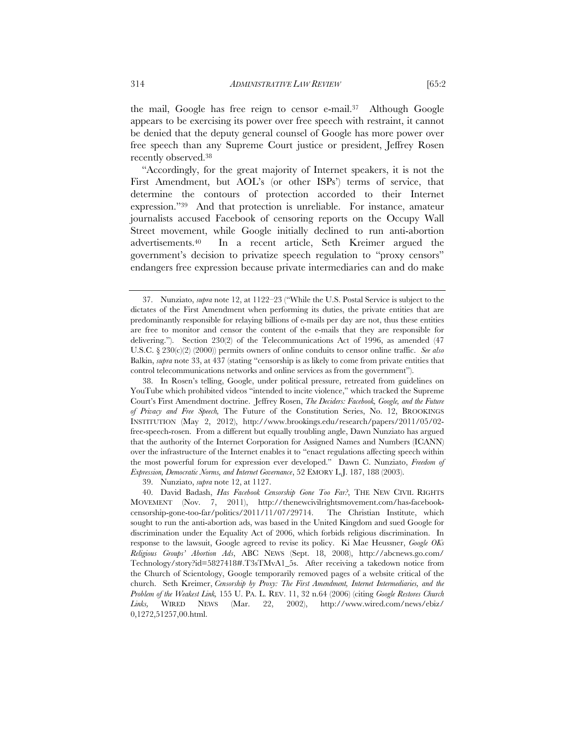the mail, Google has free reign to censor e-mail.37 Although Google appears to be exercising its power over free speech with restraint, it cannot be denied that the deputy general counsel of Google has more power over free speech than any Supreme Court justice or president, Jeffrey Rosen recently observed.38

"Accordingly, for the great majority of Internet speakers, it is not the First Amendment, but AOL's (or other ISPs') terms of service, that determine the contours of protection accorded to their Internet expression."39 And that protection is unreliable. For instance, amateur journalists accused Facebook of censoring reports on the Occupy Wall Street movement, while Google initially declined to run anti-abortion advertisements.40 In a recent article, Seth Kreimer argued the government's decision to privatize speech regulation to "proxy censors" endangers free expression because private intermediaries can and do make

39. Nunziato, *supra* note 12, at 1127.

 <sup>37.</sup> Nunziato, *supra* note 12, at 1122–23 ("While the U.S. Postal Service is subject to the dictates of the First Amendment when performing its duties, the private entities that are predominantly responsible for relaying billions of e-mails per day are not, thus these entities are free to monitor and censor the content of the e-mails that they are responsible for delivering."). Section 230(2) of the Telecommunications Act of 1996, as amended (47 U.S.C. § 230(c)(2) (2000)) permits owners of online conduits to censor online traffic. *See also* Balkin, *supra* note 33, at 437 (stating "censorship is as likely to come from private entities that control telecommunications networks and online services as from the government").

 <sup>38.</sup> In Rosen's telling, Google, under political pressure, retreated from guidelines on YouTube which prohibited videos "intended to incite violence," which tracked the Supreme Court's First Amendment doctrine. Jeffrey Rosen, *The Deciders: Facebook, Google, and the Future of Privacy and Free Speech,* The Future of the Constitution Series, No. 12, BROOKINGS INSTITUTION (May 2, 2012), http://www.brookings.edu/research/papers/2011/05/02 free-speech-rosen. From a different but equally troubling angle, Dawn Nunziato has argued that the authority of the Internet Corporation for Assigned Names and Numbers (ICANN) over the infrastructure of the Internet enables it to "enact regulations affecting speech within the most powerful forum for expression ever developed." Dawn C. Nunziato, *Freedom of Expression, Democratic Norms, and Internet Governance*, 52 EMORY L.J. 187, 188 (2003).

 <sup>40.</sup> David Badash, *Has Facebook Censorship Gone Too Far?*, THE NEW CIVIL RIGHTS MOVEMENT (Nov. 7, 2011), http://thenewcivilrightsmovement.com/has-facebookcensorship-gone-too-far/politics/2011/11/07/29714. The Christian Institute, which sought to run the anti-abortion ads, was based in the United Kingdom and sued Google for discrimination under the Equality Act of 2006, which forbids religious discrimination. In response to the lawsuit, Google agreed to revise its policy. Ki Mae Heussner, *Google OKs Religious Groups' Abortion Ads*, ABC NEWS (Sept. 18, 2008), http://abcnews.go.com/ Technology/story?id=5827418#.T3sTMvA1\_5s. After receiving a takedown notice from the Church of Scientology, Google temporarily removed pages of a website critical of the church. Seth Kreimer, *Censorship by Proxy: The First Amendment, Internet Intermediaries, and the Problem of the Weakest Link,* 155 U. PA. L. REV. 11, 32 n.64 (2006) (citing *Google Restores Church Links,* WIRED NEWS (Mar. 22, 2002), http://www.wired.com/news/ebiz/ 0,1272,51257,00.html.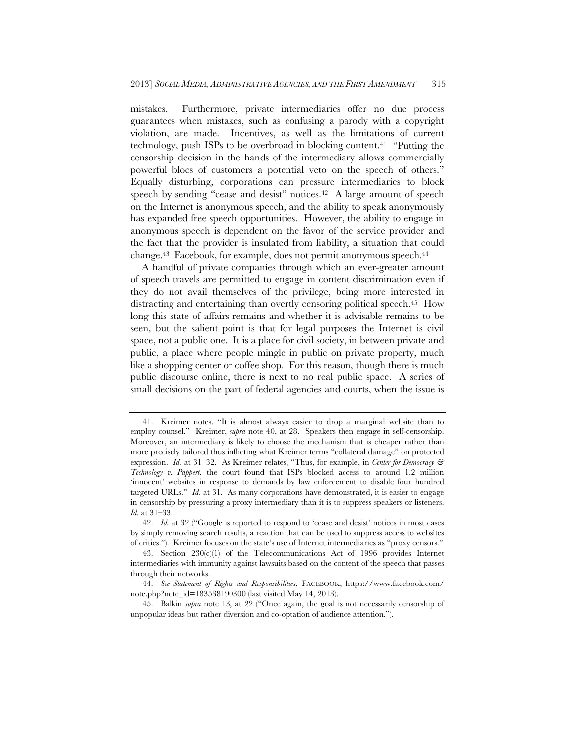mistakes. Furthermore, private intermediaries offer no due process guarantees when mistakes, such as confusing a parody with a copyright violation, are made. Incentives, as well as the limitations of current technology, push ISPs to be overbroad in blocking content.41 "Putting the censorship decision in the hands of the intermediary allows commercially powerful blocs of customers a potential veto on the speech of others." Equally disturbing, corporations can pressure intermediaries to block speech by sending "cease and desist" notices.<sup>42</sup> A large amount of speech on the Internet is anonymous speech, and the ability to speak anonymously has expanded free speech opportunities. However, the ability to engage in anonymous speech is dependent on the favor of the service provider and the fact that the provider is insulated from liability, a situation that could change.43 Facebook, for example, does not permit anonymous speech.44

A handful of private companies through which an ever-greater amount of speech travels are permitted to engage in content discrimination even if they do not avail themselves of the privilege, being more interested in distracting and entertaining than overtly censoring political speech.<sup>45</sup> How long this state of affairs remains and whether it is advisable remains to be seen, but the salient point is that for legal purposes the Internet is civil space, not a public one. It is a place for civil society, in between private and public, a place where people mingle in public on private property, much like a shopping center or coffee shop. For this reason, though there is much public discourse online, there is next to no real public space. A series of small decisions on the part of federal agencies and courts, when the issue is

 <sup>41.</sup> Kreimer notes, "It is almost always easier to drop a marginal website than to employ counsel." Kreimer, *supra* note 40, at 28. Speakers then engage in self-censorship. Moreover, an intermediary is likely to choose the mechanism that is cheaper rather than more precisely tailored thus inflicting what Kreimer terms "collateral damage" on protected expression. *Id.* at 31–32. As Kreimer relates, "Thus, for example, in *Center for Democracy & Technology v. Pappert*, the court found that ISPs blocked access to around 1.2 million 'innocent' websites in response to demands by law enforcement to disable four hundred targeted URLs." *Id.* at 31. As many corporations have demonstrated, it is easier to engage in censorship by pressuring a proxy intermediary than it is to suppress speakers or listeners. *Id.* at 31–33.

 <sup>42.</sup> *Id.* at 32 ("Google is reported to respond to 'cease and desist' notices in most cases by simply removing search results, a reaction that can be used to suppress access to websites of critics."). Kreimer focuses on the state's use of Internet intermediaries as "proxy censors."

 <sup>43.</sup> Section 230(c)(1) of the Telecommunications Act of 1996 provides Internet intermediaries with immunity against lawsuits based on the content of the speech that passes through their networks.

 <sup>44.</sup> *See Statement of Rights and Responsibilities*, FACEBOOK, https://www.facebook.com/ note.php?note\_id=183538190300 (last visited May 14, 2013).

 <sup>45.</sup> Balkin *supra* note 13, at 22 ("Once again, the goal is not necessarily censorship of unpopular ideas but rather diversion and co-optation of audience attention.").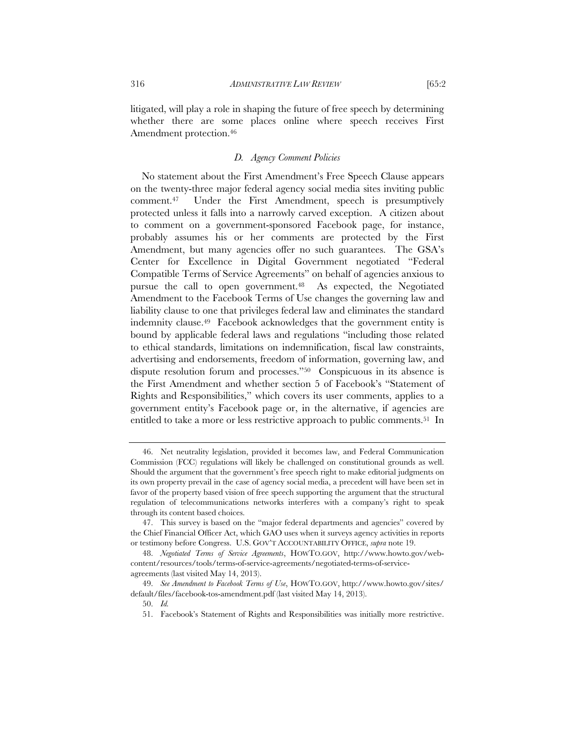litigated, will play a role in shaping the future of free speech by determining whether there are some places online where speech receives First Amendment protection.<sup>46</sup>

## *D. Agency Comment Policies*

No statement about the First Amendment's Free Speech Clause appears on the twenty-three major federal agency social media sites inviting public comment.47 Under the First Amendment, speech is presumptively protected unless it falls into a narrowly carved exception. A citizen about to comment on a government-sponsored Facebook page, for instance, probably assumes his or her comments are protected by the First Amendment, but many agencies offer no such guarantees. The GSA's Center for Excellence in Digital Government negotiated "Federal Compatible Terms of Service Agreements" on behalf of agencies anxious to pursue the call to open government.<sup>48</sup> As expected, the Negotiated Amendment to the Facebook Terms of Use changes the governing law and liability clause to one that privileges federal law and eliminates the standard indemnity clause.49 Facebook acknowledges that the government entity is bound by applicable federal laws and regulations "including those related to ethical standards, limitations on indemnification, fiscal law constraints, advertising and endorsements, freedom of information, governing law, and dispute resolution forum and processes."50 Conspicuous in its absence is the First Amendment and whether section 5 of Facebook's "Statement of Rights and Responsibilities," which covers its user comments, applies to a government entity's Facebook page or, in the alternative, if agencies are entitled to take a more or less restrictive approach to public comments.51 In

 <sup>46.</sup> Net neutrality legislation, provided it becomes law, and Federal Communication Commission (FCC) regulations will likely be challenged on constitutional grounds as well. Should the argument that the government's free speech right to make editorial judgments on its own property prevail in the case of agency social media, a precedent will have been set in favor of the property based vision of free speech supporting the argument that the structural regulation of telecommunications networks interferes with a company's right to speak through its content based choices.

 <sup>47.</sup> This survey is based on the "major federal departments and agencies" covered by the Chief Financial Officer Act, which GAO uses when it surveys agency activities in reports or testimony before Congress. U.S. GOV'T ACCOUNTABILITY OFFICE, *supra* note 19.

 <sup>48.</sup> *Negotiated Terms of Service Agreements*, HOWTO.GOV, http://www.howto.gov/webcontent/resources/tools/terms-of-service-agreements/negotiated-terms-of-serviceagreements (last visited May 14, 2013).

 <sup>49.</sup> *See Amendment to Facebook Terms of Use*, HOWTO.GOV, http://www.howto.gov/sites/ default/files/facebook-tos-amendment.pdf (last visited May 14, 2013).

 <sup>50.</sup> *Id.*

 <sup>51.</sup> Facebook's Statement of Rights and Responsibilities was initially more restrictive.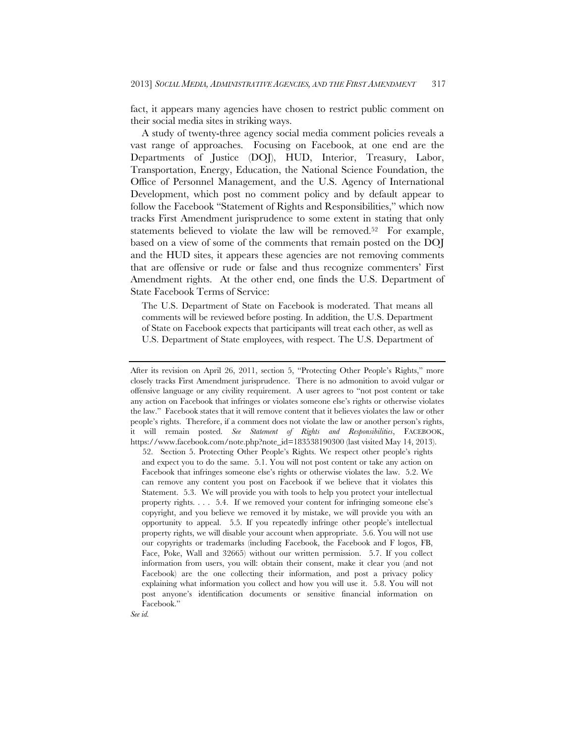fact, it appears many agencies have chosen to restrict public comment on their social media sites in striking ways.

A study of twenty-three agency social media comment policies reveals a vast range of approaches. Focusing on Facebook, at one end are the Departments of Justice (DOJ), HUD, Interior, Treasury, Labor, Transportation, Energy, Education, the National Science Foundation, the Office of Personnel Management, and the U.S. Agency of International Development, which post no comment policy and by default appear to follow the Facebook "Statement of Rights and Responsibilities," which now tracks First Amendment jurisprudence to some extent in stating that only statements believed to violate the law will be removed.52 For example, based on a view of some of the comments that remain posted on the DOJ and the HUD sites, it appears these agencies are not removing comments that are offensive or rude or false and thus recognize commenters' First Amendment rights. At the other end, one finds the U.S. Department of State Facebook Terms of Service:

The U.S. Department of State on Facebook is moderated. That means all comments will be reviewed before posting. In addition, the U.S. Department of State on Facebook expects that participants will treat each other, as well as U.S. Department of State employees, with respect. The U.S. Department of

After its revision on April 26, 2011, section 5, "Protecting Other People's Rights," more closely tracks First Amendment jurisprudence. There is no admonition to avoid vulgar or offensive language or any civility requirement. A user agrees to "not post content or take any action on Facebook that infringes or violates someone else's rights or otherwise violates the law." Facebook states that it will remove content that it believes violates the law or other people's rights. Therefore, if a comment does not violate the law or another person's rights, it will remain posted. *See Statement of Rights and Responsibilities*, FACEBOOK, https://www.facebook.com/note.php?note\_id=183538190300 (last visited May 14, 2013).

 <sup>52.</sup> Section 5. Protecting Other People's Rights. We respect other people's rights and expect you to do the same. 5.1. You will not post content or take any action on Facebook that infringes someone else's rights or otherwise violates the law. 5.2. We can remove any content you post on Facebook if we believe that it violates this Statement. 5.3. We will provide you with tools to help you protect your intellectual property rights. . . . 5.4. If we removed your content for infringing someone else's copyright, and you believe we removed it by mistake, we will provide you with an opportunity to appeal. 5.5. If you repeatedly infringe other people's intellectual property rights, we will disable your account when appropriate. 5.6. You will not use our copyrights or trademarks (including Facebook, the Facebook and F logos, FB, Face, Poke, Wall and 32665) without our written permission. 5.7. If you collect information from users, you will: obtain their consent, make it clear you (and not Facebook) are the one collecting their information, and post a privacy policy explaining what information you collect and how you will use it. 5.8. You will not post anyone's identification documents or sensitive financial information on Facebook."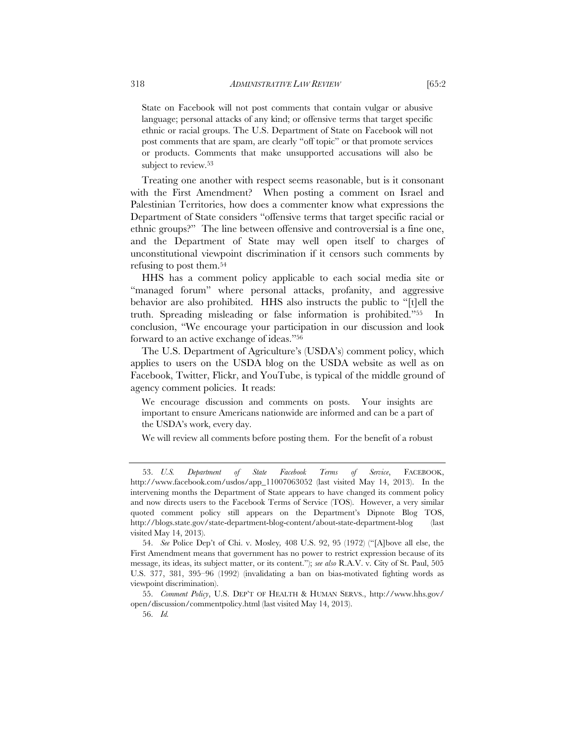State on Facebook will not post comments that contain vulgar or abusive language; personal attacks of any kind; or offensive terms that target specific ethnic or racial groups. The U.S. Department of State on Facebook will not post comments that are spam, are clearly "off topic" or that promote services or products. Comments that make unsupported accusations will also be subject to review.<sup>53</sup>

Treating one another with respect seems reasonable, but is it consonant with the First Amendment? When posting a comment on Israel and Palestinian Territories, how does a commenter know what expressions the Department of State considers "offensive terms that target specific racial or ethnic groups?" The line between offensive and controversial is a fine one, and the Department of State may well open itself to charges of unconstitutional viewpoint discrimination if it censors such comments by refusing to post them.54

HHS has a comment policy applicable to each social media site or "managed forum" where personal attacks, profanity, and aggressive behavior are also prohibited. HHS also instructs the public to "[t]ell the truth. Spreading misleading or false information is prohibited."55 In conclusion, "We encourage your participation in our discussion and look forward to an active exchange of ideas."56

The U.S. Department of Agriculture's (USDA's) comment policy, which applies to users on the USDA blog on the USDA website as well as on Facebook, Twitter, Flickr, and YouTube, is typical of the middle ground of agency comment policies. It reads:

We encourage discussion and comments on posts. Your insights are important to ensure Americans nationwide are informed and can be a part of the USDA's work, every day.

We will review all comments before posting them. For the benefit of a robust

 <sup>53.</sup> *U.S. Department of State Facebook Terms of Service*, FACEBOOK, http://www.facebook.com/usdos/app\_11007063052 (last visited May 14, 2013). In the intervening months the Department of State appears to have changed its comment policy and now directs users to the Facebook Terms of Service (TOS). However, a very similar quoted comment policy still appears on the Department's Dipnote Blog TOS, http://blogs.state.gov/state-department-blog-content/about-state-department-blog (last visited May 14, 2013).

 <sup>54.</sup> *See* Police Dep't of Chi. v. Mosley*,* 408 U.S. 92, 95 (1972) ("[A]bove all else, the First Amendment means that government has no power to restrict expression because of its message, its ideas, its subject matter, or its content."); *see also* R.A.V. v. City of St. Paul, 505 U.S. 377, 381, 395–96 (1992) (invalidating a ban on bias-motivated fighting words as viewpoint discrimination).

 <sup>55.</sup> *Comment Policy*, U.S. DEP'T OF HEALTH & HUMAN SERVS., http://www.hhs.gov/ open/discussion/commentpolicy.html (last visited May 14, 2013).

 <sup>56.</sup> *Id.*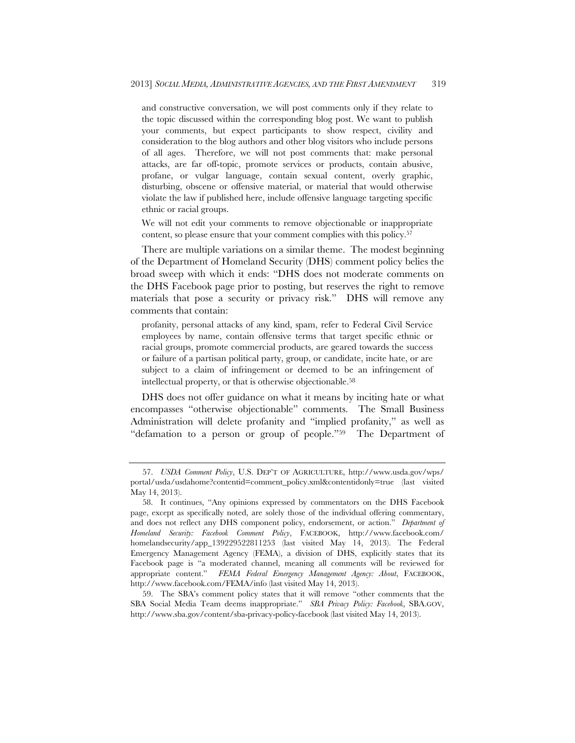and constructive conversation, we will post comments only if they relate to the topic discussed within the corresponding blog post. We want to publish your comments, but expect participants to show respect, civility and consideration to the blog authors and other blog visitors who include persons of all ages. Therefore, we will not post comments that: make personal attacks, are far off-topic, promote services or products, contain abusive, profane, or vulgar language, contain sexual content, overly graphic, disturbing, obscene or offensive material, or material that would otherwise violate the law if published here, include offensive language targeting specific ethnic or racial groups.

We will not edit your comments to remove objectionable or inappropriate content, so please ensure that your comment complies with this policy.57

There are multiple variations on a similar theme. The modest beginning of the Department of Homeland Security (DHS) comment policy belies the broad sweep with which it ends: "DHS does not moderate comments on the DHS Facebook page prior to posting, but reserves the right to remove materials that pose a security or privacy risk." DHS will remove any comments that contain:

profanity, personal attacks of any kind, spam, refer to Federal Civil Service employees by name, contain offensive terms that target specific ethnic or racial groups, promote commercial products, are geared towards the success or failure of a partisan political party, group, or candidate, incite hate, or are subject to a claim of infringement or deemed to be an infringement of intellectual property, or that is otherwise objectionable.58

DHS does not offer guidance on what it means by inciting hate or what encompasses "otherwise objectionable" comments. The Small Business Administration will delete profanity and "implied profanity," as well as "defamation to a person or group of people."59 The Department of

 <sup>57.</sup> *USDA Comment Policy*, U.S. DEP'T OF AGRICULTURE, http://www.usda.gov/wps/ portal/usda/usdahome?contentid=comment\_policy.xml&contentidonly=true (last visited May 14, 2013).

 <sup>58.</sup> It continues, "Any opinions expressed by commentators on the DHS Facebook page, except as specifically noted, are solely those of the individual offering commentary, and does not reflect any DHS component policy, endorsement, or action." *Department of Homeland Security: Facebook Comment Policy*, FACEBOOK, http://www.facebook.com/ homelandsecurity/app\_139229522811253 (last visited May 14, 2013). The Federal Emergency Management Agency (FEMA), a division of DHS, explicitly states that its Facebook page is "a moderated channel, meaning all comments will be reviewed for appropriate content." *FEMA Federal Emergency Management Agency: About*, FACEBOOK, http://www.facebook.com/FEMA/info (last visited May 14, 2013).

 <sup>59.</sup> The SBA's comment policy states that it will remove "other comments that the SBA Social Media Team deems inappropriate." *SBA Privacy Policy: Facebook*, SBA.GOV, http://www.sba.gov/content/sba-privacy-policy-facebook (last visited May 14, 2013).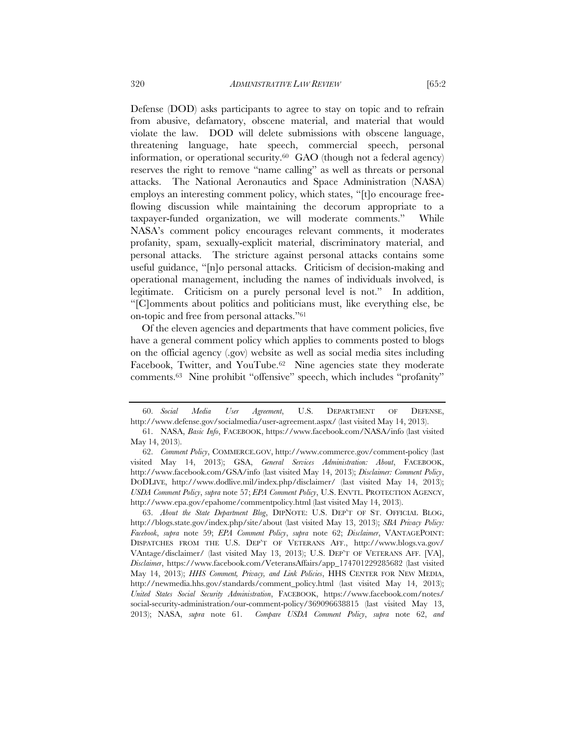from abusive, defamatory, obscene material, and material that would violate the law. DOD will delete submissions with obscene language, threatening language, hate speech, commercial speech, personal information, or operational security.60 GAO (though not a federal agency) reserves the right to remove "name calling" as well as threats or personal attacks. The National Aeronautics and Space Administration (NASA) employs an interesting comment policy, which states, "[t]o encourage freeflowing discussion while maintaining the decorum appropriate to a taxpayer-funded organization, we will moderate comments." While NASA's comment policy encourages relevant comments, it moderates profanity, spam, sexually-explicit material, discriminatory material, and personal attacks. The stricture against personal attacks contains some useful guidance, "[n]o personal attacks. Criticism of decision-making and operational management, including the names of individuals involved, is legitimate. Criticism on a purely personal level is not." In addition, "[C]omments about politics and politicians must, like everything else, be on-topic and free from personal attacks."61

Of the eleven agencies and departments that have comment policies, five have a general comment policy which applies to comments posted to blogs on the official agency (.gov) website as well as social media sites including Facebook, Twitter, and YouTube.<sup>62</sup> Nine agencies state they moderate comments.63 Nine prohibit "offensive" speech, which includes "profanity"

 63. *About the State Department Blog*, DIPNOTE: U.S. DEP'T OF ST. OFFICIAL BLOG, http://blogs.state.gov/index.php/site/about (last visited May 13, 2013); *SBA Privacy Policy: Facebook*, *supra* note 59; *EPA Comment Policy*, *supra* note 62; *Disclaimer*, VANTAGEPOINT: DISPATCHES FROM THE U.S. DEP'T OF VETERANS AFF., http://www.blogs.va.gov/ VAntage/disclaimer/ (last visited May 13, 2013); U.S. DEP'T OF VETERANS AFF. [VA], *Disclaimer*, https://www.facebook.com/VeteransAffairs/app\_174701229285682 (last visited May 14, 2013); *HHS Comment, Privacy, and Link Policies*, HHS CENTER FOR NEW MEDIA, http://newmedia.hhs.gov/standards/comment\_policy.html (last visited May 14, 2013); *United States Social Security Administration*, FACEBOOK, https://www.facebook.com/notes/ social-security-administration/our-comment-policy/369096638815 (last visited May 13, 2013); NASA, *supra* note 61. *Compare USDA Comment Policy*, *supra* note 62, *and* 

 <sup>60.</sup> *Social Media User Agreement*, U.S. DEPARTMENT OF DEFENSE, http://www.defense.gov/socialmedia/user-agreement.aspx/ (last visited May 14, 2013).

 <sup>61.</sup> NASA, *Basic Info*, FACEBOOK, https://www.facebook.com/NASA/info (last visited May 14, 2013).

 <sup>62.</sup> *Comment Policy*, COMMERCE.GOV, http://www.commerce.gov/comment-policy (last visited May 14, 2013); GSA, *General Services Administration: About*, FACEBOOK, http://www.facebook.com/GSA/info (last visited May 14, 2013); *Disclaimer: Comment Policy*, DODLIVE, http://www.dodlive.mil/index.php/disclaimer/ (last visited May 14, 2013); *USDA Comment Policy*, *supra* note 57; *EPA Comment Policy*, U.S. ENVTL. PROTECTION AGENCY, http://www.epa.gov/epahome/commentpolicy.html (last visited May 14, 2013).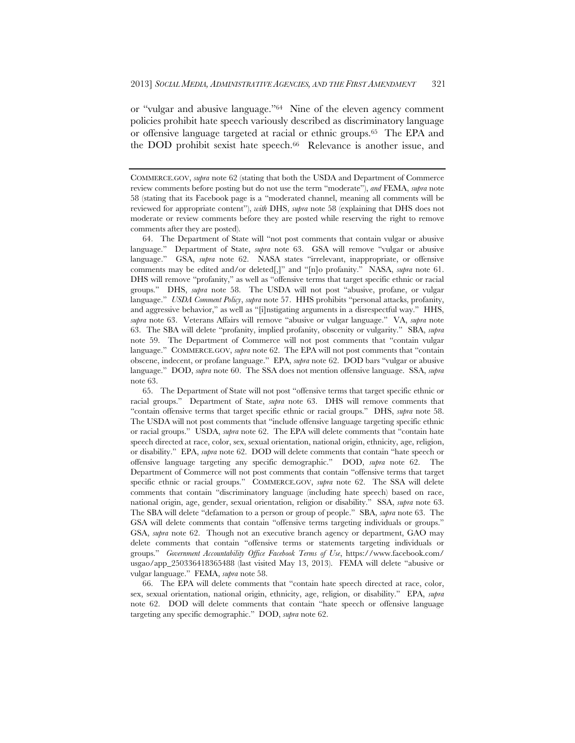or "vulgar and abusive language."64 Nine of the eleven agency comment policies prohibit hate speech variously described as discriminatory language or offensive language targeted at racial or ethnic groups.65 The EPA and the DOD prohibit sexist hate speech.66 Relevance is another issue, and

 65. The Department of State will not post "offensive terms that target specific ethnic or racial groups." Department of State, *supra* note 63. DHS will remove comments that "contain offensive terms that target specific ethnic or racial groups." DHS, *supra* note 58. The USDA will not post comments that "include offensive language targeting specific ethnic or racial groups." USDA, *supra* note 62. The EPA will delete comments that "contain hate speech directed at race, color, sex, sexual orientation, national origin, ethnicity, age, religion, or disability." EPA, *supra* note 62. DOD will delete comments that contain "hate speech or offensive language targeting any specific demographic." DOD, *supra* note 62. The Department of Commerce will not post comments that contain "offensive terms that target specific ethnic or racial groups." COMMERCE.GOV, *supra* note 62. The SSA will delete comments that contain "discriminatory language (including hate speech) based on race, national origin, age, gender, sexual orientation, religion or disability." SSA, *supra* note 63. The SBA will delete "defamation to a person or group of people." SBA, *supra* note 63. The GSA will delete comments that contain "offensive terms targeting individuals or groups." GSA, *supra* note 62. Though not an executive branch agency or department, GAO may delete comments that contain "offensive terms or statements targeting individuals or groups." *Government Accountability Office Facebook Terms of Use*, https://www.facebook.com/ usgao/app\_250336418365488 (last visited May 13, 2013). FEMA will delete "abusive or vulgar language." FEMA, *supra* note 58.

 66. The EPA will delete comments that "contain hate speech directed at race, color, sex, sexual orientation, national origin, ethnicity, age, religion, or disability." EPA, *supra*  note 62. DOD will delete comments that contain "hate speech or offensive language targeting any specific demographic." DOD, *supra* note 62.

COMMERCE.GOV, *supra* note 62 (stating that both the USDA and Department of Commerce review comments before posting but do not use the term "moderate"), *and* FEMA, *supra* note 58 (stating that its Facebook page is a "moderated channel, meaning all comments will be reviewed for appropriate content"), *with* DHS, *supra* note 58 (explaining that DHS does not moderate or review comments before they are posted while reserving the right to remove comments after they are posted).

 <sup>64.</sup> The Department of State will "not post comments that contain vulgar or abusive language." Department of State, *supra* note 63. GSA will remove "vulgar or abusive language." GSA, *supra* note 62. NASA states "irrelevant, inappropriate, or offensive comments may be edited and/or deleted[,]" and "[n]o profanity." NASA, *supra* note 61. DHS will remove "profanity," as well as "offensive terms that target specific ethnic or racial groups." DHS, *supra* note 58. The USDA will not post "abusive, profane, or vulgar language." *USDA Comment Policy*, *supra* note 57. HHS prohibits "personal attacks, profanity, and aggressive behavior," as well as "[i]nstigating arguments in a disrespectful way." HHS, *supra* note 63. Veterans Affairs will remove "abusive or vulgar language." VA, *supra* note 63. The SBA will delete "profanity, implied profanity, obscenity or vulgarity." SBA, *supra*  note 59. The Department of Commerce will not post comments that "contain vulgar language." COMMERCE.GOV, *supra* note 62. The EPA will not post comments that "contain obscene, indecent, or profane language." EPA, *supra* note 62. DOD bars "vulgar or abusive language." DOD, *supra* note 60. The SSA does not mention offensive language. SSA, *supra*  note 63.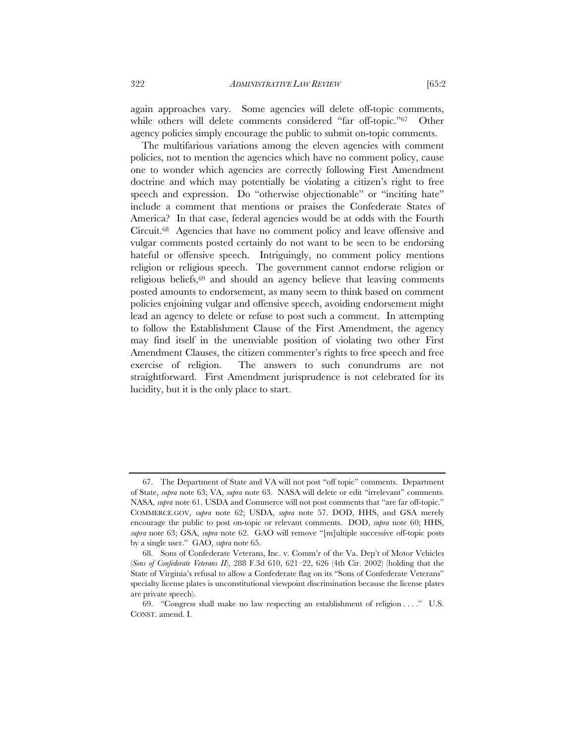again approaches vary. Some agencies will delete off-topic comments, while others will delete comments considered "far off-topic."<sup>67</sup> Other agency policies simply encourage the public to submit on-topic comments.

The multifarious variations among the eleven agencies with comment policies, not to mention the agencies which have no comment policy, cause one to wonder which agencies are correctly following First Amendment doctrine and which may potentially be violating a citizen's right to free speech and expression. Do "otherwise objectionable" or "inciting hate" include a comment that mentions or praises the Confederate States of America? In that case, federal agencies would be at odds with the Fourth Circuit.68 Agencies that have no comment policy and leave offensive and vulgar comments posted certainly do not want to be seen to be endorsing hateful or offensive speech. Intriguingly, no comment policy mentions religion or religious speech. The government cannot endorse religion or religious beliefs,69 and should an agency believe that leaving comments posted amounts to endorsement, as many seem to think based on comment policies enjoining vulgar and offensive speech, avoiding endorsement might lead an agency to delete or refuse to post such a comment. In attempting to follow the Establishment Clause of the First Amendment, the agency may find itself in the unenviable position of violating two other First Amendment Clauses, the citizen commenter's rights to free speech and free exercise of religion. The answers to such conundrums are not straightforward. First Amendment jurisprudence is not celebrated for its lucidity, but it is the only place to start.

 <sup>67.</sup> The Department of State and VA will not post "off topic" comments. Department of State, *supra* note 63; VA, *supra* note 63. NASA will delete or edit "irrelevant" comments. NASA, *supra* note 61. USDA and Commerce will not post comments that "are far off-topic." COMMERCE.GOV, *supra* note 62; USDA, *supra* note 57. DOD, HHS, and GSA merely encourage the public to post on-topic or relevant comments. DOD, *supra* note 60; HHS, *supra* note 63; GSA, *supra* note 62. GAO will remove "[m]ultiple successive off-topic posts by a single user." GAO, *supra* note 65.

 <sup>68.</sup> Sons of Confederate Veterans, Inc. v. Comm'r of the Va. Dep't of Motor Vehicles (*Sons of Confederate Veterans II*), 288 F.3d 610, 621–22, 626 (4th Cir. 2002) (holding that the State of Virginia's refusal to allow a Confederate flag on its "Sons of Confederate Veterans" specialty license plates is unconstitutional viewpoint discrimination because the license plates are private speech).

 <sup>69. &</sup>quot;Congress shall make no law respecting an establishment of religion . . . ." U.S. CONST. amend. I.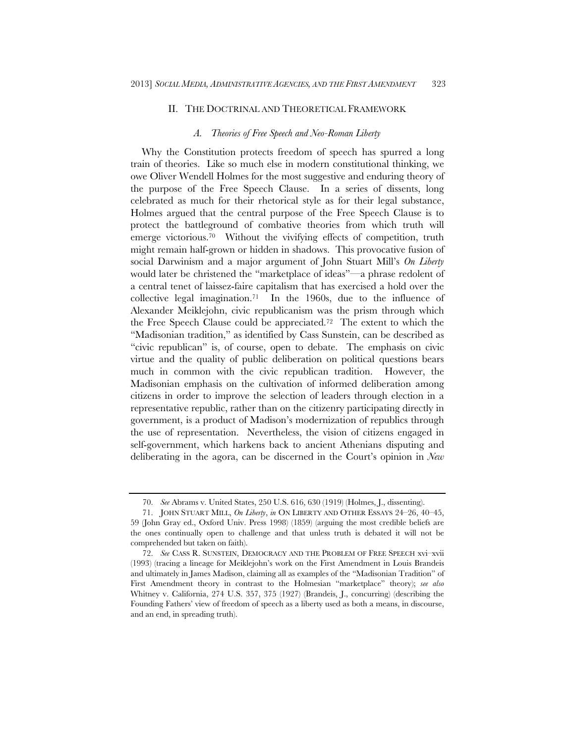#### II. THE DOCTRINAL AND THEORETICAL FRAMEWORK

#### *A. Theories of Free Speech and Neo-Roman Liberty*

Why the Constitution protects freedom of speech has spurred a long train of theories. Like so much else in modern constitutional thinking, we owe Oliver Wendell Holmes for the most suggestive and enduring theory of the purpose of the Free Speech Clause. In a series of dissents, long celebrated as much for their rhetorical style as for their legal substance, Holmes argued that the central purpose of the Free Speech Clause is to protect the battleground of combative theories from which truth will emerge victorious.<sup>70</sup> Without the vivifying effects of competition, truth might remain half-grown or hidden in shadows. This provocative fusion of social Darwinism and a major argument of John Stuart Mill's *On Liberty* would later be christened the "marketplace of ideas"—a phrase redolent of a central tenet of laissez-faire capitalism that has exercised a hold over the collective legal imagination.71 In the 1960s, due to the influence of Alexander Meiklejohn, civic republicanism was the prism through which the Free Speech Clause could be appreciated.72 The extent to which the "Madisonian tradition," as identified by Cass Sunstein, can be described as "civic republican" is, of course, open to debate. The emphasis on civic virtue and the quality of public deliberation on political questions bears much in common with the civic republican tradition. However, the Madisonian emphasis on the cultivation of informed deliberation among citizens in order to improve the selection of leaders through election in a representative republic, rather than on the citizenry participating directly in government, is a product of Madison's modernization of republics through the use of representation. Nevertheless, the vision of citizens engaged in self-government, which harkens back to ancient Athenians disputing and deliberating in the agora, can be discerned in the Court's opinion in *New* 

 <sup>70.</sup> *See* Abrams v. United States, 250 U.S. 616, 630 (1919) (Holmes, J., dissenting).

 <sup>71.</sup> JOHN STUART MILL, *On Liberty*, *in* ON LIBERTY AND OTHER ESSAYS 24–26, 40–45, 59 (John Gray ed., Oxford Univ. Press 1998) (1859) (arguing the most credible beliefs are the ones continually open to challenge and that unless truth is debated it will not be comprehended but taken on faith).

 <sup>72.</sup> *See* CASS R. SUNSTEIN, DEMOCRACY AND THE PROBLEM OF FREE SPEECH xvi–xvii (1993) (tracing a lineage for Meiklejohn's work on the First Amendment in Louis Brandeis and ultimately in James Madison, claiming all as examples of the "Madisonian Tradition" of First Amendment theory in contrast to the Holmesian "marketplace" theory); *see also* Whitney v. California, 274 U.S. 357, 375 (1927) (Brandeis, J., concurring) (describing the Founding Fathers' view of freedom of speech as a liberty used as both a means, in discourse, and an end, in spreading truth).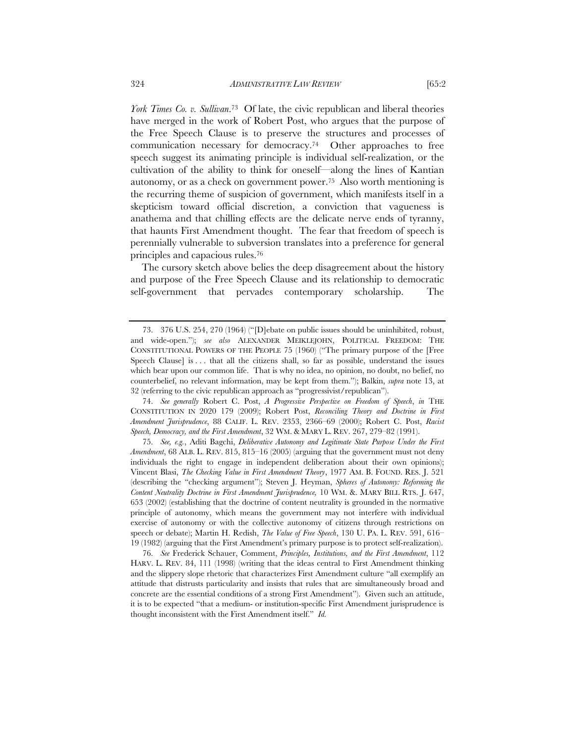*York Times Co. v. Sullivan*.73 Of late, the civic republican and liberal theories have merged in the work of Robert Post, who argues that the purpose of the Free Speech Clause is to preserve the structures and processes of communication necessary for democracy.74 Other approaches to free speech suggest its animating principle is individual self-realization, or the cultivation of the ability to think for oneself—along the lines of Kantian autonomy, or as a check on government power.75 Also worth mentioning is

the recurring theme of suspicion of government, which manifests itself in a skepticism toward official discretion, a conviction that vagueness is anathema and that chilling effects are the delicate nerve ends of tyranny, that haunts First Amendment thought. The fear that freedom of speech is perennially vulnerable to subversion translates into a preference for general principles and capacious rules.76

The cursory sketch above belies the deep disagreement about the history and purpose of the Free Speech Clause and its relationship to democratic self-government that pervades contemporary scholarship. The

 74. *See generally* Robert C. Post, *A Progressive Perspective on Freedom of Speech*, *in* THE CONSTITUTION IN 2020 179 (2009); Robert Post, *Reconciling Theory and Doctrine in First Amendment Jurisprudence*, 88 CALIF. L. REV. 2353, 2366–69 (2000); Robert C. Post, *Racist Speech, Democracy, and the First Amendment*, 32 WM. & MARY L. REV. 267, 279–82 (1991).

 75. *See, e.g.*, Aditi Bagchi, *Deliberative Autonomy and Legitimate State Purpose Under the First Amendment*, 68 ALB. L. REV. 815, 815–16 (2005) (arguing that the government must not deny individuals the right to engage in independent deliberation about their own opinions); Vincent Blasi, *The Checking Value in First Amendment Theory*, 1977 AM. B. FOUND. RES. J. 521 (describing the "checking argument"); Steven J. Heyman, *Spheres of Autonomy: Reforming the Content Neutrality Doctrine in First Amendment Jurisprudence,* 10 WM. &. MARY BILL RTS. J. 647, 653 (2002) (establishing that the doctrine of content neutrality is grounded in the normative principle of autonomy, which means the government may not interfere with individual exercise of autonomy or with the collective autonomy of citizens through restrictions on speech or debate); Martin H. Redish, *The Value of Free Speech*, 130 U. PA. L. REV. 591, 616– 19 (1982) (arguing that the First Amendment's primary purpose is to protect self-realization).

 76. *See* Frederick Schauer, Comment, *Principles, Institutions, and the First Amendment*, 112 HARV. L. REV. 84, 111 (1998) (writing that the ideas central to First Amendment thinking and the slippery slope rhetoric that characterizes First Amendment culture "all exemplify an attitude that distrusts particularity and insists that rules that are simultaneously broad and concrete are the essential conditions of a strong First Amendment"). Given such an attitude, it is to be expected "that a medium- or institution-specific First Amendment jurisprudence is thought inconsistent with the First Amendment itself." *Id.*

 <sup>73. 376</sup> U.S. 254, 270 (1964) ("[D]ebate on public issues should be uninhibited, robust, and wide-open."); *see also* ALEXANDER MEIKLEJOHN, POLITICAL FREEDOM: THE CONSTITUTIONAL POWERS OF THE PEOPLE 75 (1960) ("The primary purpose of the [Free Speech Clause] is . . . that all the citizens shall, so far as possible, understand the issues which bear upon our common life. That is why no idea, no opinion, no doubt, no belief, no counterbelief, no relevant information, may be kept from them."); Balkin, *supra* note 13, at 32 (referring to the civic republican approach as "progressivist/republican").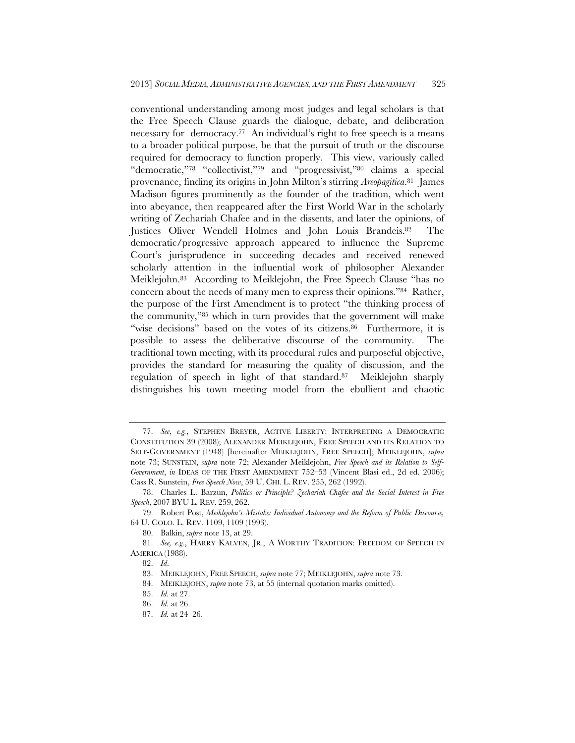conventional understanding among most judges and legal scholars is that the Free Speech Clause guards the dialogue, debate, and deliberation necessary for democracy.<sup>77</sup> An individual's right to free speech is a means to a broader political purpose, be that the pursuit of truth or the discourse required for democracy to function properly. This view, variously called "democratic,"78 "collectivist,"79 and "progressivist,"80 claims a special provenance, finding its origins in John Milton's stirring *Areopagitica*.81 James Madison figures prominently as the founder of the tradition, which went into abeyance, then reappeared after the First World War in the scholarly writing of Zechariah Chafee and in the dissents, and later the opinions, of Justices Oliver Wendell Holmes and John Louis Brandeis.82 The democratic/progressive approach appeared to influence the Supreme Court's jurisprudence in succeeding decades and received renewed scholarly attention in the influential work of philosopher Alexander Meiklejohn.83 According to Meiklejohn, the Free Speech Clause "has no concern about the needs of many men to express their opinions."84 Rather, the purpose of the First Amendment is to protect "the thinking process of the community,"85 which in turn provides that the government will make "wise decisions" based on the votes of its citizens.<sup>86</sup> Furthermore, it is possible to assess the deliberative discourse of the community. The traditional town meeting, with its procedural rules and purposeful objective, provides the standard for measuring the quality of discussion, and the regulation of speech in light of that standard.87 Meiklejohn sharply distinguishes his town meeting model from the ebullient and chaotic

 <sup>77.</sup> *See*, *e.g.*, STEPHEN BREYER, ACTIVE LIBERTY: INTERPRETING A DEMOCRATIC CONSTITUTION 39 (2008); ALEXANDER MEIKLEJOHN, FREE SPEECH AND ITS RELATION TO SELF-GOVERNMENT (1948) [hereinafter MEIKLEJOHN, FREE SPEECH]; MEIKLEJOHN, *supra*  note 73; SUNSTEIN, *supra* note 72; Alexander Meiklejohn, *Free Speech and its Relation to Self-Government*, *in* IDEAS OF THE FIRST AMENDMENT 752–53 (Vincent Blasi ed., 2d ed. 2006); Cass R. Sunstein, *Free Speech Now*, 59 U. CHI. L. REV. 255, 262 (1992).

 <sup>78.</sup> Charles L. Barzun, *Politics or Principle? Zechariah Chafee and the Social Interest in Free Speech*, 2007 BYU L. REV. 259, 262.

 <sup>79.</sup> Robert Post, *Meiklejohn's Mistake: Individual Autonomy and the Reform of Public Discourse,*  64 U. COLO. L. REV. 1109, 1109 (1993).

 <sup>80.</sup> Balkin, *supra* note 13, at 29.

 <sup>81.</sup> *See, e.g.*, HARRY KALVEN, JR., A WORTHY TRADITION: FREEDOM OF SPEECH IN AMERICA (1988).

 <sup>82.</sup> *Id*.

 <sup>83.</sup> MEIKLEJOHN, FREE SPEECH, *supra* note 77; MEIKLEJOHN, *supra* note 73.

 <sup>84.</sup> MEIKLEJOHN, *supra* note 73, at 55 (internal quotation marks omitted).

 <sup>85.</sup> *Id.* at 27.

 <sup>86.</sup> *Id.* at 26.

 <sup>87.</sup> *Id.* at 24–26.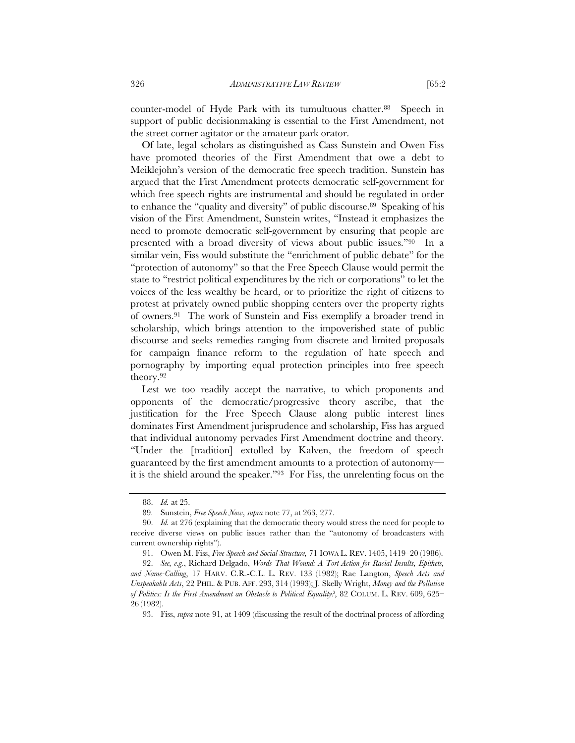counter-model of Hyde Park with its tumultuous chatter.88 Speech in support of public decisionmaking is essential to the First Amendment, not the street corner agitator or the amateur park orator.

Of late, legal scholars as distinguished as Cass Sunstein and Owen Fiss have promoted theories of the First Amendment that owe a debt to Meiklejohn's version of the democratic free speech tradition. Sunstein has argued that the First Amendment protects democratic self-government for which free speech rights are instrumental and should be regulated in order to enhance the "quality and diversity" of public discourse.<sup>89</sup> Speaking of his vision of the First Amendment, Sunstein writes, "Instead it emphasizes the need to promote democratic self-government by ensuring that people are presented with a broad diversity of views about public issues."90 In a similar vein, Fiss would substitute the "enrichment of public debate" for the "protection of autonomy" so that the Free Speech Clause would permit the state to "restrict political expenditures by the rich or corporations" to let the voices of the less wealthy be heard, or to prioritize the right of citizens to protest at privately owned public shopping centers over the property rights of owners.91 The work of Sunstein and Fiss exemplify a broader trend in scholarship, which brings attention to the impoverished state of public discourse and seeks remedies ranging from discrete and limited proposals for campaign finance reform to the regulation of hate speech and pornography by importing equal protection principles into free speech theory.92

Lest we too readily accept the narrative, to which proponents and opponents of the democratic/progressive theory ascribe, that the justification for the Free Speech Clause along public interest lines dominates First Amendment jurisprudence and scholarship, Fiss has argued that individual autonomy pervades First Amendment doctrine and theory. "Under the [tradition] extolled by Kalven, the freedom of speech guaranteed by the first amendment amounts to a protection of autonomy it is the shield around the speaker."93 For Fiss, the unrelenting focus on the

 <sup>88.</sup> *Id.* at 25.

 <sup>89.</sup> Sunstein, *Free Speech Now*, *supra* note 77, at 263, 277.

 <sup>90.</sup> *Id.* at 276 (explaining that the democratic theory would stress the need for people to receive diverse views on public issues rather than the "autonomy of broadcasters with current ownership rights").

 <sup>91.</sup> Owen M. Fiss, *Free Speech and Social Structure,* 71 IOWA L. REV. 1405, 1419–20 (1986).

 <sup>92.</sup> *See, e.g.*, Richard Delgado, *Words That Wound: A Tort Action for Racial Insults, Epithets, and Name-Calling*, 17 HARV. C.R.-C.L. L. REV. 133 (1982); Rae Langton, *Speech Acts and* 

*Unspeakable Acts*, 22 PHIL. & PUB. AFF. 293, 314 (1993); J. Skelly Wright, *Money and the Pollution of Politics: Is the First Amendment an Obstacle to Political Equality?*, 82 COLUM. L. REV. 609, 625– 26 (1982).

 <sup>93.</sup> Fiss, *supra* note 91, at 1409 (discussing the result of the doctrinal process of affording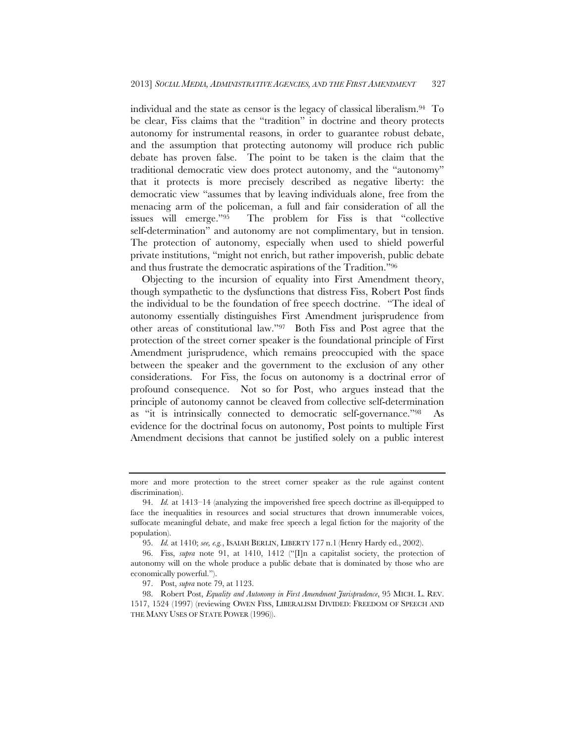individual and the state as censor is the legacy of classical liberalism.94 To be clear, Fiss claims that the "tradition" in doctrine and theory protects autonomy for instrumental reasons, in order to guarantee robust debate, and the assumption that protecting autonomy will produce rich public debate has proven false. The point to be taken is the claim that the traditional democratic view does protect autonomy, and the "autonomy" that it protects is more precisely described as negative liberty: the democratic view "assumes that by leaving individuals alone, free from the menacing arm of the policeman, a full and fair consideration of all the issues will emerge."95 The problem for Fiss is that "collective self-determination" and autonomy are not complimentary, but in tension. The protection of autonomy, especially when used to shield powerful private institutions, "might not enrich, but rather impoverish, public debate and thus frustrate the democratic aspirations of the Tradition."96

Objecting to the incursion of equality into First Amendment theory, though sympathetic to the dysfunctions that distress Fiss, Robert Post finds the individual to be the foundation of free speech doctrine. "The ideal of autonomy essentially distinguishes First Amendment jurisprudence from other areas of constitutional law."97 Both Fiss and Post agree that the protection of the street corner speaker is the foundational principle of First Amendment jurisprudence, which remains preoccupied with the space between the speaker and the government to the exclusion of any other considerations. For Fiss, the focus on autonomy is a doctrinal error of profound consequence. Not so for Post, who argues instead that the principle of autonomy cannot be cleaved from collective self-determination as "it is intrinsically connected to democratic self-governance."98 As evidence for the doctrinal focus on autonomy, Post points to multiple First Amendment decisions that cannot be justified solely on a public interest

more and more protection to the street corner speaker as the rule against content discrimination).

 <sup>94.</sup> *Id.* at 1413–14 (analyzing the impoverished free speech doctrine as ill-equipped to face the inequalities in resources and social structures that drown innumerable voices, suffocate meaningful debate, and make free speech a legal fiction for the majority of the population).

 <sup>95.</sup> *Id.* at 1410; *see, e.g.*, ISAIAH BERLIN, LIBERTY 177 n.1 (Henry Hardy ed., 2002).

 <sup>96.</sup> Fiss, *supra* note 91, at 1410, 1412 ("[I]n a capitalist society, the protection of autonomy will on the whole produce a public debate that is dominated by those who are economically powerful.").

 <sup>97.</sup> Post, *supra* note 79, at 1123.

 <sup>98.</sup> Robert Post, *Equality and Autonomy in First Amendment Jurisprudence*, 95 MICH. L. REV. 1517, 1524 (1997) (reviewing OWEN FISS, LIBERALISM DIVIDED: FREEDOM OF SPEECH AND THE MANY USES OF STATE POWER (1996)).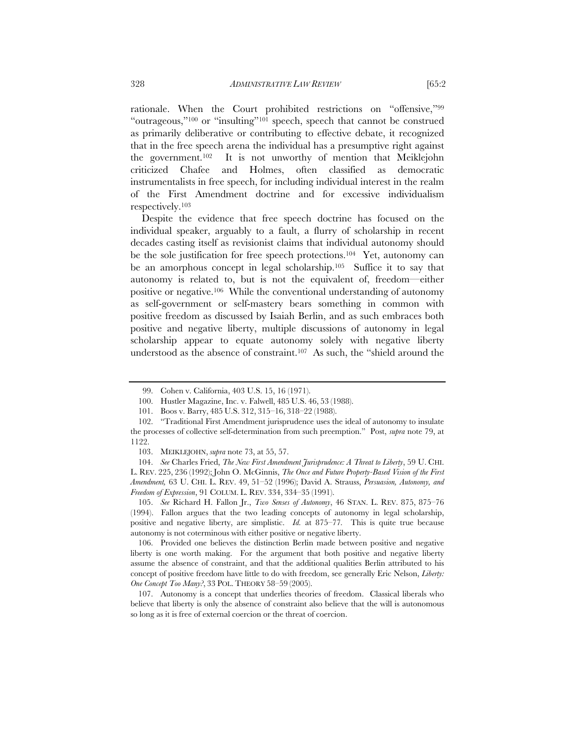rationale. When the Court prohibited restrictions on "offensive,"99 "outrageous,"100 or "insulting"101 speech, speech that cannot be construed as primarily deliberative or contributing to effective debate, it recognized that in the free speech arena the individual has a presumptive right against the government.102 It is not unworthy of mention that Meiklejohn criticized Chafee and Holmes, often classified as democratic instrumentalists in free speech, for including individual interest in the realm of the First Amendment doctrine and for excessive individualism respectively.103

Despite the evidence that free speech doctrine has focused on the individual speaker, arguably to a fault, a flurry of scholarship in recent decades casting itself as revisionist claims that individual autonomy should be the sole justification for free speech protections.104 Yet, autonomy can be an amorphous concept in legal scholarship.105 Suffice it to say that autonomy is related to, but is not the equivalent of, freedom—either positive or negative.106 While the conventional understanding of autonomy as self-government or self-mastery bears something in common with positive freedom as discussed by Isaiah Berlin, and as such embraces both positive and negative liberty, multiple discussions of autonomy in legal scholarship appear to equate autonomy solely with negative liberty understood as the absence of constraint.107 As such, the "shield around the

 <sup>99.</sup> Cohen v. California, 403 U.S. 15, 16 (1971).

 <sup>100.</sup> Hustler Magazine, Inc. v. Falwell, 485 U.S. 46, 53 (1988).

 <sup>101.</sup> Boos v. Barry, 485 U.S. 312, 315–16, 318–22 (1988).

 <sup>102. &</sup>quot;Traditional First Amendment jurisprudence uses the ideal of autonomy to insulate the processes of collective self-determination from such preemption." Post, *supra* note 79, at 1122.

 <sup>103.</sup> MEIKLEJOHN, *supra* note 73, at 55, 57.

 <sup>104.</sup> *See* Charles Fried, *The New First Amendment Jurisprudence: A Threat to Liberty*, 59 U. CHI. L. REV. 225, 236 (1992); John O. McGinnis, *The Once and Future Property-Based Vision of the First Amendment,* 63 U. CHI. L. REV. 49, 51–52 (1996); David A. Strauss, *Persuasion, Autonomy, and Freedom of Expression*, 91 COLUM. L. REV. 334, 334–35 (1991).

 <sup>105.</sup> *See* Richard H. Fallon Jr., *Two Senses of Autonomy*, 46 STAN. L. REV. 875, 875–76 (1994). Fallon argues that the two leading concepts of autonomy in legal scholarship, positive and negative liberty, are simplistic. *Id.* at 875–77*.* This is quite true because autonomy is not coterminous with either positive or negative liberty.

 <sup>106.</sup> Provided one believes the distinction Berlin made between positive and negative liberty is one worth making. For the argument that both positive and negative liberty assume the absence of constraint, and that the additional qualities Berlin attributed to his concept of positive freedom have little to do with freedom, see generally Eric Nelson, *Liberty: One Concept Too Many?*, 33 POL. THEORY 58–59 (2005).

 <sup>107.</sup> Autonomy is a concept that underlies theories of freedom. Classical liberals who believe that liberty is only the absence of constraint also believe that the will is autonomous so long as it is free of external coercion or the threat of coercion.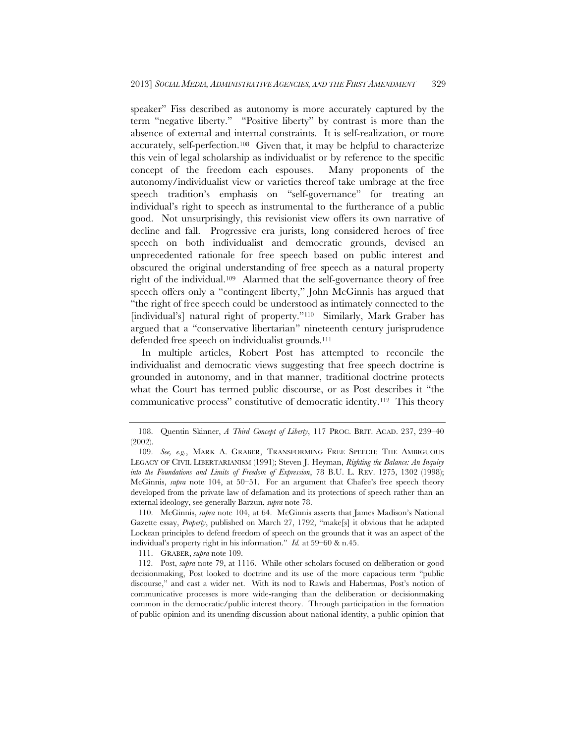speaker" Fiss described as autonomy is more accurately captured by the term "negative liberty." "Positive liberty" by contrast is more than the absence of external and internal constraints. It is self-realization, or more accurately, self-perfection.108 Given that, it may be helpful to characterize this vein of legal scholarship as individualist or by reference to the specific concept of the freedom each espouses. Many proponents of the autonomy/individualist view or varieties thereof take umbrage at the free speech tradition's emphasis on "self-governance" for treating an individual's right to speech as instrumental to the furtherance of a public good. Not unsurprisingly, this revisionist view offers its own narrative of decline and fall. Progressive era jurists, long considered heroes of free speech on both individualist and democratic grounds, devised an unprecedented rationale for free speech based on public interest and obscured the original understanding of free speech as a natural property right of the individual.109 Alarmed that the self-governance theory of free speech offers only a "contingent liberty," John McGinnis has argued that "the right of free speech could be understood as intimately connected to the [individual's] natural right of property."<sup>110</sup> Similarly, Mark Graber has argued that a "conservative libertarian" nineteenth century jurisprudence defended free speech on individualist grounds.<sup>111</sup>

In multiple articles, Robert Post has attempted to reconcile the individualist and democratic views suggesting that free speech doctrine is grounded in autonomy, and in that manner, traditional doctrine protects what the Court has termed public discourse, or as Post describes it "the communicative process" constitutive of democratic identity.112 This theory

111. GRABER, *supra* note 109.

 <sup>108.</sup> Quentin Skinner, *A Third Concept of Liberty*, 117 PROC. BRIT. ACAD. 237, 239–40 (2002).

 <sup>109.</sup> *See, e.g.*, MARK A. GRABER, TRANSFORMING FREE SPEECH: THE AMBIGUOUS LEGACY OF CIVIL LIBERTARIANISM (1991); Steven J. Heyman, *Righting the Balance: An Inquiry into the Foundations and Limits of Freedom of Expression*, 78 B.U. L. REV. 1275, 1302 (1998); McGinnis, *supra* note 104, at 50–51. For an argument that Chafee's free speech theory developed from the private law of defamation and its protections of speech rather than an external ideology, see generally Barzun, *supra* note 78.

 <sup>110.</sup> McGinnis, *supra* note 104, at 64. McGinnis asserts that James Madison's National Gazette essay, *Property*, published on March 27, 1792, "make[s] it obvious that he adapted Lockean principles to defend freedom of speech on the grounds that it was an aspect of the individual's property right in his information." *Id.* at 59–60 & n.45.

 <sup>112.</sup> Post, *supra* note 79, at 1116. While other scholars focused on deliberation or good decisionmaking, Post looked to doctrine and its use of the more capacious term "public discourse," and cast a wider net. With its nod to Rawls and Habermas, Post's notion of communicative processes is more wide-ranging than the deliberation or decisionmaking common in the democratic/public interest theory. Through participation in the formation of public opinion and its unending discussion about national identity, a public opinion that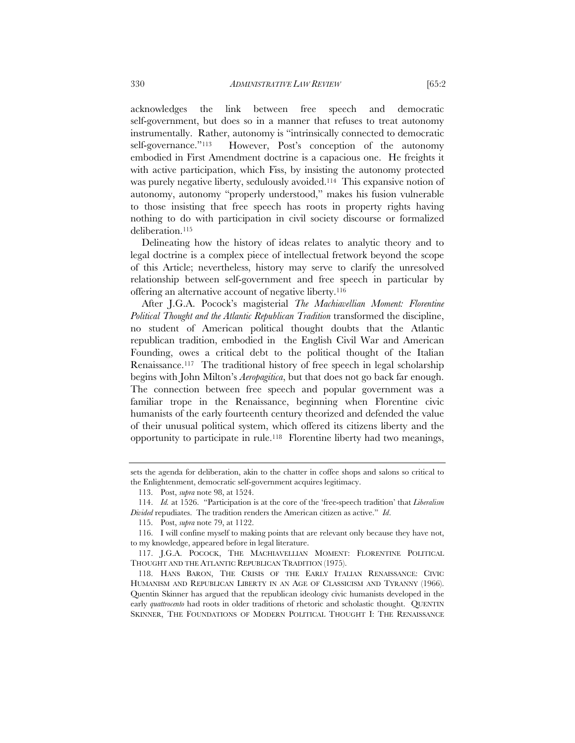acknowledges the link between free speech and democratic self-government, but does so in a manner that refuses to treat autonomy instrumentally. Rather, autonomy is "intrinsically connected to democratic self-governance."<sup>113</sup> However, Post's conception of the autonomy embodied in First Amendment doctrine is a capacious one. He freights it with active participation, which Fiss, by insisting the autonomy protected was purely negative liberty, sedulously avoided.114 This expansive notion of autonomy, autonomy "properly understood," makes his fusion vulnerable to those insisting that free speech has roots in property rights having nothing to do with participation in civil society discourse or formalized deliberation.<sup>115</sup>

Delineating how the history of ideas relates to analytic theory and to legal doctrine is a complex piece of intellectual fretwork beyond the scope of this Article; nevertheless, history may serve to clarify the unresolved relationship between self-government and free speech in particular by offering an alternative account of negative liberty.116

After J.G.A. Pocock's magisterial *The Machiavellian Moment: Florentine Political Thought and the Atlantic Republican Tradition* transformed the discipline, no student of American political thought doubts that the Atlantic republican tradition, embodied in the English Civil War and American Founding, owes a critical debt to the political thought of the Italian Renaissance.117 The traditional history of free speech in legal scholarship begins with John Milton's *Aeropagitica*, but that does not go back far enough. The connection between free speech and popular government was a familiar trope in the Renaissance, beginning when Florentine civic humanists of the early fourteenth century theorized and defended the value of their unusual political system, which offered its citizens liberty and the opportunity to participate in rule.118 Florentine liberty had two meanings,

sets the agenda for deliberation, akin to the chatter in coffee shops and salons so critical to the Enlightenment, democratic self-government acquires legitimacy.

 <sup>113.</sup> Post, *supra* note 98, at 1524.

 <sup>114.</sup> *Id.* at 1526. "Participation is at the core of the 'free-speech tradition' that *Liberalism Divided* repudiates. The tradition renders the American citizen as active." *Id*.

 <sup>115.</sup> Post, *supra* note 79, at 1122.

 <sup>116.</sup> I will confine myself to making points that are relevant only because they have not, to my knowledge, appeared before in legal literature.

 <sup>117.</sup> J.G.A. POCOCK, THE MACHIAVELLIAN MOMENT: FLORENTINE POLITICAL THOUGHT AND THE ATLANTIC REPUBLICAN TRADITION (1975).

 <sup>118.</sup> HANS BARON, THE CRISIS OF THE EARLY ITALIAN RENAISSANCE: CIVIC HUMANISM AND REPUBLICAN LIBERTY IN AN AGE OF CLASSICISM AND TYRANNY (1966). Quentin Skinner has argued that the republican ideology civic humanists developed in the early *quattrocento* had roots in older traditions of rhetoric and scholastic thought. QUENTIN SKINNER, THE FOUNDATIONS OF MODERN POLITICAL THOUGHT I: THE RENAISSANCE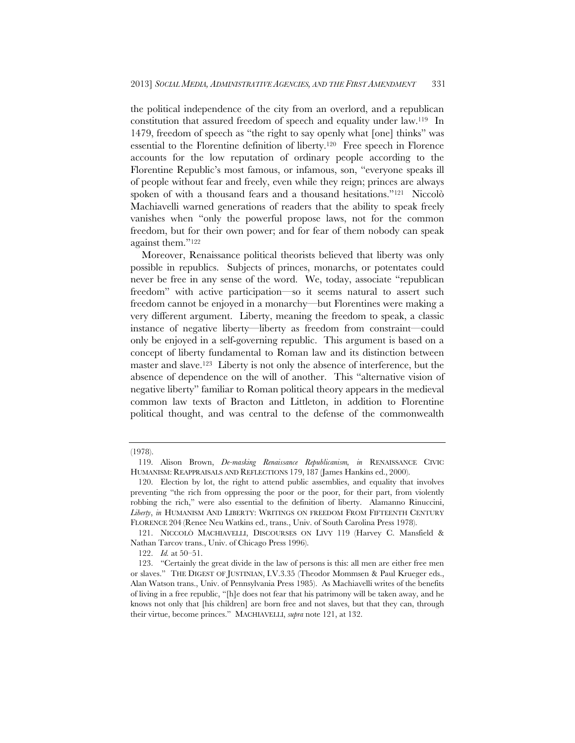the political independence of the city from an overlord, and a republican constitution that assured freedom of speech and equality under law.119 In 1479, freedom of speech as "the right to say openly what [one] thinks" was essential to the Florentine definition of liberty.120 Free speech in Florence accounts for the low reputation of ordinary people according to the Florentine Republic's most famous, or infamous, son, "everyone speaks ill of people without fear and freely, even while they reign; princes are always spoken of with a thousand fears and a thousand hesitations."121 Niccolò Machiavelli warned generations of readers that the ability to speak freely vanishes when "only the powerful propose laws, not for the common freedom, but for their own power; and for fear of them nobody can speak against them."122

Moreover, Renaissance political theorists believed that liberty was only possible in republics. Subjects of princes, monarchs, or potentates could never be free in any sense of the word. We, today, associate "republican freedom" with active participation—so it seems natural to assert such freedom cannot be enjoyed in a monarchy—but Florentines were making a very different argument. Liberty, meaning the freedom to speak, a classic instance of negative liberty—liberty as freedom from constraint—could only be enjoyed in a self-governing republic. This argument is based on a concept of liberty fundamental to Roman law and its distinction between master and slave.123 Liberty is not only the absence of interference, but the absence of dependence on the will of another. This "alternative vision of negative liberty" familiar to Roman political theory appears in the medieval common law texts of Bracton and Littleton, in addition to Florentine political thought, and was central to the defense of the commonwealth

<sup>(1978).</sup> 

 <sup>119.</sup> Alison Brown, *De-masking Renaissance Republicanism, in* RENAISSANCE CIVIC HUMANISM: REAPPRAISALS AND REFLECTIONS 179, 187 (James Hankins ed., 2000).

 <sup>120.</sup> Election by lot, the right to attend public assemblies, and equality that involves preventing "the rich from oppressing the poor or the poor, for their part, from violently robbing the rich," were also essential to the definition of liberty. Alamanno Rinuccini, *Liberty*, *in* HUMANISM AND LIBERTY: WRITINGS ON FREEDOM FROM FIFTEENTH CENTURY FLORENCE 204 (Renee Neu Watkins ed., trans., Univ. of South Carolina Press 1978).

 <sup>121.</sup> NICCOLÒ MACHIAVELLI, DISCOURSES ON LIVY 119 (Harvey C. Mansfield & Nathan Tarcov trans., Univ. of Chicago Press 1996).

 <sup>122.</sup> *Id.* at 50–51.

 <sup>123. &</sup>quot;Certainly the great divide in the law of persons is this: all men are either free men or slaves." THE DIGEST OF JUSTINIAN, I.V.3.35 (Theodor Mommsen & Paul Krueger eds., Alan Watson trans., Univ. of Pennsylvania Press 1985). As Machiavelli writes of the benefits of living in a free republic, "[h]e does not fear that his patrimony will be taken away, and he knows not only that [his children] are born free and not slaves, but that they can, through their virtue, become princes." MACHIAVELLI, *supra* note 121, at 132.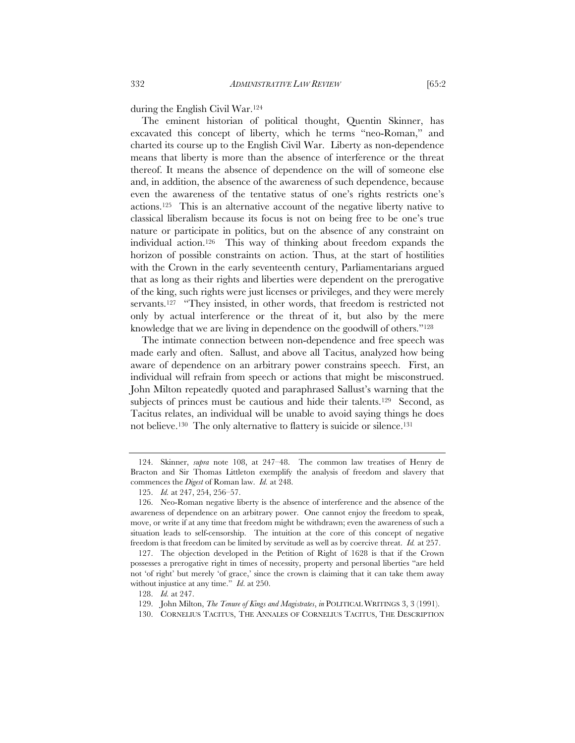during the English Civil War.124

The eminent historian of political thought, Quentin Skinner, has excavated this concept of liberty, which he terms "neo-Roman," and charted its course up to the English Civil War. Liberty as non-dependence means that liberty is more than the absence of interference or the threat thereof. It means the absence of dependence on the will of someone else and, in addition, the absence of the awareness of such dependence, because even the awareness of the tentative status of one's rights restricts one's actions.125 This is an alternative account of the negative liberty native to classical liberalism because its focus is not on being free to be one's true nature or participate in politics, but on the absence of any constraint on individual action.126 This way of thinking about freedom expands the horizon of possible constraints on action. Thus, at the start of hostilities with the Crown in the early seventeenth century, Parliamentarians argued that as long as their rights and liberties were dependent on the prerogative of the king, such rights were just licenses or privileges, and they were merely servants.<sup>127</sup> "They insisted, in other words, that freedom is restricted not only by actual interference or the threat of it, but also by the mere knowledge that we are living in dependence on the goodwill of others."128

The intimate connection between non-dependence and free speech was made early and often. Sallust, and above all Tacitus, analyzed how being aware of dependence on an arbitrary power constrains speech. First, an individual will refrain from speech or actions that might be misconstrued. John Milton repeatedly quoted and paraphrased Sallust's warning that the subjects of princes must be cautious and hide their talents.<sup>129</sup> Second, as Tacitus relates, an individual will be unable to avoid saying things he does not believe.130 The only alternative to flattery is suicide or silence.131

 <sup>124.</sup> Skinner, *supra* note 108, at 247–48. The common law treatises of Henry de Bracton and Sir Thomas Littleton exemplify the analysis of freedom and slavery that commences the *Digest* of Roman law. *Id.* at 248.

 <sup>125.</sup> *Id.* at 247, 254, 256–57.

 <sup>126.</sup> Neo-Roman negative liberty is the absence of interference and the absence of the awareness of dependence on an arbitrary power. One cannot enjoy the freedom to speak, move, or write if at any time that freedom might be withdrawn; even the awareness of such a situation leads to self-censorship. The intuition at the core of this concept of negative freedom is that freedom can be limited by servitude as well as by coercive threat. *Id.* at 257.

 <sup>127.</sup> The objection developed in the Petition of Right of 1628 is that if the Crown possesses a prerogative right in times of necessity, property and personal liberties "are held not 'of right' but merely 'of grace,' since the crown is claiming that it can take them away without injustice at any time." *Id*. at 250.

 <sup>128.</sup> *Id.* at 247.

 <sup>129.</sup> John Milton, *The Tenure of Kings and Magistrates*, *in* POLITICAL WRITINGS 3, 3 (1991).

 <sup>130.</sup> CORNELIUS TACITUS, THE ANNALES OF CORNELIUS TACITUS, THE DESCRIPTION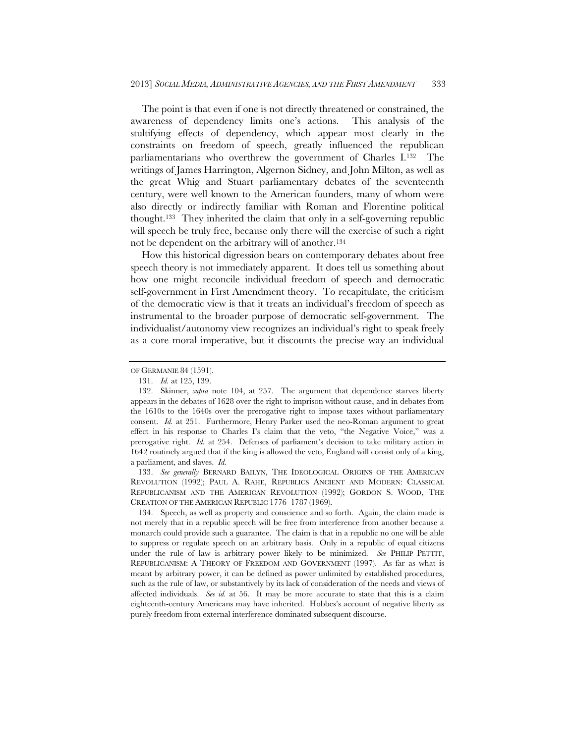The point is that even if one is not directly threatened or constrained, the awareness of dependency limits one's actions. This analysis of the stultifying effects of dependency, which appear most clearly in the constraints on freedom of speech, greatly influenced the republican parliamentarians who overthrew the government of Charles I.132 The writings of James Harrington, Algernon Sidney, and John Milton, as well as the great Whig and Stuart parliamentary debates of the seventeenth century, were well known to the American founders, many of whom were also directly or indirectly familiar with Roman and Florentine political thought.133 They inherited the claim that only in a self-governing republic will speech be truly free, because only there will the exercise of such a right not be dependent on the arbitrary will of another.134

How this historical digression bears on contemporary debates about free speech theory is not immediately apparent. It does tell us something about how one might reconcile individual freedom of speech and democratic self-government in First Amendment theory. To recapitulate, the criticism of the democratic view is that it treats an individual's freedom of speech as instrumental to the broader purpose of democratic self-government. The individualist/autonomy view recognizes an individual's right to speak freely as a core moral imperative, but it discounts the precise way an individual

 133. *See generally* BERNARD BAILYN, THE IDEOLOGICAL ORIGINS OF THE AMERICAN REVOLUTION (1992); PAUL A. RAHE, REPUBLICS ANCIENT AND MODERN: CLASSICAL REPUBLICANISM AND THE AMERICAN REVOLUTION (1992); GORDON S. WOOD, THE CREATION OF THE AMERICAN REPUBLIC 1776–1787 (1969).

 134. Speech, as well as property and conscience and so forth. Again, the claim made is not merely that in a republic speech will be free from interference from another because a monarch could provide such a guarantee. The claim is that in a republic no one will be able to suppress or regulate speech on an arbitrary basis. Only in a republic of equal citizens under the rule of law is arbitrary power likely to be minimized. *See* PHILIP PETTIT, REPUBLICANISM: A THEORY OF FREEDOM AND GOVERNMENT (1997). As far as what is meant by arbitrary power, it can be defined as power unlimited by established procedures, such as the rule of law, or substantively by its lack of consideration of the needs and views of affected individuals. *See id.* at 56. It may be more accurate to state that this is a claim eighteenth-century Americans may have inherited. Hobbes's account of negative liberty as purely freedom from external interference dominated subsequent discourse.

OF GERMANIE 84 (1591).

 <sup>131.</sup> *Id.* at 125, 139.

 <sup>132.</sup> Skinner, *supra* note 104, at 257. The argument that dependence starves liberty appears in the debates of 1628 over the right to imprison without cause, and in debates from the 1610s to the 1640s over the prerogative right to impose taxes without parliamentary consent. *Id.* at 251. Furthermore, Henry Parker used the neo-Roman argument to great effect in his response to Charles I's claim that the veto, "the Negative Voice," was a prerogative right. *Id.* at 254. Defenses of parliament's decision to take military action in 1642 routinely argued that if the king is allowed the veto, England will consist only of a king, a parliament, and slaves. *Id.*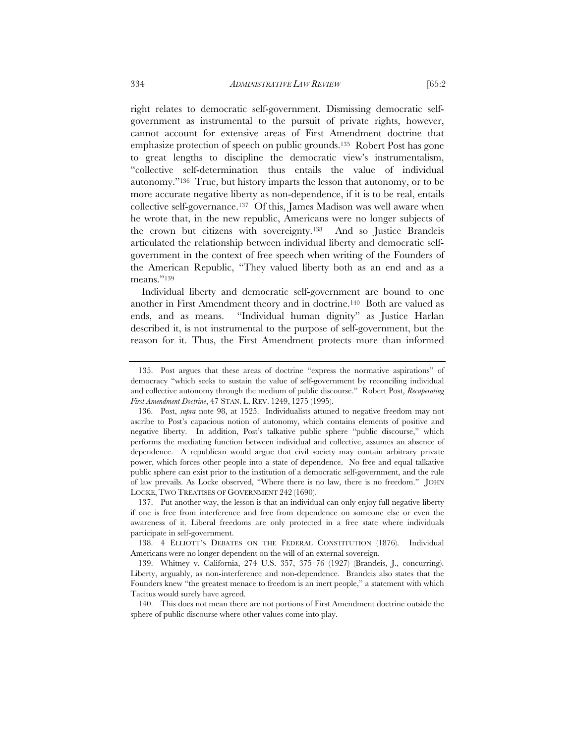right relates to democratic self-government. Dismissing democratic selfgovernment as instrumental to the pursuit of private rights, however, cannot account for extensive areas of First Amendment doctrine that emphasize protection of speech on public grounds.135 Robert Post has gone to great lengths to discipline the democratic view's instrumentalism, "collective self-determination thus entails the value of individual autonomy."136 True, but history imparts the lesson that autonomy, or to be more accurate negative liberty as non-dependence, if it is to be real, entails collective self-governance.137 Of this, James Madison was well aware when he wrote that, in the new republic, Americans were no longer subjects of the crown but citizens with sovereignty.138 And so Justice Brandeis articulated the relationship between individual liberty and democratic selfgovernment in the context of free speech when writing of the Founders of the American Republic, "They valued liberty both as an end and as a

Individual liberty and democratic self-government are bound to one another in First Amendment theory and in doctrine.140 Both are valued as ends, and as means. "Individual human dignity" as Justice Harlan described it, is not instrumental to the purpose of self-government, but the reason for it. Thus, the First Amendment protects more than informed

means."139

 <sup>135.</sup> Post argues that these areas of doctrine "express the normative aspirations" of democracy "which seeks to sustain the value of self-government by reconciling individual and collective autonomy through the medium of public discourse." Robert Post, *Recuperating First Amendment Doctrine*, 47 STAN. L. REV. 1249, 1275 (1995).

 <sup>136.</sup> Post, *supra* note 98, at 1525. Individualists attuned to negative freedom may not ascribe to Post's capacious notion of autonomy, which contains elements of positive and negative liberty. In addition, Post's talkative public sphere "public discourse," which performs the mediating function between individual and collective, assumes an absence of dependence. A republican would argue that civil society may contain arbitrary private power, which forces other people into a state of dependence. No free and equal talkative public sphere can exist prior to the institution of a democratic self-government, and the rule of law prevails. As Locke observed, "Where there is no law, there is no freedom." JOHN LOCKE, TWO TREATISES OF GOVERNMENT 242 (1690).

 <sup>137.</sup> Put another way, the lesson is that an individual can only enjoy full negative liberty if one is free from interference and free from dependence on someone else or even the awareness of it. Liberal freedoms are only protected in a free state where individuals participate in self-government.

 <sup>138. 4</sup> ELLIOTT'S DEBATES ON THE FEDERAL CONSTITUTION (1876). Individual Americans were no longer dependent on the will of an external sovereign.

 <sup>139.</sup> Whitney v. California, 274 U.S. 357, 375–76 (1927) (Brandeis, J., concurring). Liberty, arguably, as non-interference and non-dependence. Brandeis also states that the Founders knew "the greatest menace to freedom is an inert people," a statement with which Tacitus would surely have agreed.

 <sup>140.</sup> This does not mean there are not portions of First Amendment doctrine outside the sphere of public discourse where other values come into play.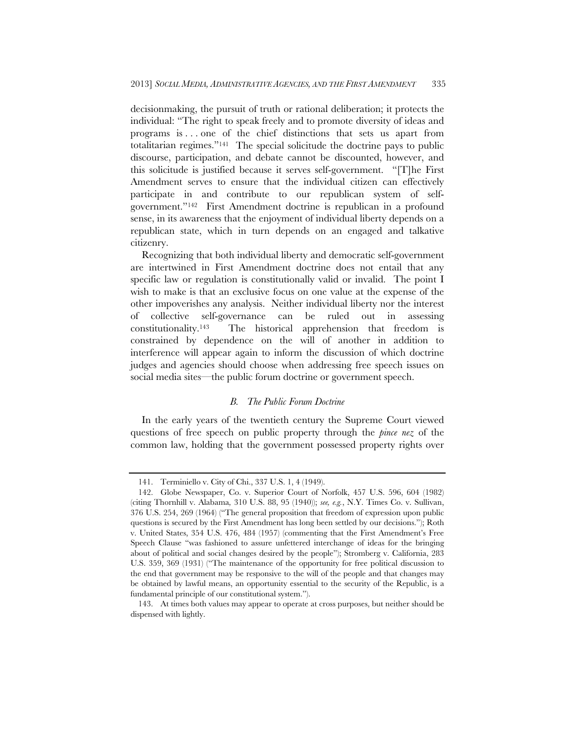decisionmaking, the pursuit of truth or rational deliberation; it protects the individual: "The right to speak freely and to promote diversity of ideas and programs is . . . one of the chief distinctions that sets us apart from totalitarian regimes."141 The special solicitude the doctrine pays to public discourse, participation, and debate cannot be discounted, however, and this solicitude is justified because it serves self-government. "[T]he First Amendment serves to ensure that the individual citizen can effectively participate in and contribute to our republican system of selfgovernment."142 First Amendment doctrine is republican in a profound sense, in its awareness that the enjoyment of individual liberty depends on a republican state, which in turn depends on an engaged and talkative citizenry.

Recognizing that both individual liberty and democratic self-government are intertwined in First Amendment doctrine does not entail that any specific law or regulation is constitutionally valid or invalid. The point I wish to make is that an exclusive focus on one value at the expense of the other impoverishes any analysis. Neither individual liberty nor the interest of collective self-governance can be ruled out in assessing constitutionality.143 The historical apprehension that freedom is constrained by dependence on the will of another in addition to interference will appear again to inform the discussion of which doctrine judges and agencies should choose when addressing free speech issues on social media sites—the public forum doctrine or government speech.

# *B. The Public Forum Doctrine*

In the early years of the twentieth century the Supreme Court viewed questions of free speech on public property through the *pince nez* of the common law, holding that the government possessed property rights over

 <sup>141.</sup> Terminiello v. City of Chi., 337 U.S. 1, 4 (1949).

 <sup>142.</sup> Globe Newspaper, Co. v. Superior Court of Norfolk, 457 U.S. 596, 604 (1982) (citing Thornhill v. Alabama*,* 310 U.S. 88, 95 (1940)); *see, e.g.*, N.Y. Times Co. v. Sullivan, 376 U.S. 254, 269 (1964) ("The general proposition that freedom of expression upon public questions is secured by the First Amendment has long been settled by our decisions."); Roth v. United States, 354 U.S. 476, 484 (1957) (commenting that the First Amendment's Free Speech Clause "was fashioned to assure unfettered interchange of ideas for the bringing about of political and social changes desired by the people"); Stromberg v. California, 283 U.S. 359, 369 (1931) ("The maintenance of the opportunity for free political discussion to the end that government may be responsive to the will of the people and that changes may be obtained by lawful means, an opportunity essential to the security of the Republic, is a fundamental principle of our constitutional system.").

 <sup>143.</sup> At times both values may appear to operate at cross purposes, but neither should be dispensed with lightly.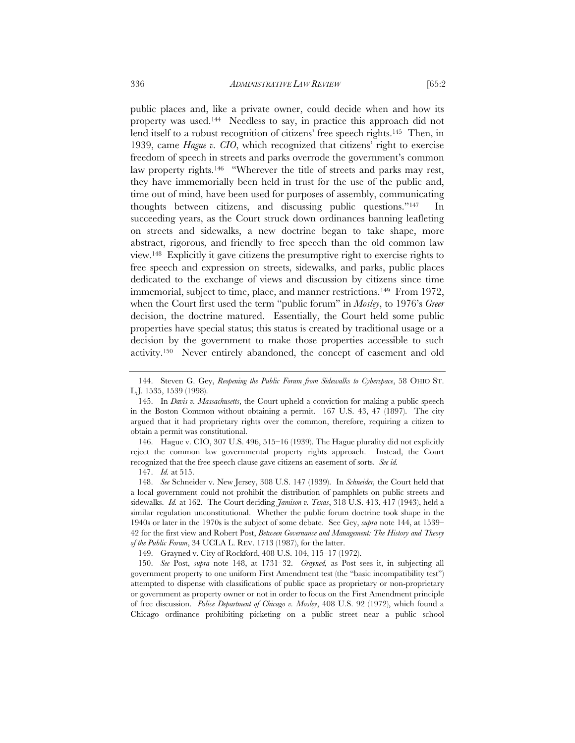public places and, like a private owner, could decide when and how its property was used.144 Needless to say, in practice this approach did not lend itself to a robust recognition of citizens' free speech rights.145 Then, in 1939, came *Hague v. CIO*, which recognized that citizens' right to exercise freedom of speech in streets and parks overrode the government's common law property rights.<sup>146</sup> "Wherever the title of streets and parks may rest, they have immemorially been held in trust for the use of the public and,

time out of mind, have been used for purposes of assembly, communicating thoughts between citizens, and discussing public questions."147 In succeeding years, as the Court struck down ordinances banning leafleting on streets and sidewalks, a new doctrine began to take shape, more abstract, rigorous, and friendly to free speech than the old common law view.148 Explicitly it gave citizens the presumptive right to exercise rights to free speech and expression on streets, sidewalks, and parks, public places dedicated to the exchange of views and discussion by citizens since time immemorial, subject to time, place, and manner restrictions.149 From 1972, when the Court first used the term "public forum" in *Mosley*, to 1976's *Greer* decision, the doctrine matured. Essentially, the Court held some public properties have special status; this status is created by traditional usage or a decision by the government to make those properties accessible to such activity.150 Never entirely abandoned, the concept of easement and old

 146. Hague v. CIO, 307 U.S. 496, 515–16 (1939). The Hague plurality did not explicitly reject the common law governmental property rights approach. Instead, the Court recognized that the free speech clause gave citizens an easement of sorts. *See id.*

147. *Id.* at 515.

 148. *See* Schneider v. New Jersey, 308 U.S. 147 (1939). In *Schneider,* the Court held that a local government could not prohibit the distribution of pamphlets on public streets and sidewalks. *Id.* at 162. The Court deciding *Jamison v. Texas*, 318 U.S. 413, 417 (1943), held a similar regulation unconstitutional. Whether the public forum doctrine took shape in the 1940s or later in the 1970s is the subject of some debate. See Gey, *supra* note 144, at 1539– 42 for the first view and Robert Post, *Between Governance and Management: The History and Theory of the Public Forum*, 34 UCLA L. REV. 1713 (1987), for the latter.

149. Grayned v. City of Rockford, 408 U.S. 104, 115–17 (1972).

 150. *See* Post, *supra* note 148, at 1731–32. *Grayned,* as Post sees it, in subjecting all government property to one uniform First Amendment test (the "basic incompatibility test") attempted to dispense with classifications of public space as proprietary or non-proprietary or government as property owner or not in order to focus on the First Amendment principle of free discussion. *Police Department of Chicago v. Mosley*, 408 U.S. 92 (1972), which found a Chicago ordinance prohibiting picketing on a public street near a public school

 <sup>144.</sup> Steven G. Gey, *Reopening the Public Forum from Sidewalks to Cyberspace*, 58 OHIO ST. L.J. 1535, 1539 (1998).

 <sup>145.</sup> In *Davis v. Massachusetts*, the Court upheld a conviction for making a public speech in the Boston Common without obtaining a permit. 167 U.S. 43, 47 (1897). The city argued that it had proprietary rights over the common, therefore, requiring a citizen to obtain a permit was constitutional.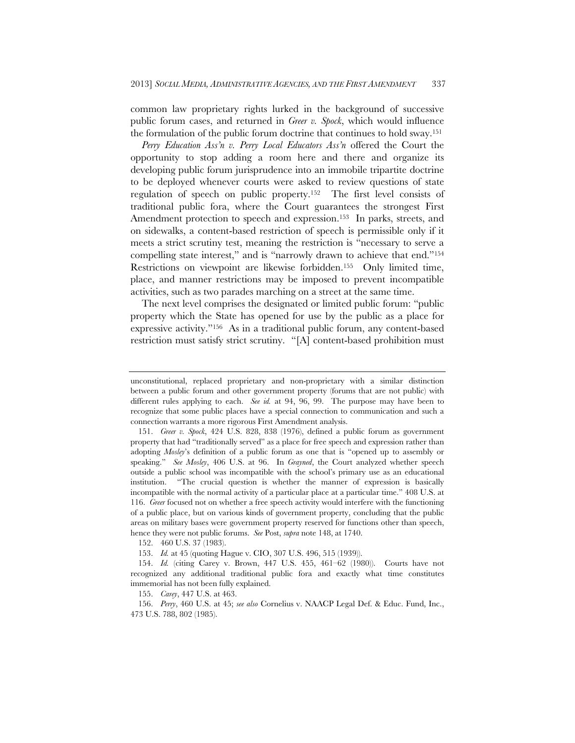common law proprietary rights lurked in the background of successive public forum cases, and returned in *Greer v. Spock*, which would influence the formulation of the public forum doctrine that continues to hold sway.151

*Perry Education Ass'n v. Perry Local Educators Ass'n* offered the Court the opportunity to stop adding a room here and there and organize its developing public forum jurisprudence into an immobile tripartite doctrine to be deployed whenever courts were asked to review questions of state regulation of speech on public property.152 The first level consists of traditional public fora, where the Court guarantees the strongest First Amendment protection to speech and expression.<sup>153</sup> In parks, streets, and on sidewalks, a content-based restriction of speech is permissible only if it meets a strict scrutiny test, meaning the restriction is "necessary to serve a compelling state interest," and is "narrowly drawn to achieve that end."154 Restrictions on viewpoint are likewise forbidden.155 Only limited time, place, and manner restrictions may be imposed to prevent incompatible activities, such as two parades marching on a street at the same time.

The next level comprises the designated or limited public forum: "public property which the State has opened for use by the public as a place for expressive activity."156 As in a traditional public forum, any content-based restriction must satisfy strict scrutiny. "[A] content-based prohibition must

152. 460 U.S. 37 (1983).

153. *Id.* at 45 (quoting Hague v. CIO, 307 U.S. 496, 515 (1939)).

155. *Carey*, 447 U.S. at 463.

unconstitutional, replaced proprietary and non-proprietary with a similar distinction between a public forum and other government property (forums that are not public) with different rules applying to each. *See id.* at 94, 96, 99. The purpose may have been to recognize that some public places have a special connection to communication and such a connection warrants a more rigorous First Amendment analysis.

 <sup>151.</sup> *Greer v. Spock*, 424 U.S. 828, 838 (1976), defined a public forum as government property that had "traditionally served" as a place for free speech and expression rather than adopting *Mosley*'s definition of a public forum as one that is "opened up to assembly or speaking." *See Mosley*, 406 U.S. at 96. In *Grayned*, the Court analyzed whether speech outside a public school was incompatible with the school's primary use as an educational institution. "The crucial question is whether the manner of expression is basically incompatible with the normal activity of a particular place at a particular time." 408 U.S. at 116. *Greer* focused not on whether a free speech activity would interfere with the functioning of a public place, but on various kinds of government property, concluding that the public areas on military bases were government property reserved for functions other than speech, hence they were not public forums. *See* Post, *supra* note 148, at 1740.

 <sup>154.</sup> *Id.* (citing Carey v. Brown, 447 U.S. 455, 461–62 (1980)). Courts have not recognized any additional traditional public fora and exactly what time constitutes immemorial has not been fully explained.

 <sup>156.</sup> *Perry*, 460 U.S. at 45; *see also* Cornelius v. NAACP Legal Def. & Educ. Fund, Inc., 473 U.S. 788, 802 (1985).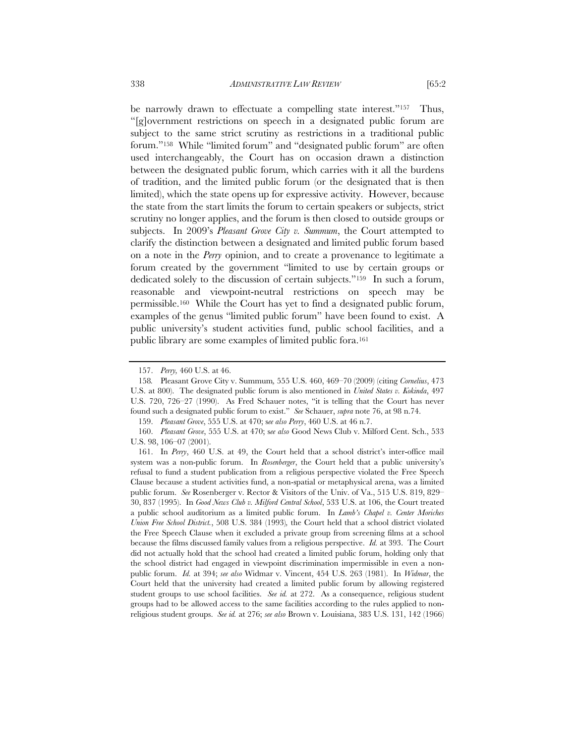be narrowly drawn to effectuate a compelling state interest."<sup>157</sup> Thus, "[g]overnment restrictions on speech in a designated public forum are subject to the same strict scrutiny as restrictions in a traditional public forum."158 While "limited forum" and "designated public forum" are often used interchangeably, the Court has on occasion drawn a distinction between the designated public forum, which carries with it all the burdens of tradition, and the limited public forum (or the designated that is then limited), which the state opens up for expressive activity. However, because the state from the start limits the forum to certain speakers or subjects, strict scrutiny no longer applies, and the forum is then closed to outside groups or subjects. In 2009's *Pleasant Grove City v. Summum*, the Court attempted to clarify the distinction between a designated and limited public forum based on a note in the *Perry* opinion, and to create a provenance to legitimate a forum created by the government "limited to use by certain groups or dedicated solely to the discussion of certain subjects."159 In such a forum, reasonable and viewpoint-neutral restrictions on speech may be permissible.160 While the Court has yet to find a designated public forum, examples of the genus "limited public forum" have been found to exist. A public university's student activities fund, public school facilities, and a public library are some examples of limited public fora.161

159. *Pleasant Grove*, 555 U.S. at 470; s*ee also Perry*, 460 U.S. at 46 n.7.

 <sup>157.</sup> *Perry,* 460 U.S. at 46.

<sup>158</sup>*.* Pleasant Grove City v. Summum*,* 555 U.S. 460, 469–70 (2009) (citing *Cornelius*, 473 U.S. at 800). The designated public forum is also mentioned in *United States v. Kokinda*, 497 U.S. 720, 726–27 (1990). As Fred Schauer notes, "it is telling that the Court has never found such a designated public forum to exist." *See* Schauer, *supra* note 76, at 98 n.74.

 <sup>160.</sup> *Pleasant Grove*, 555 U.S. at 470; s*ee also* Good News Club v. Milford Cent. Sch., 533 U.S. 98, 106–07 (2001).

 <sup>161.</sup> In *Perry*, 460 U.S. at 49, the Court held that a school district's inter-office mail system was a non-public forum. In *Rosenberger*, the Court held that a public university's refusal to fund a student publication from a religious perspective violated the Free Speech Clause because a student activities fund, a non-spatial or metaphysical arena, was a limited public forum. *See* Rosenberger v. Rector & Visitors of the Univ. of Va., 515 U.S. 819, 829– 30, 837 (1995). In *Good News Club v. Milford Central School*, 533 U.S. at 106, the Court treated a public school auditorium as a limited public forum. In *Lamb's Chapel v. Center Moriches Union Free School District.*, 508 U.S. 384 (1993)*,* the Court held that a school district violated the Free Speech Clause when it excluded a private group from screening films at a school because the films discussed family values from a religious perspective. *Id.* at 393. The Court did not actually hold that the school had created a limited public forum, holding only that the school district had engaged in viewpoint discrimination impermissible in even a nonpublic forum. *Id.* at 394; *see also* Widmar v. Vincent, 454 U.S. 263 (1981). In *Widmar*, the Court held that the university had created a limited public forum by allowing registered student groups to use school facilities. *See id.* at 272. As a consequence, religious student groups had to be allowed access to the same facilities according to the rules applied to nonreligious student groups. *See id.* at 276; *see also* Brown v. Louisiana, 383 U.S. 131, 142 (1966)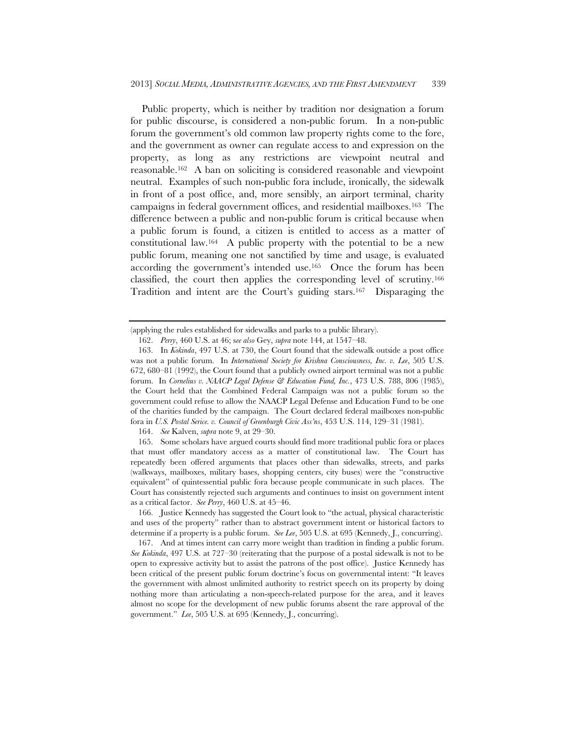Public property, which is neither by tradition nor designation a forum for public discourse, is considered a non-public forum. In a non-public forum the government's old common law property rights come to the fore, and the government as owner can regulate access to and expression on the property, as long as any restrictions are viewpoint neutral and reasonable.162 A ban on soliciting is considered reasonable and viewpoint neutral. Examples of such non-public fora include, ironically, the sidewalk in front of a post office, and, more sensibly, an airport terminal, charity campaigns in federal government offices, and residential mailboxes.163 The difference between a public and non-public forum is critical because when a public forum is found, a citizen is entitled to access as a matter of constitutional law.164 A public property with the potential to be a new public forum, meaning one not sanctified by time and usage, is evaluated according the government's intended use.165 Once the forum has been classified, the court then applies the corresponding level of scrutiny.166 Tradition and intent are the Court's guiding stars.167 Disparaging the

164. *See* Kalven, *supra* note 9, at 29–30.

 165. Some scholars have argued courts should find more traditional public fora or places that must offer mandatory access as a matter of constitutional law. The Court has repeatedly been offered arguments that places other than sidewalks, streets, and parks (walkways, mailboxes, military bases, shopping centers, city buses) were the "constructive equivalent" of quintessential public fora because people communicate in such places. The Court has consistently rejected such arguments and continues to insist on government intent as a critical factor. *See Perry*, 460 U.S. at 45–46.

 166. Justice Kennedy has suggested the Court look to "the actual, physical characteristic and uses of the property" rather than to abstract government intent or historical factors to determine if a property is a public forum. *See Lee*, 505 U.S. at 695 (Kennedy, J., concurring).

 167. And at times intent can carry more weight than tradition in finding a public forum. *See Kokinda*, 497 U.S. at 727–30 (reiterating that the purpose of a postal sidewalk is not to be open to expressive activity but to assist the patrons of the post office). Justice Kennedy has been critical of the present public forum doctrine's focus on governmental intent: "It leaves the government with almost unlimited authority to restrict speech on its property by doing nothing more than articulating a non-speech-related purpose for the area, and it leaves almost no scope for the development of new public forums absent the rare approval of the government." *Lee*, 505 U.S. at 695 (Kennedy, J., concurring).

<sup>(</sup>applying the rules established for sidewalks and parks to a public library).

 <sup>162.</sup> *Perry*, 460 U.S. at 46; s*ee also* Gey, *supra* note 144, at 1547–48.

 <sup>163.</sup> In *Kokinda*, 497 U.S. at 730, the Court found that the sidewalk outside a post office was not a public forum. In *International Society for Krishna Consciousness, Inc. v. Lee*, 505 U.S. 672, 680–81 (1992), the Court found that a publicly owned airport terminal was not a public forum. In *Cornelius v. NAACP Legal Defense & Education Fund, Inc.*, 473 U.S. 788, 806 (1985), the Court held that the Combined Federal Campaign was not a public forum so the government could refuse to allow the NAACP Legal Defense and Education Fund to be one of the charities funded by the campaign. The Court declared federal mailboxes non-public fora in *U.S. Postal Serice. v. Council of Greenburgh Civic Ass'ns*, 453 U.S. 114, 129–31 (1981).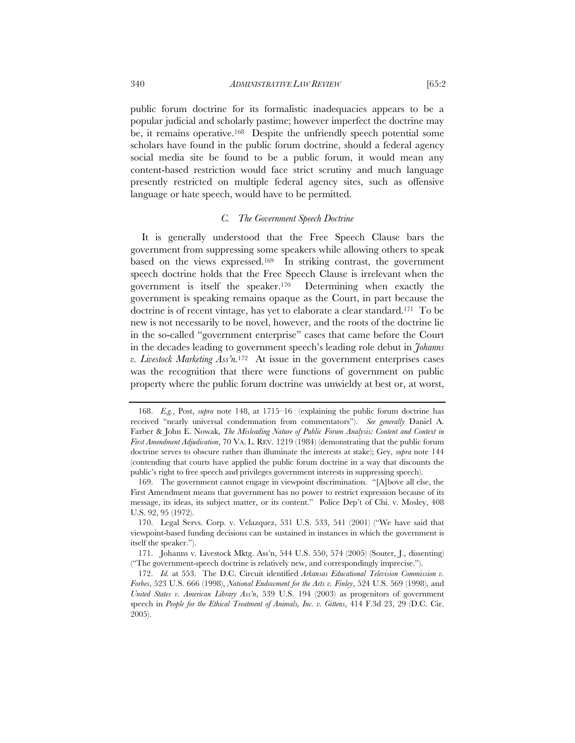public forum doctrine for its formalistic inadequacies appears to be a popular judicial and scholarly pastime; however imperfect the doctrine may be, it remains operative.168 Despite the unfriendly speech potential some scholars have found in the public forum doctrine, should a federal agency social media site be found to be a public forum, it would mean any content-based restriction would face strict scrutiny and much language presently restricted on multiple federal agency sites, such as offensive

### *C. The Government Speech Doctrine*

language or hate speech, would have to be permitted.

It is generally understood that the Free Speech Clause bars the government from suppressing some speakers while allowing others to speak based on the views expressed.169 In striking contrast, the government speech doctrine holds that the Free Speech Clause is irrelevant when the government is itself the speaker.170 Determining when exactly the government is speaking remains opaque as the Court, in part because the doctrine is of recent vintage, has yet to elaborate a clear standard.171 To be new is not necessarily to be novel, however, and the roots of the doctrine lie in the so-called "government enterprise" cases that came before the Court in the decades leading to government speech's leading role debut in *Johanns v. Livestock Marketing Ass'n.*172 At issue in the government enterprises cases was the recognition that there were functions of government on public property where the public forum doctrine was unwieldy at best or, at worst,

 <sup>168.</sup> *E.g.*, Post, *supra* note 148, at 1715–16 (explaining the public forum doctrine has received "nearly universal condemnation from commentators"). *See generally* Daniel A. Farber & John E. Nowak, *The Misleading Nature of Public Forum Analysis: Content and Context in First Amendment Adjudication*, 70 VA. L. REV. 1219 (1984) (demonstrating that the public forum doctrine serves to obscure rather than illuminate the interests at stake); Gey, *supra* note 144 (contending that courts have applied the public forum doctrine in a way that discounts the public's right to free speech and privileges government interests in suppressing speech).

 <sup>169.</sup> The government cannot engage in viewpoint discrimination. "[A]bove all else, the First Amendment means that government has no power to restrict expression because of its message, its ideas, its subject matter, or its content." Police Dep't of Chi. v. Mosley, 408 U.S. 92, 95 (1972).

 <sup>170.</sup> Legal Servs. Corp. v. Velazquez, 531 U.S. 533, 541 (2001) ("We have said that viewpoint-based funding decisions can be sustained in instances in which the government is itself the speaker.").

 <sup>171.</sup> Johanns v. Livestock Mktg. Ass'n, 544 U.S. 550, 574 (2005) (Souter, J., dissenting) ("The government-speech doctrine is relatively new, and correspondingly imprecise.").

 <sup>172.</sup> *Id.* at 553. The D.C. Circuit identified *Arkansas Educational Television Commission v. Forbes*, 523 U.S. 666 (1998), *National Endowment for the Arts v. Finley*, 524 U.S. 569 (1998), and *United States v. American Library Ass'n*, 539 U.S. 194 (2003) as progenitors of government speech in *People for the Ethical Treatment of Animals, Inc. v. Gittens*, 414 F.3d 23, 29 (D.C. Cir. 2005).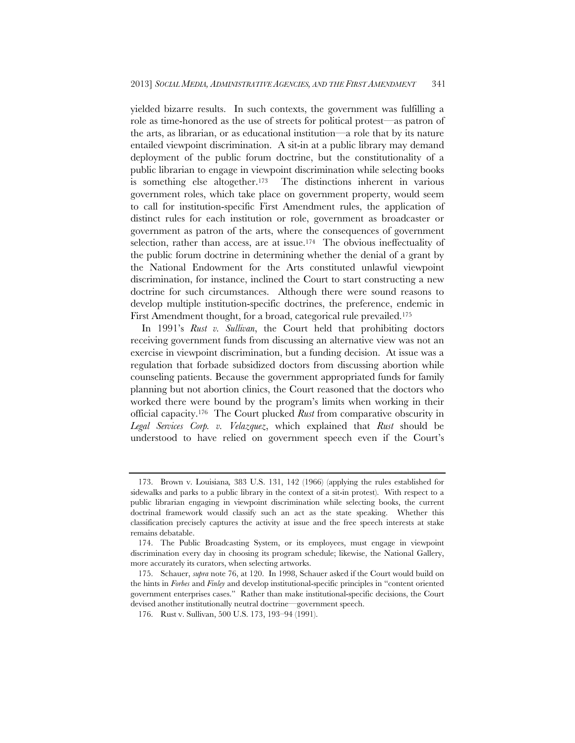yielded bizarre results. In such contexts, the government was fulfilling a role as time-honored as the use of streets for political protest—as patron of the arts, as librarian, or as educational institution—a role that by its nature entailed viewpoint discrimination. A sit-in at a public library may demand deployment of the public forum doctrine, but the constitutionality of a public librarian to engage in viewpoint discrimination while selecting books is something else altogether.173 The distinctions inherent in various government roles, which take place on government property, would seem to call for institution-specific First Amendment rules, the application of distinct rules for each institution or role, government as broadcaster or government as patron of the arts, where the consequences of government selection, rather than access, are at issue.<sup>174</sup> The obvious ineffectuality of the public forum doctrine in determining whether the denial of a grant by the National Endowment for the Arts constituted unlawful viewpoint discrimination, for instance, inclined the Court to start constructing a new doctrine for such circumstances. Although there were sound reasons to develop multiple institution-specific doctrines, the preference, endemic in First Amendment thought, for a broad, categorical rule prevailed.175

In 1991's *Rust v. Sullivan*, the Court held that prohibiting doctors receiving government funds from discussing an alternative view was not an exercise in viewpoint discrimination, but a funding decision. At issue was a regulation that forbade subsidized doctors from discussing abortion while counseling patients. Because the government appropriated funds for family planning but not abortion clinics, the Court reasoned that the doctors who worked there were bound by the program's limits when working in their official capacity.176 The Court plucked *Rust* from comparative obscurity in *Legal Services Corp. v. Velazquez*, which explained that *Rust* should be understood to have relied on government speech even if the Court's

 <sup>173.</sup> Brown v. Louisiana*,* 383 U.S. 131, 142 (1966) (applying the rules established for sidewalks and parks to a public library in the context of a sit-in protest). With respect to a public librarian engaging in viewpoint discrimination while selecting books, the current doctrinal framework would classify such an act as the state speaking. Whether this classification precisely captures the activity at issue and the free speech interests at stake remains debatable.

 <sup>174.</sup> The Public Broadcasting System, or its employees, must engage in viewpoint discrimination every day in choosing its program schedule; likewise, the National Gallery, more accurately its curators, when selecting artworks.

 <sup>175.</sup> Schauer, *supra* note 76, at 120. In 1998, Schauer asked if the Court would build on the hints in *Forbes* and *Finley* and develop institutional-specific principles in "content oriented government enterprises cases." Rather than make institutional-specific decisions, the Court devised another institutionally neutral doctrine—government speech.

 <sup>176.</sup> Rust v. Sullivan, 500 U.S. 173, 193–94 (1991).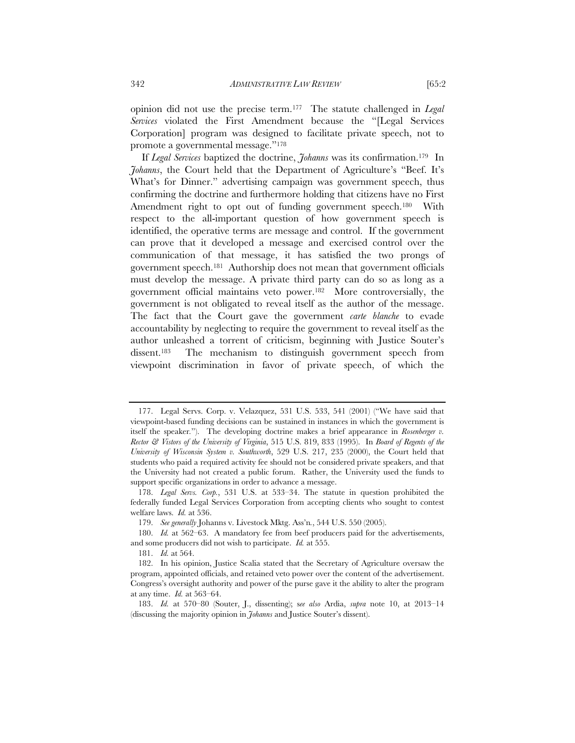opinion did not use the precise term.177 The statute challenged in *Legal Services* violated the First Amendment because the "[Legal Services Corporation] program was designed to facilitate private speech, not to promote a governmental message."178

If *Legal Services* baptized the doctrine, *Johanns* was its confirmation.179 In *Johanns*, the Court held that the Department of Agriculture's "Beef. It's What's for Dinner." advertising campaign was government speech, thus confirming the doctrine and furthermore holding that citizens have no First Amendment right to opt out of funding government speech.<sup>180</sup> With respect to the all-important question of how government speech is identified, the operative terms are message and control. If the government can prove that it developed a message and exercised control over the communication of that message, it has satisfied the two prongs of government speech.181 Authorship does not mean that government officials must develop the message. A private third party can do so as long as a government official maintains veto power.182 More controversially, the government is not obligated to reveal itself as the author of the message. The fact that the Court gave the government *carte blanche* to evade accountability by neglecting to require the government to reveal itself as the author unleashed a torrent of criticism, beginning with Justice Souter's dissent.183 The mechanism to distinguish government speech from viewpoint discrimination in favor of private speech, of which the

 <sup>177.</sup> Legal Servs. Corp. v. Velazquez, 531 U.S. 533, 541 (2001) ("We have said that viewpoint-based funding decisions can be sustained in instances in which the government is itself the speaker*.*"). The developing doctrine makes a brief appearance in *Rosenberger v. Rector & Vistors of the University of Virginia*, 515 U.S. 819, 833 (1995). In *Board of Regents of the University of Wisconsin System v. Southworth*, 529 U.S. 217, 235 (2000), the Court held that students who paid a required activity fee should not be considered private speakers, and that the University had not created a public forum. Rather, the University used the funds to support specific organizations in order to advance a message.

 <sup>178.</sup> *Legal Servs. Corp.*, 531 U.S. at 533–34. The statute in question prohibited the federally funded Legal Services Corporation from accepting clients who sought to contest welfare laws. *Id.* at 536.

 <sup>179.</sup> *See generally* Johanns v. Livestock Mktg. Ass'n*.*, 544 U.S. 550 (2005).

 <sup>180.</sup> *Id.* at 562–63. A mandatory fee from beef producers paid for the advertisements, and some producers did not wish to participate. *Id.* at 555.

 <sup>181.</sup> *Id.* at 564.

 <sup>182.</sup> In his opinion, Justice Scalia stated that the Secretary of Agriculture oversaw the program, appointed officials, and retained veto power over the content of the advertisement. Congress's oversight authority and power of the purse gave it the ability to alter the program at any time. *Id.* at 563–64.

 <sup>183.</sup> *Id.* at 570–80 (Souter, J., dissenting); s*ee also* Ardia, *supra* note 10, at 2013–14 (discussing the majority opinion in *Johanns* and Justice Souter's dissent).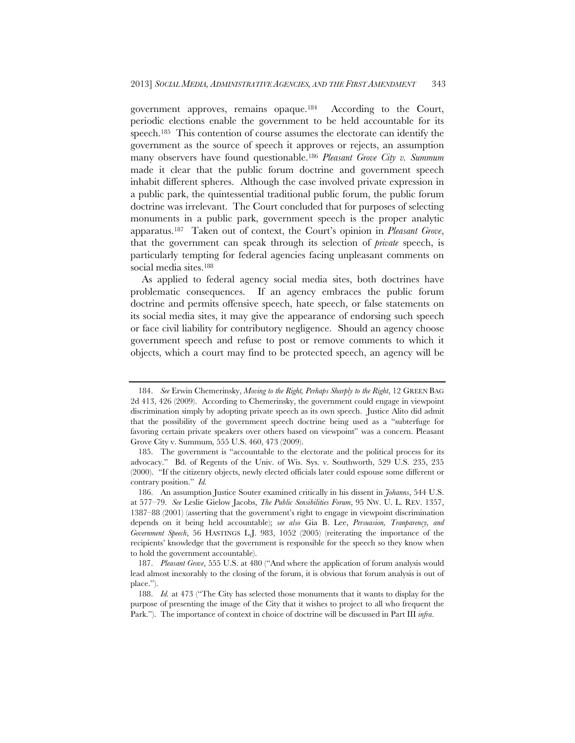government approves, remains opaque.184 According to the Court, periodic elections enable the government to be held accountable for its speech.<sup>185</sup> This contention of course assumes the electorate can identify the government as the source of speech it approves or rejects, an assumption many observers have found questionable.186 *Pleasant Grove City v. Summum* made it clear that the public forum doctrine and government speech inhabit different spheres. Although the case involved private expression in a public park, the quintessential traditional public forum, the public forum doctrine was irrelevant. The Court concluded that for purposes of selecting monuments in a public park, government speech is the proper analytic apparatus.187 Taken out of context, the Court's opinion in *Pleasant Grove*, that the government can speak through its selection of *private* speech, is particularly tempting for federal agencies facing unpleasant comments on social media sites.<sup>188</sup>

As applied to federal agency social media sites, both doctrines have problematic consequences. If an agency embraces the public forum doctrine and permits offensive speech, hate speech, or false statements on its social media sites, it may give the appearance of endorsing such speech or face civil liability for contributory negligence. Should an agency choose government speech and refuse to post or remove comments to which it objects, which a court may find to be protected speech, an agency will be

 <sup>184.</sup> *See* Erwin Chemerinsky, *Moving to the Right, Perhaps Sharply to the Right*, 12 GREEN BAG 2d 413, 426 (2009). According to Chemerinsky, the government could engage in viewpoint discrimination simply by adopting private speech as its own speech. Justice Alito did admit that the possibility of the government speech doctrine being used as a "subterfuge for favoring certain private speakers over others based on viewpoint" was a concern. Pleasant Grove City v. Summum*,* 555 U.S. 460, 473 (2009).

 <sup>185.</sup> The government is "accountable to the electorate and the political process for its advocacy." Bd. of Regents of the Univ. of Wis. Sys. v. Southworth, 529 U.S. 235, 235 (2000). "If the citizenry objects, newly elected officials later could espouse some different or contrary position." *Id.* 

 <sup>186.</sup> An assumption Justice Souter examined critically in his dissent in *Johanns*, 544 U.S. at 577–79. *See* Leslie Gielow Jacobs, *The Public Sensibilities Forum*, 95 NW. U. L. REV. 1357, 1387–88 (2001) (asserting that the government's right to engage in viewpoint discrimination depends on it being held accountable); *see also* Gia B. Lee, *Persuasion, Tranparency, and Government Speech*, 56 HASTINGS L.J. 983, 1052 (2005) (reiterating the importance of the recipients' knowledge that the government is responsible for the speech so they know when to hold the government accountable).

 <sup>187.</sup> *Pleasant Grove*, 555 U.S. at 480 ("And where the application of forum analysis would lead almost inexorably to the closing of the forum, it is obvious that forum analysis is out of place.").

 <sup>188.</sup> *Id.* at 473 ("The City has selected those monuments that it wants to display for the purpose of presenting the image of the City that it wishes to project to all who frequent the Park."). The importance of context in choice of doctrine will be discussed in Part III *infra*.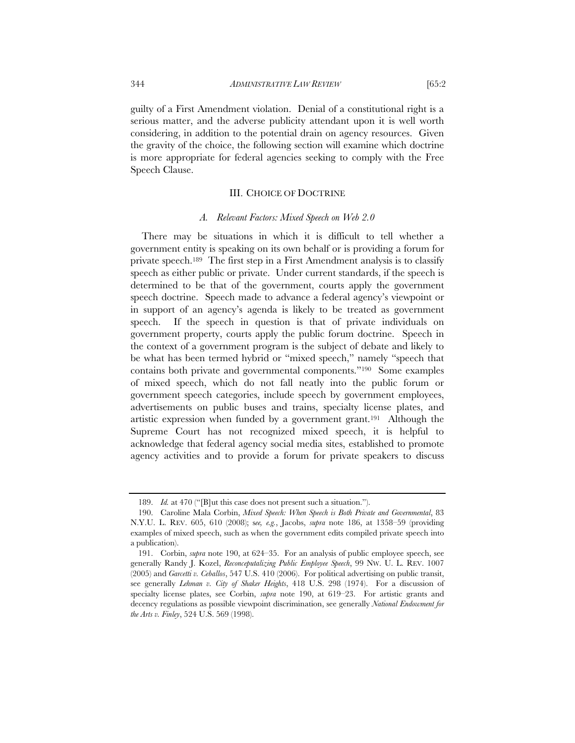guilty of a First Amendment violation. Denial of a constitutional right is a serious matter, and the adverse publicity attendant upon it is well worth considering, in addition to the potential drain on agency resources. Given the gravity of the choice, the following section will examine which doctrine is more appropriate for federal agencies seeking to comply with the Free Speech Clause.

## III. CHOICE OF DOCTRINE

### *A. Relevant Factors: Mixed Speech on Web 2.0*

There may be situations in which it is difficult to tell whether a government entity is speaking on its own behalf or is providing a forum for private speech.189 The first step in a First Amendment analysis is to classify speech as either public or private. Under current standards, if the speech is determined to be that of the government, courts apply the government speech doctrine. Speech made to advance a federal agency's viewpoint or in support of an agency's agenda is likely to be treated as government speech. If the speech in question is that of private individuals on government property, courts apply the public forum doctrine. Speech in the context of a government program is the subject of debate and likely to be what has been termed hybrid or "mixed speech," namely "speech that contains both private and governmental components."190 Some examples of mixed speech, which do not fall neatly into the public forum or government speech categories, include speech by government employees, advertisements on public buses and trains, specialty license plates, and artistic expression when funded by a government grant.191 Although the Supreme Court has not recognized mixed speech, it is helpful to acknowledge that federal agency social media sites, established to promote agency activities and to provide a forum for private speakers to discuss

 <sup>189.</sup> *Id.* at 470 ("[B]ut this case does not present such a situation.").

 <sup>190.</sup> Caroline Mala Corbin, *Mixed Speech: When Speech is Both Private and Governmental*, 83 N.Y.U. L. REV. 605, 610 (2008); s*ee, e.g.*, Jacobs, *supra* note 186, at 1358–59 (providing examples of mixed speech, such as when the government edits compiled private speech into a publication).

 <sup>191.</sup> Corbin, *supra* note 190, at 624–35. For an analysis of public employee speech, see generally Randy J. Kozel, *Reconceputalizing Public Employee Speech*, 99 NW. U. L. REV. 1007 (2005) and *Garcetti v. Ceballos*, 547 U.S. 410 (2006).For political advertising on public transit, see generally *Lehman v. City of Shaker Heights*, 418 U.S. 298 (1974). For a discussion of specialty license plates, see Corbin, *supra* note 190, at 619–23. For artistic grants and decency regulations as possible viewpoint discrimination, see generally *National Endowment for the Arts v. Finley*, 524 U.S. 569 (1998).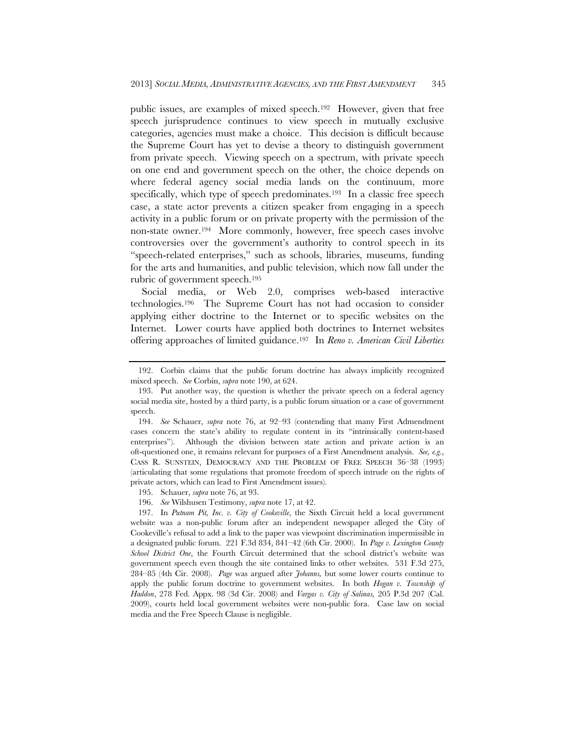public issues, are examples of mixed speech.192 However, given that free speech jurisprudence continues to view speech in mutually exclusive categories, agencies must make a choice. This decision is difficult because the Supreme Court has yet to devise a theory to distinguish government from private speech. Viewing speech on a spectrum, with private speech on one end and government speech on the other, the choice depends on where federal agency social media lands on the continuum, more specifically, which type of speech predominates.<sup>193</sup> In a classic free speech case, a state actor prevents a citizen speaker from engaging in a speech activity in a public forum or on private property with the permission of the non-state owner.194 More commonly, however, free speech cases involve controversies over the government's authority to control speech in its "speech-related enterprises," such as schools, libraries, museums, funding for the arts and humanities, and public television, which now fall under the rubric of government speech.195

Social media, or Web 2.0, comprises web-based interactive technologies.196 The Supreme Court has not had occasion to consider applying either doctrine to the Internet or to specific websites on the Internet. Lower courts have applied both doctrines to Internet websites offering approaches of limited guidance.197 In *Reno v. American Civil Liberties* 

196. *See* Wilshusen Testimony, *supra* note 17, at 42.

 <sup>192.</sup> Corbin claims that the public forum doctrine has always implicitly recognized mixed speech. *See* Corbin, *supra* note 190, at 624.

 <sup>193.</sup> Put another way, the question is whether the private speech on a federal agency social media site, hosted by a third party, is a public forum situation or a case of government speech.

 <sup>194.</sup> *See* Schauer, *supra* note 76, at 92–93 (contending that many First Admendment cases concern the state's ability to regulate content in its "intrinsically content-based enterprises"). Although the division between state action and private action is an oft-questioned one, it remains relevant for purposes of a First Amendment analysis. *See, e.g.*, CASS R. SUNSTEIN, DEMOCRACY AND THE PROBLEM OF FREE SPEECH 36–38 (1993) (articulating that some regulations that promote freedom of speech intrude on the rights of private actors, which can lead to First Amendment issues).

 <sup>195.</sup> Schauer, *supra* note 76, at 93.

 <sup>197.</sup> In *Putnam Pit, Inc. v. City of Cookeville*, the Sixth Circuit held a local government website was a non-public forum after an independent newspaper alleged the City of Cookeville's refusal to add a link to the paper was viewpoint discrimination impermissible in a designated public forum. 221 F.3d 834, 841–42 (6th Cir. 2000). In *Page v. Lexington County School District One*, the Fourth Circuit determined that the school district's website was government speech even though the site contained links to other websites. 531 F.3d 275, 284–85 (4th Cir. 2008). *Page* was argued after *Johanns,* but some lower courts continue to apply the public forum doctrine to government websites. In both *Hogan v. Township of Haddon*, 278 Fed. Appx. 98 (3d Cir. 2008) and *Vargas v. City of Salinas,* 205 P.3d 207 (Cal. 2009), courts held local government websites were non-public fora. Case law on social media and the Free Speech Clause is negligible.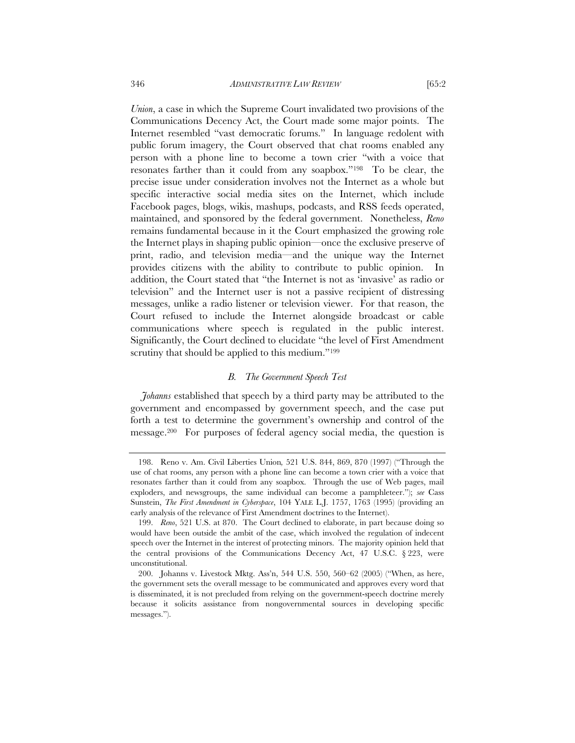*Union*, a case in which the Supreme Court invalidated two provisions of the Communications Decency Act, the Court made some major points. The Internet resembled "vast democratic forums." In language redolent with public forum imagery, the Court observed that chat rooms enabled any person with a phone line to become a town crier "with a voice that resonates farther than it could from any soapbox."198 To be clear, the precise issue under consideration involves not the Internet as a whole but specific interactive social media sites on the Internet, which include Facebook pages, blogs, wikis, mashups, podcasts, and RSS feeds operated, maintained, and sponsored by the federal government. Nonetheless, *Reno* remains fundamental because in it the Court emphasized the growing role the Internet plays in shaping public opinion—once the exclusive preserve of print, radio, and television media—and the unique way the Internet provides citizens with the ability to contribute to public opinion. In addition, the Court stated that "the Internet is not as 'invasive' as radio or television" and the Internet user is not a passive recipient of distressing messages, unlike a radio listener or television viewer. For that reason, the Court refused to include the Internet alongside broadcast or cable communications where speech is regulated in the public interest. Significantly, the Court declined to elucidate "the level of First Amendment scrutiny that should be applied to this medium."<sup>199</sup>

## *B. The Government Speech Test*

*Johanns* established that speech by a third party may be attributed to the government and encompassed by government speech, and the case put forth a test to determine the government's ownership and control of the message.200 For purposes of federal agency social media, the question is

 <sup>198.</sup> Reno v. Am. Civil Liberties Union*,* 521 U.S. 844, 869, 870 (1997) ("Through the use of chat rooms, any person with a phone line can become a town crier with a voice that resonates farther than it could from any soapbox. Through the use of Web pages, mail exploders, and newsgroups, the same individual can become a pamphleteer."); *see* Cass Sunstein, *The First Amendment in Cyberspace*, 104 YALE L.J. 1757, 1763 (1995) (providing an early analysis of the relevance of First Amendment doctrines to the Internet).

 <sup>199.</sup> *Reno*, 521 U.S. at 870. The Court declined to elaborate, in part because doing so would have been outside the ambit of the case, which involved the regulation of indecent speech over the Internet in the interest of protecting minors. The majority opinion held that the central provisions of the Communications Decency Act, 47 U.S.C.  $\S 223$ , were unconstitutional.

 <sup>200.</sup> Johanns v. Livestock Mktg. Ass'n, 544 U.S. 550, 560–62 (2005) ("When, as here, the government sets the overall message to be communicated and approves every word that is disseminated, it is not precluded from relying on the government-speech doctrine merely because it solicits assistance from nongovernmental sources in developing specific messages.").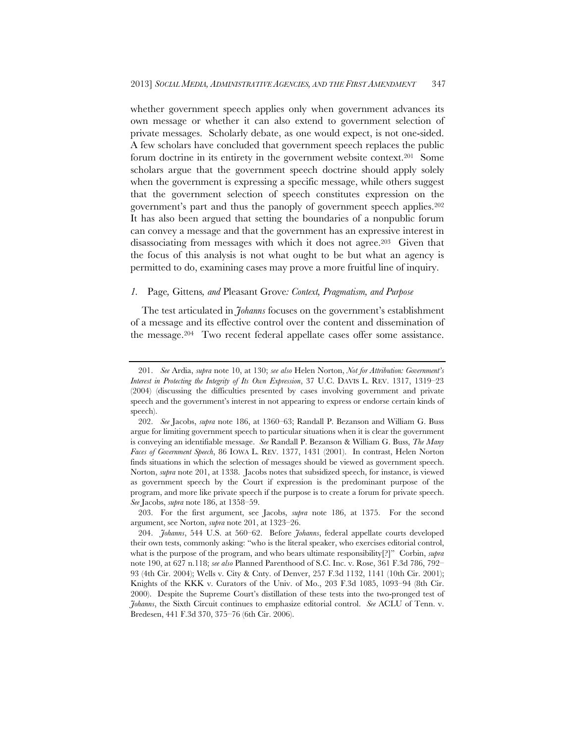whether government speech applies only when government advances its own message or whether it can also extend to government selection of private messages. Scholarly debate, as one would expect, is not one-sided. A few scholars have concluded that government speech replaces the public forum doctrine in its entirety in the government website context.201 Some scholars argue that the government speech doctrine should apply solely when the government is expressing a specific message, while others suggest that the government selection of speech constitutes expression on the government's part and thus the panoply of government speech applies.202 It has also been argued that setting the boundaries of a nonpublic forum can convey a message and that the government has an expressive interest in disassociating from messages with which it does not agree.203 Given that the focus of this analysis is not what ought to be but what an agency is permitted to do, examining cases may prove a more fruitful line of inquiry.

### *1.* Page*,* Gittens*, and* Pleasant Grove*: Context, Pragmatism, and Purpose*

The test articulated in *Johanns* focuses on the government's establishment of a message and its effective control over the content and dissemination of the message.204 Two recent federal appellate cases offer some assistance.

 <sup>201.</sup> *See* Ardia, *supra* note 10, at 130; *see also* Helen Norton, *Not for Attribution: Government's Interest in Protecting the Integrity of Its Own Expression*, 37 U.C. DAVIS L. REV. 1317, 1319–23 (2004) (discussing the difficulties presented by cases involving government and private speech and the government's interest in not appearing to express or endorse certain kinds of speech).

 <sup>202.</sup> *See* Jacobs, *supra* note 186, at 1360–63; Randall P. Bezanson and William G. Buss argue for limiting government speech to particular situations when it is clear the government is conveying an identifiable message. *See* Randall P. Bezanson & William G. Buss, *The Many Faces of Government Speech*, 86 IOWA L. REV. 1377, 1431 (2001). In contrast, Helen Norton finds situations in which the selection of messages should be viewed as government speech. Norton, *supra* note 201, at 1338. Jacobs notes that subsidized speech, for instance, is viewed as government speech by the Court if expression is the predominant purpose of the program, and more like private speech if the purpose is to create a forum for private speech. *See* Jacobs, *supra* note 186, at 1358–59.

 <sup>203.</sup> For the first argument, see Jacobs, *supra* note 186, at 1375. For the second argument, see Norton, *supra* note 201, at 1323–26.

 <sup>204.</sup> *Johanns*, 544 U.S. at 560–62. Before *Johanns*, federal appellate courts developed their own tests, commonly asking: "who is the literal speaker, who exercises editorial control, what is the purpose of the program, and who bears ultimate responsibility[?]" Corbin, *supra* note 190, at 627 n.118; *see also* Planned Parenthood of S.C. Inc. v. Rose, 361 F.3d 786, 792– 93 (4th Cir. 2004); Wells v. City & Cnty. of Denver, 257 F.3d 1132, 1141 (10th Cir. 2001); Knights of the KKK v. Curators of the Univ. of Mo., 203 F.3d 1085, 1093–94 (8th Cir. 2000). Despite the Supreme Court's distillation of these tests into the two-pronged test of *Johanns*, the Sixth Circuit continues to emphasize editorial control. *See* ACLU of Tenn. v. Bredesen, 441 F.3d 370, 375–76 (6th Cir. 2006).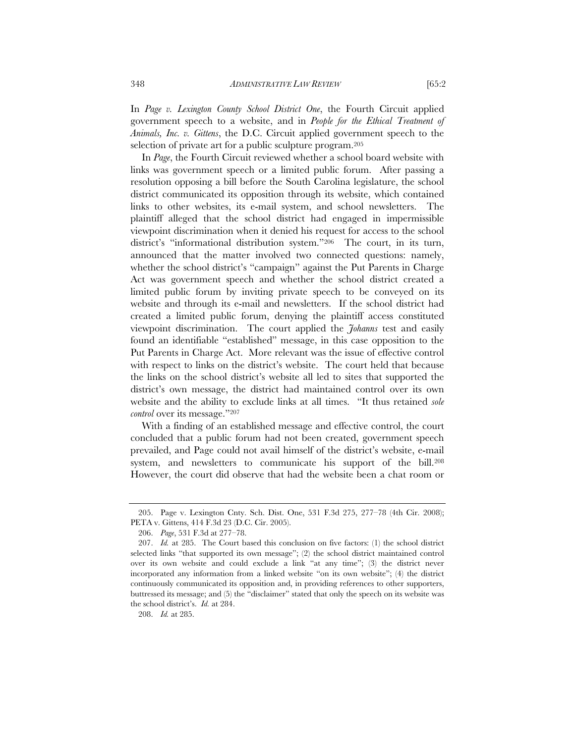In *Page v. Lexington County School District One*, the Fourth Circuit applied government speech to a website, and in *People for the Ethical Treatment of Animals, Inc. v. Gittens*, the D.C. Circuit applied government speech to the selection of private art for a public sculpture program.205

In *Page*, the Fourth Circuit reviewed whether a school board website with links was government speech or a limited public forum. After passing a resolution opposing a bill before the South Carolina legislature, the school district communicated its opposition through its website, which contained links to other websites, its e-mail system, and school newsletters. The plaintiff alleged that the school district had engaged in impermissible viewpoint discrimination when it denied his request for access to the school district's "informational distribution system."206 The court, in its turn, announced that the matter involved two connected questions: namely, whether the school district's "campaign" against the Put Parents in Charge Act was government speech and whether the school district created a limited public forum by inviting private speech to be conveyed on its website and through its e-mail and newsletters. If the school district had created a limited public forum, denying the plaintiff access constituted viewpoint discrimination. The court applied the *Johanns* test and easily found an identifiable "established" message, in this case opposition to the Put Parents in Charge Act. More relevant was the issue of effective control with respect to links on the district's website. The court held that because the links on the school district's website all led to sites that supported the district's own message, the district had maintained control over its own website and the ability to exclude links at all times. "It thus retained *sole control* over its message."207

With a finding of an established message and effective control, the court concluded that a public forum had not been created, government speech prevailed, and Page could not avail himself of the district's website, e-mail system, and newsletters to communicate his support of the bill.208 However, the court did observe that had the website been a chat room or

208. *Id.* at 285.

 <sup>205.</sup> Page v. Lexington Cnty. Sch. Dist. One, 531 F.3d 275, 277–78 (4th Cir. 2008); PETA v. Gittens, 414 F.3d 23 (D.C. Cir. 2005).

 <sup>206.</sup> *Page*, 531 F.3d at 277–78.

 <sup>207.</sup> *Id.* at 285. The Court based this conclusion on five factors: (1) the school district selected links "that supported its own message"; (2) the school district maintained control over its own website and could exclude a link "at any time"; (3) the district never incorporated any information from a linked website "on its own website"; (4) the district continuously communicated its opposition and, in providing references to other supporters, buttressed its message; and (5) the "disclaimer" stated that only the speech on its website was the school district's. *Id.* at 284.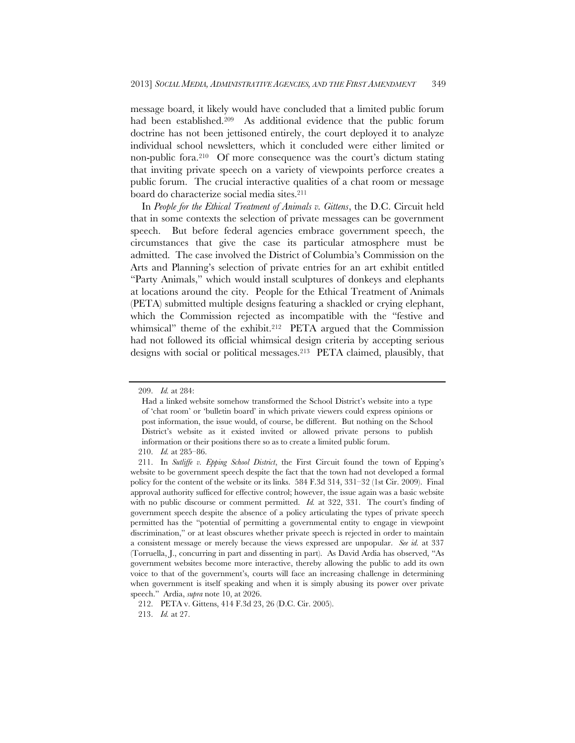message board, it likely would have concluded that a limited public forum had been established.209 As additional evidence that the public forum doctrine has not been jettisoned entirely, the court deployed it to analyze individual school newsletters, which it concluded were either limited or non-public fora.210 Of more consequence was the court's dictum stating that inviting private speech on a variety of viewpoints perforce creates a public forum. The crucial interactive qualities of a chat room or message board do characterize social media sites.211

In *People for the Ethical Treatment of Animals v. Gittens*, the D.C. Circuit held that in some contexts the selection of private messages can be government speech. But before federal agencies embrace government speech, the circumstances that give the case its particular atmosphere must be admitted. The case involved the District of Columbia's Commission on the Arts and Planning's selection of private entries for an art exhibit entitled "Party Animals," which would install sculptures of donkeys and elephants at locations around the city. People for the Ethical Treatment of Animals (PETA) submitted multiple designs featuring a shackled or crying elephant, which the Commission rejected as incompatible with the "festive and whimsical" theme of the exhibit.<sup>212</sup> PETA argued that the Commission had not followed its official whimsical design criteria by accepting serious designs with social or political messages.213 PETA claimed, plausibly, that

 <sup>209.</sup> *Id.* at 284:

Had a linked website somehow transformed the School District's website into a type of 'chat room' or 'bulletin board' in which private viewers could express opinions or post information, the issue would, of course, be different. But nothing on the School District's website as it existed invited or allowed private persons to publish information or their positions there so as to create a limited public forum.

 <sup>210.</sup> *Id.* at 285–86.

 <sup>211.</sup> In *Sutliffe v. Epping School District*, the First Circuit found the town of Epping's website to be government speech despite the fact that the town had not developed a formal policy for the content of the website or its links. 584 F.3d 314, 331–32 (1st Cir. 2009). Final approval authority sufficed for effective control; however, the issue again was a basic website with no public discourse or comment permitted. *Id.* at 322, 331. The court's finding of government speech despite the absence of a policy articulating the types of private speech permitted has the "potential of permitting a governmental entity to engage in viewpoint discrimination," or at least obscures whether private speech is rejected in order to maintain a consistent message or merely because the views expressed are unpopular. *See id.* at 337 (Torruella, J., concurring in part and dissenting in part). As David Ardia has observed, "As government websites become more interactive, thereby allowing the public to add its own voice to that of the government's, courts will face an increasing challenge in determining when government is itself speaking and when it is simply abusing its power over private speech." Ardia, *supra* note 10, at 2026.

 <sup>212.</sup> PETA v. Gittens, 414 F.3d 23, 26 (D.C. Cir. 2005).

 <sup>213.</sup> *Id.* at 27.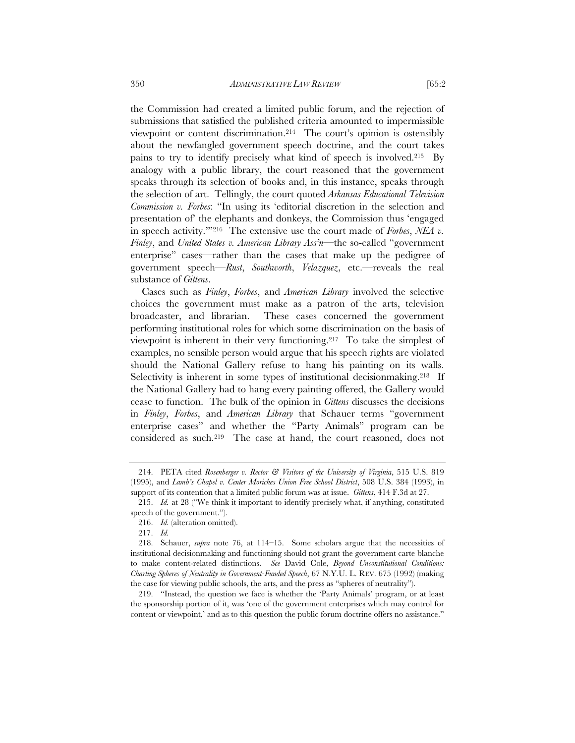the Commission had created a limited public forum, and the rejection of submissions that satisfied the published criteria amounted to impermissible viewpoint or content discrimination.214 The court's opinion is ostensibly about the newfangled government speech doctrine, and the court takes pains to try to identify precisely what kind of speech is involved.215 By analogy with a public library, the court reasoned that the government speaks through its selection of books and, in this instance, speaks through the selection of art. Tellingly, the court quoted *Arkansas Educational Television Commission v. Forbes*: "In using its 'editorial discretion in the selection and presentation of' the elephants and donkeys, the Commission thus 'engaged in speech activity.'"216 The extensive use the court made of *Forbes*, *NEA v. Finley*, and *United States v. American Library Ass'n*—the so-called "government enterprise" cases—rather than the cases that make up the pedigree of government speech—*Rust*, *Southworth*, *Velazquez*, etc.—reveals the real substance of *Gittens*.

Cases such as *Finley*, *Forbes*, and *American Library* involved the selective choices the government must make as a patron of the arts, television broadcaster, and librarian. These cases concerned the government performing institutional roles for which some discrimination on the basis of viewpoint is inherent in their very functioning.217 To take the simplest of examples, no sensible person would argue that his speech rights are violated should the National Gallery refuse to hang his painting on its walls. Selectivity is inherent in some types of institutional decisionmaking.<sup>218</sup> If the National Gallery had to hang every painting offered, the Gallery would cease to function. The bulk of the opinion in *Gittens* discusses the decisions in *Finley*, *Forbes*, and *American Library* that Schauer terms "government enterprise cases" and whether the "Party Animals" program can be considered as such.219 The case at hand, the court reasoned, does not

 <sup>214.</sup> PETA cited *Rosenberger v. Rector & Visitors of the University of Virginia*, 515 U.S. 819 (1995), and *Lamb's Chapel v. Center Moriches Union Free School District*, 508 U.S. 384 (1993), in support of its contention that a limited public forum was at issue. *Gittens*, 414 F.3d at 27.

 <sup>215.</sup> *Id.* at 28 ("We think it important to identify precisely what, if anything, constituted speech of the government.").

 <sup>216.</sup> *Id.* (alteration omitted).

 <sup>217.</sup> *Id.*

 <sup>218.</sup> Schauer, *supra* note 76, at 114–15. Some scholars argue that the necessities of institutional decisionmaking and functioning should not grant the government carte blanche to make content-related distinctions. *See* David Cole, *Beyond Unconstitutional Conditions: Charting Spheres of Neutrality in Government-Funded Speech*, 67 N.Y.U. L. REV. 675 (1992) (making the case for viewing public schools, the arts, and the press as "spheres of neutrality").

 <sup>219. &</sup>quot;Instead, the question we face is whether the 'Party Animals' program, or at least the sponsorship portion of it, was 'one of the government enterprises which may control for content or viewpoint,' and as to this question the public forum doctrine offers no assistance."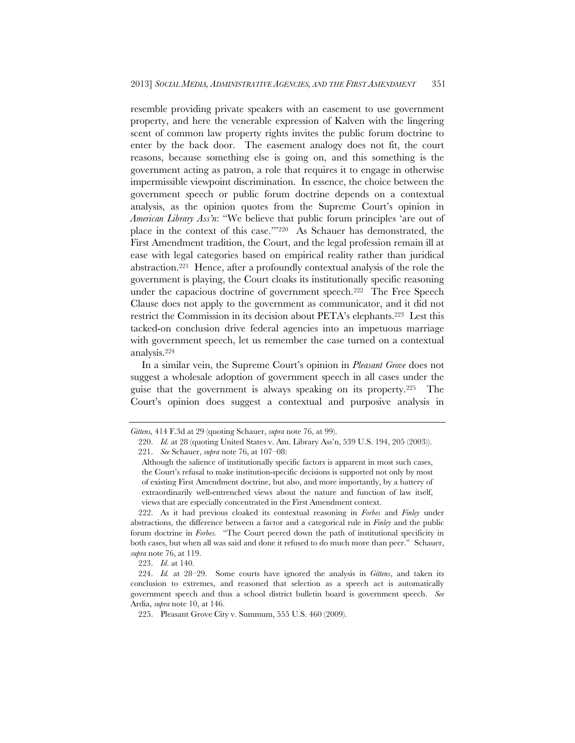resemble providing private speakers with an easement to use government property, and here the venerable expression of Kalven with the lingering scent of common law property rights invites the public forum doctrine to enter by the back door. The easement analogy does not fit, the court reasons, because something else is going on, and this something is the government acting as patron, a role that requires it to engage in otherwise impermissible viewpoint discrimination. In essence, the choice between the government speech or public forum doctrine depends on a contextual analysis, as the opinion quotes from the Supreme Court's opinion in *American Library Ass'n*: "We believe that public forum principles 'are out of place in the context of this case.'"220 As Schauer has demonstrated, the First Amendment tradition, the Court, and the legal profession remain ill at ease with legal categories based on empirical reality rather than juridical abstraction.221 Hence, after a profoundly contextual analysis of the role the government is playing, the Court cloaks its institutionally specific reasoning under the capacious doctrine of government speech.222 The Free Speech Clause does not apply to the government as communicator, and it did not restrict the Commission in its decision about PETA's elephants.223 Lest this tacked-on conclusion drive federal agencies into an impetuous marriage with government speech, let us remember the case turned on a contextual analysis.224

In a similar vein, the Supreme Court's opinion in *Pleasant Grove* does not suggest a wholesale adoption of government speech in all cases under the guise that the government is always speaking on its property.225 The Court's opinion does suggest a contextual and purposive analysis in

223. *Id*. at 140.

*Gittens,* 414 F.3d at 29 (quoting Schauer, *supra* note 76, at 99).

 <sup>220.</sup> *Id.* at 28 (quoting United States v. Am. Library Ass'n, 539 U.S. 194, 205 (2003)). 221. *See* Schauer, *supra* note 76, at 107–08:

Although the salience of institutionally specific factors is apparent in most such cases, the Court's refusal to make institution-specific decisions is supported not only by most of existing First Amendment doctrine, but also, and more importantly, by a battery of extraordinarily well-entrenched views about the nature and function of law itself, views that are especially concentrated in the First Amendment context.

 <sup>222.</sup> As it had previous cloaked its contextual reasoning in *Forbes* and *Finley* under abstractions, the difference between a factor and a categorical rule in *Finley* and the public forum doctrine in *Forbes.* "The Court peered down the path of institutional specificity in both cases, but when all was said and done it refused to do much more than peer." Schauer, *supra* note 76, at 119.

 <sup>224.</sup> *Id.* at 28–29. Some courts have ignored the analysis in *Gittens*, and taken its conclusion to extremes, and reasoned that selection as a speech act is automatically government speech and thus a school district bulletin board is government speech. *See* Ardia, *supra* note 10, at 146.

 <sup>225.</sup> Pleasant Grove City v. Summum, 555 U.S. 460 (2009).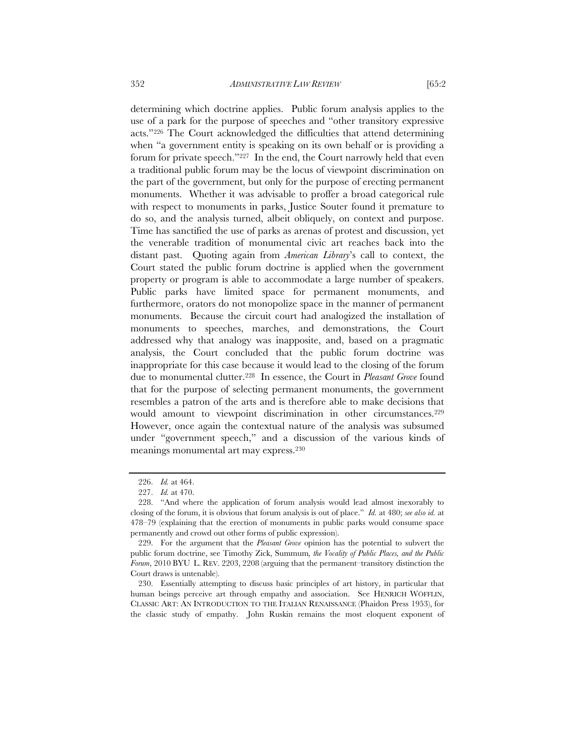determining which doctrine applies. Public forum analysis applies to the use of a park for the purpose of speeches and "other transitory expressive acts."226 The Court acknowledged the difficulties that attend determining when "a government entity is speaking on its own behalf or is providing a forum for private speech."227 In the end, the Court narrowly held that even a traditional public forum may be the locus of viewpoint discrimination on the part of the government, but only for the purpose of erecting permanent monuments. Whether it was advisable to proffer a broad categorical rule with respect to monuments in parks, Justice Souter found it premature to do so, and the analysis turned, albeit obliquely, on context and purpose. Time has sanctified the use of parks as arenas of protest and discussion, yet the venerable tradition of monumental civic art reaches back into the distant past. Quoting again from *American Library*'s call to context, the Court stated the public forum doctrine is applied when the government property or program is able to accommodate a large number of speakers. Public parks have limited space for permanent monuments, and furthermore, orators do not monopolize space in the manner of permanent monuments. Because the circuit court had analogized the installation of monuments to speeches, marches, and demonstrations, the Court addressed why that analogy was inapposite, and, based on a pragmatic analysis, the Court concluded that the public forum doctrine was inappropriate for this case because it would lead to the closing of the forum due to monumental clutter.228 In essence, the Court in *Pleasant Grove* found that for the purpose of selecting permanent monuments, the government resembles a patron of the arts and is therefore able to make decisions that would amount to viewpoint discrimination in other circumstances.<sup>229</sup> However, once again the contextual nature of the analysis was subsumed under "government speech," and a discussion of the various kinds of meanings monumental art may express.230

 <sup>226.</sup> *Id.* at 464.

 <sup>227.</sup> *Id.* at 470.

 <sup>228. &</sup>quot;And where the application of forum analysis would lead almost inexorably to closing of the forum, it is obvious that forum analysis is out of place." *Id.* at 480; *see also id.* at 478–79 (explaining that the erection of monuments in public parks would consume space permanently and crowd out other forms of public expression).

 <sup>229.</sup> For the argument that the *Pleasant Grove* opinion has the potential to subvert the public forum doctrine, see Timothy Zick, Summum*, the Vocality of Public Places, and the Public Forum*, 2010 BYU L. REV. 2203, 2208 (arguing that the permanent–transitory distinction the Court draws is untenable).

 <sup>230.</sup> Essentially attempting to discuss basic principles of art history, in particular that human beings perceive art through empathy and association. See HENRICH WÖFFLIN, CLASSIC ART: AN INTRODUCTION TO THE ITALIAN RENAISSANCE (Phaidon Press 1953), for the classic study of empathy. John Ruskin remains the most eloquent exponent of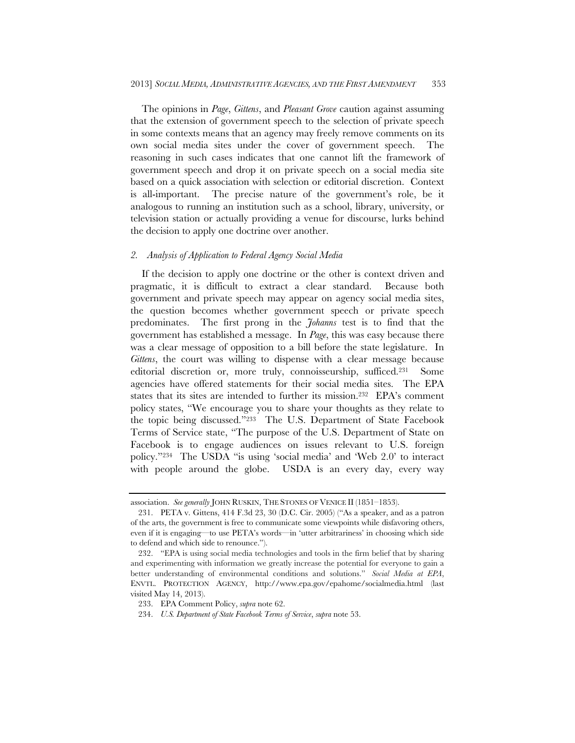The opinions in *Page*, *Gittens*, and *Pleasant Grove* caution against assuming that the extension of government speech to the selection of private speech in some contexts means that an agency may freely remove comments on its own social media sites under the cover of government speech. The reasoning in such cases indicates that one cannot lift the framework of government speech and drop it on private speech on a social media site based on a quick association with selection or editorial discretion. Context is all-important. The precise nature of the government's role, be it analogous to running an institution such as a school, library, university, or television station or actually providing a venue for discourse, lurks behind the decision to apply one doctrine over another.

### *2. Analysis of Application to Federal Agency Social Media*

If the decision to apply one doctrine or the other is context driven and pragmatic, it is difficult to extract a clear standard. Because both government and private speech may appear on agency social media sites, the question becomes whether government speech or private speech predominates. The first prong in the *Johanns* test is to find that the government has established a message. In *Page*, this was easy because there was a clear message of opposition to a bill before the state legislature. In *Gittens*, the court was willing to dispense with a clear message because editorial discretion or, more truly, connoisseurship, sufficed.231 Some agencies have offered statements for their social media sites. The EPA states that its sites are intended to further its mission.232 EPA's comment policy states, "We encourage you to share your thoughts as they relate to the topic being discussed."233 The U.S. Department of State Facebook Terms of Service state, "The purpose of the U.S. Department of State on Facebook is to engage audiences on issues relevant to U.S. foreign policy."234 The USDA "is using 'social media' and 'Web 2.0' to interact with people around the globe. USDA is an every day, every way

association. *See generally* JOHN RUSKIN, THE STONES OF VENICE II (1851–1853).

 <sup>231.</sup> PETA v. Gittens, 414 F.3d 23, 30 (D.C. Cir. 2005) ("As a speaker, and as a patron of the arts, the government is free to communicate some viewpoints while disfavoring others, even if it is engaging—to use PETA's words—in 'utter arbitrariness' in choosing which side to defend and which side to renounce.").

 <sup>232. &</sup>quot;EPA is using social media technologies and tools in the firm belief that by sharing and experimenting with information we greatly increase the potential for everyone to gain a better understanding of environmental conditions and solutions." *Social Media at EPA*, ENVTL. PROTECTION AGENCY, http://www.epa.gov/epahome/socialmedia.html (last visited May 14, 2013).

 <sup>233.</sup> EPA Comment Policy, *supra* note 62.

 <sup>234.</sup> *U.S. Department of State Facebook Terms of Service*, *supra* note 53.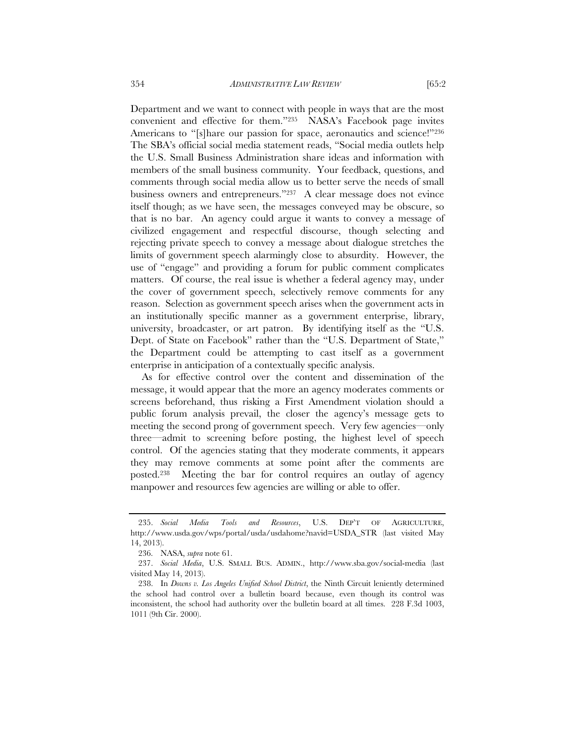Department and we want to connect with people in ways that are the most

convenient and effective for them."235 NASA's Facebook page invites Americans to "[s]hare our passion for space, aeronautics and science!"236 The SBA's official social media statement reads, "Social media outlets help the U.S. Small Business Administration share ideas and information with members of the small business community. Your feedback, questions, and comments through social media allow us to better serve the needs of small business owners and entrepreneurs."237 A clear message does not evince itself though; as we have seen, the messages conveyed may be obscure, so that is no bar. An agency could argue it wants to convey a message of civilized engagement and respectful discourse, though selecting and rejecting private speech to convey a message about dialogue stretches the limits of government speech alarmingly close to absurdity. However, the use of "engage" and providing a forum for public comment complicates matters. Of course, the real issue is whether a federal agency may, under the cover of government speech, selectively remove comments for any reason. Selection as government speech arises when the government acts in an institutionally specific manner as a government enterprise, library, university, broadcaster, or art patron. By identifying itself as the "U.S. Dept. of State on Facebook" rather than the "U.S. Department of State," the Department could be attempting to cast itself as a government enterprise in anticipation of a contextually specific analysis.

As for effective control over the content and dissemination of the message, it would appear that the more an agency moderates comments or screens beforehand, thus risking a First Amendment violation should a public forum analysis prevail, the closer the agency's message gets to meeting the second prong of government speech. Very few agencies—only three—admit to screening before posting, the highest level of speech control. Of the agencies stating that they moderate comments, it appears they may remove comments at some point after the comments are posted.238 Meeting the bar for control requires an outlay of agency manpower and resources few agencies are willing or able to offer.

 <sup>235.</sup> *Social Media Tools and Resources*, U.S. DEP'T OF AGRICULTURE, http://www.usda.gov/wps/portal/usda/usdahome?navid=USDA\_STR (last visited May 14, 2013).

 <sup>236.</sup> NASA, *supra* note 61.

 <sup>237.</sup> *Social Media*, U.S. SMALL BUS. ADMIN., http://www.sba.gov/social-media (last visited May 14, 2013).

 <sup>238.</sup> In *Downs v. Los Angeles Unified School District*, the Ninth Circuit leniently determined the school had control over a bulletin board because, even though its control was inconsistent, the school had authority over the bulletin board at all times. 228 F.3d 1003, 1011 (9th Cir. 2000).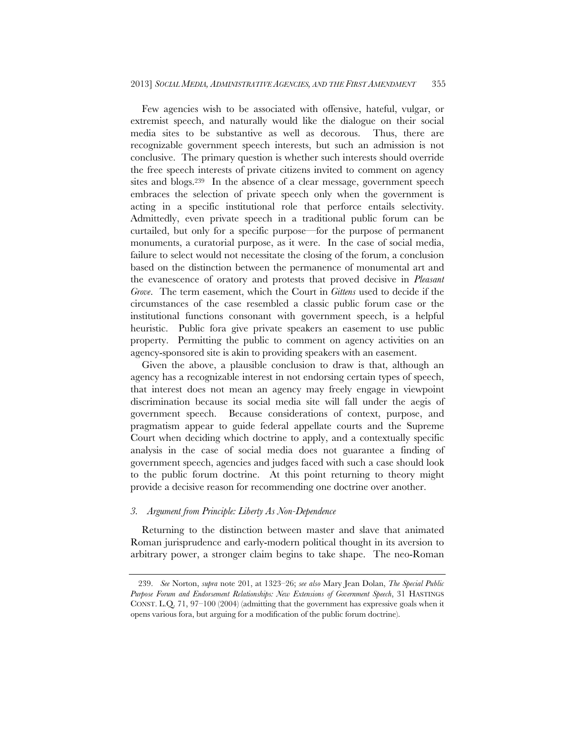Few agencies wish to be associated with offensive, hateful, vulgar, or extremist speech, and naturally would like the dialogue on their social media sites to be substantive as well as decorous. Thus, there are recognizable government speech interests, but such an admission is not conclusive. The primary question is whether such interests should override the free speech interests of private citizens invited to comment on agency sites and blogs.239 In the absence of a clear message, government speech embraces the selection of private speech only when the government is acting in a specific institutional role that perforce entails selectivity. Admittedly, even private speech in a traditional public forum can be curtailed, but only for a specific purpose—for the purpose of permanent monuments, a curatorial purpose, as it were. In the case of social media, failure to select would not necessitate the closing of the forum, a conclusion based on the distinction between the permanence of monumental art and the evanescence of oratory and protests that proved decisive in *Pleasant Grove*. The term easement, which the Court in *Gittens* used to decide if the circumstances of the case resembled a classic public forum case or the institutional functions consonant with government speech, is a helpful heuristic. Public fora give private speakers an easement to use public property. Permitting the public to comment on agency activities on an agency-sponsored site is akin to providing speakers with an easement.

Given the above, a plausible conclusion to draw is that, although an agency has a recognizable interest in not endorsing certain types of speech, that interest does not mean an agency may freely engage in viewpoint discrimination because its social media site will fall under the aegis of government speech. Because considerations of context, purpose, and pragmatism appear to guide federal appellate courts and the Supreme Court when deciding which doctrine to apply, and a contextually specific analysis in the case of social media does not guarantee a finding of government speech, agencies and judges faced with such a case should look to the public forum doctrine. At this point returning to theory might provide a decisive reason for recommending one doctrine over another.

## *3. Argument from Principle: Liberty As Non-Dependence*

Returning to the distinction between master and slave that animated Roman jurisprudence and early-modern political thought in its aversion to arbitrary power, a stronger claim begins to take shape. The neo-Roman

 <sup>239.</sup> *See* Norton, *supra* note 201, at 1323–26; *see also* Mary Jean Dolan, *The Special Public Purpose Forum and Endorsement Relationships: New Extensions of Government Speech*, 31 HASTINGS CONST. L.Q. 71, 97–100 (2004) (admitting that the government has expressive goals when it opens various fora, but arguing for a modification of the public forum doctrine).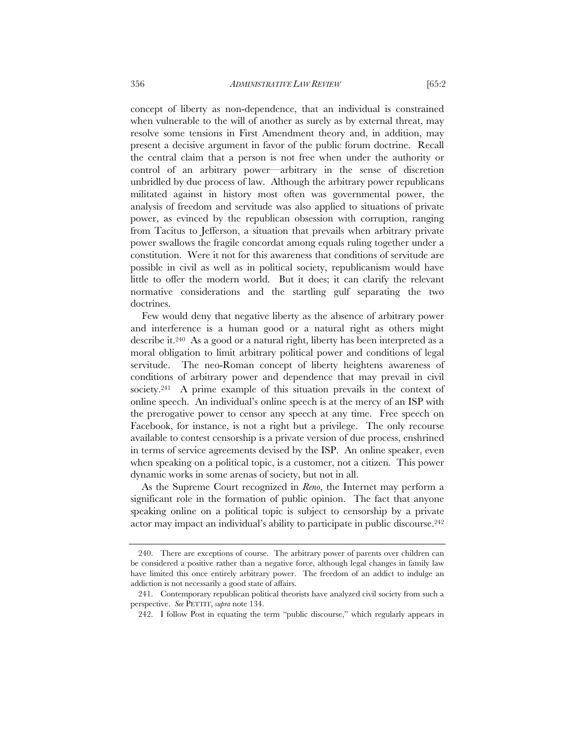concept of liberty as non-dependence, that an individual is constrained when vulnerable to the will of another as surely as by external threat, may resolve some tensions in First Amendment theory and, in addition, may present a decisive argument in favor of the public forum doctrine. Recall the central claim that a person is not free when under the authority or control of an arbitrary power—arbitrary in the sense of discretion unbridled by due process of law. Although the arbitrary power republicans militated against in history most often was governmental power, the analysis of freedom and servitude was also applied to situations of private power, as evinced by the republican obsession with corruption, ranging from Tacitus to Jefferson, a situation that prevails when arbitrary private power swallows the fragile concordat among equals ruling together under a constitution. Were it not for this awareness that conditions of servitude are possible in civil as well as in political society, republicanism would have little to offer the modern world. But it does; it can clarify the relevant normative considerations and the startling gulf separating the two doctrines.

Few would deny that negative liberty as the absence of arbitrary power and interference is a human good or a natural right as others might describe it.240 As a good or a natural right, liberty has been interpreted as a moral obligation to limit arbitrary political power and conditions of legal servitude. The neo-Roman concept of liberty heightens awareness of conditions of arbitrary power and dependence that may prevail in civil society.<sup>241</sup> A prime example of this situation prevails in the context of online speech. An individual's online speech is at the mercy of an ISP with the prerogative power to censor any speech at any time. Free speech on Facebook, for instance, is not a right but a privilege. The only recourse available to contest censorship is a private version of due process, enshrined in terms of service agreements devised by the ISP. An online speaker, even when speaking on a political topic, is a customer, not a citizen. This power dynamic works in some arenas of society, but not in all.

As the Supreme Court recognized in *Reno*, the Internet may perform a significant role in the formation of public opinion. The fact that anyone speaking online on a political topic is subject to censorship by a private actor may impact an individual's ability to participate in public discourse.<sup>242</sup>

 <sup>240.</sup> There are exceptions of course. The arbitrary power of parents over children can be considered a positive rather than a negative force, although legal changes in family law have limited this once entirely arbitrary power. The freedom of an addict to indulge an addiction is not necessarily a good state of affairs.

 <sup>241.</sup> Contemporary republican political theorists have analyzed civil society from such a perspective. *See* PETTIT, *supra* note 134.

 <sup>242.</sup> I follow Post in equating the term "public discourse," which regularly appears in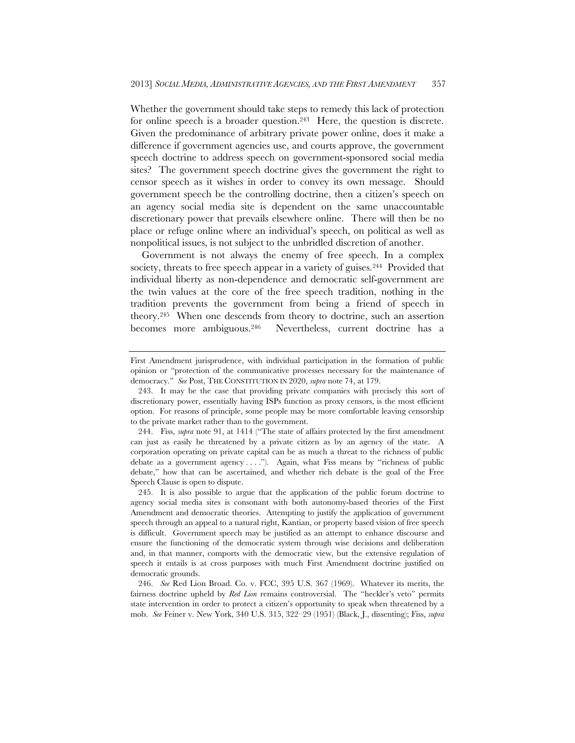Whether the government should take steps to remedy this lack of protection for online speech is a broader question.<sup>243</sup> Here, the question is discrete. Given the predominance of arbitrary private power online, does it make a difference if government agencies use, and courts approve, the government speech doctrine to address speech on government-sponsored social media sites? The government speech doctrine gives the government the right to censor speech as it wishes in order to convey its own message. Should government speech be the controlling doctrine, then a citizen's speech on an agency social media site is dependent on the same unaccountable discretionary power that prevails elsewhere online. There will then be no place or refuge online where an individual's speech, on political as well as nonpolitical issues, is not subject to the unbridled discretion of another.

Government is not always the enemy of free speech. In a complex society, threats to free speech appear in a variety of guises.<sup>244</sup> Provided that individual liberty as non-dependence and democratic self-government are the twin values at the core of the free speech tradition, nothing in the tradition prevents the government from being a friend of speech in theory.245 When one descends from theory to doctrine, such an assertion becomes more ambiguous.246 Nevertheless, current doctrine has a

First Amendment jurisprudence, with individual participation in the formation of public opinion or "protection of the communicative processes necessary for the maintenance of democracy." *See* Post, THE CONSTITUTION IN 2020, *supra* note 74, at 179.

 <sup>243.</sup> It may be the case that providing private companies with precisely this sort of discretionary power, essentially having ISPs function as proxy censors, is the most efficient option. For reasons of principle, some people may be more comfortable leaving censorship to the private market rather than to the government.

 <sup>244.</sup> Fiss, *supra* note 91, at 1414 ("The state of affairs protected by the first amendment can just as easily be threatened by a private citizen as by an agency of the state. A corporation operating on private capital can be as much a threat to the richness of public debate as a government agency  $\dots$ ."). Again, what Fiss means by "richness of public debate," how that can be ascertained, and whether rich debate is the goal of the Free Speech Clause is open to dispute.

 <sup>245.</sup> It is also possible to argue that the application of the public forum doctrine to agency social media sites is consonant with both autonomy-based theories of the First Amendment and democratic theories. Attempting to justify the application of government speech through an appeal to a natural right, Kantian, or property based vision of free speech is difficult. Government speech may be justified as an attempt to enhance discourse and ensure the functioning of the democratic system through wise decisions and deliberation and, in that manner, comports with the democratic view, but the extensive regulation of speech it entails is at cross purposes with much First Amendment doctrine justified on democratic grounds.

 <sup>246.</sup> *See* Red Lion Broad. Co. v. FCC, 395 U.S. 367 (1969). Whatever its merits, the fairness doctrine upheld by *Red Lion* remains controversial. The "heckler's veto" permits state intervention in order to protect a citizen's opportunity to speak when threatened by a mob. *See* Feiner v. New York, 340 U.S. 315, 322–29 (1951) (Black, J., dissenting); Fiss, *supra*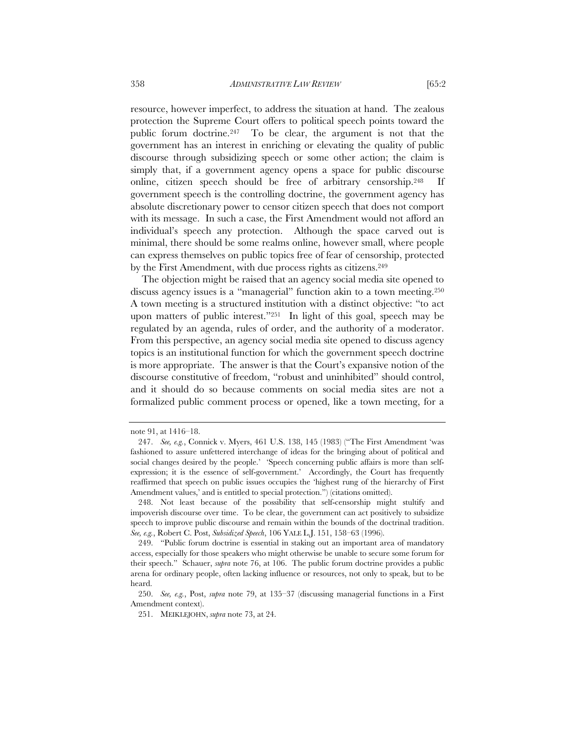resource, however imperfect, to address the situation at hand. The zealous protection the Supreme Court offers to political speech points toward the public forum doctrine.247 To be clear, the argument is not that the government has an interest in enriching or elevating the quality of public discourse through subsidizing speech or some other action; the claim is simply that, if a government agency opens a space for public discourse online, citizen speech should be free of arbitrary censorship.248 If government speech is the controlling doctrine, the government agency has absolute discretionary power to censor citizen speech that does not comport with its message. In such a case, the First Amendment would not afford an individual's speech any protection. Although the space carved out is

minimal, there should be some realms online, however small, where people can express themselves on public topics free of fear of censorship, protected by the First Amendment, with due process rights as citizens.<sup>249</sup>

The objection might be raised that an agency social media site opened to discuss agency issues is a "managerial" function akin to a town meeting.250 A town meeting is a structured institution with a distinct objective: "to act upon matters of public interest."251 In light of this goal, speech may be regulated by an agenda, rules of order, and the authority of a moderator. From this perspective, an agency social media site opened to discuss agency topics is an institutional function for which the government speech doctrine is more appropriate. The answer is that the Court's expansive notion of the discourse constitutive of freedom, "robust and uninhibited" should control, and it should do so because comments on social media sites are not a formalized public comment process or opened, like a town meeting, for a

note 91, at 1416–18.

 <sup>247.</sup> *See, e.g.*, Connick v. Myers, 461 U.S. 138, 145 (1983) ("The First Amendment 'was fashioned to assure unfettered interchange of ideas for the bringing about of political and social changes desired by the people.' 'Speech concerning public affairs is more than selfexpression; it is the essence of self-government.' Accordingly, the Court has frequently reaffirmed that speech on public issues occupies the 'highest rung of the hierarchy of First Amendment values,' and is entitled to special protection.") (citations omitted).

 <sup>248.</sup> Not least because of the possibility that self-censorship might stultify and impoverish discourse over time. To be clear, the government can act positively to subsidize speech to improve public discourse and remain within the bounds of the doctrinal tradition. *See, e.g.*, Robert C. Post, *Subsidized Speech*, 106 YALE L.J. 151, 158–63 (1996).

 <sup>249. &</sup>quot;Public forum doctrine is essential in staking out an important area of mandatory access, especially for those speakers who might otherwise be unable to secure some forum for their speech." Schauer, *supra* note 76, at 106. The public forum doctrine provides a public arena for ordinary people, often lacking influence or resources, not only to speak, but to be heard.

 <sup>250.</sup> *See, e.g.*, Post, *supra* note 79, at 135–37 (discussing managerial functions in a First Amendment context).

 <sup>251.</sup> MEIKLEJOHN, *supra* note 73, at 24.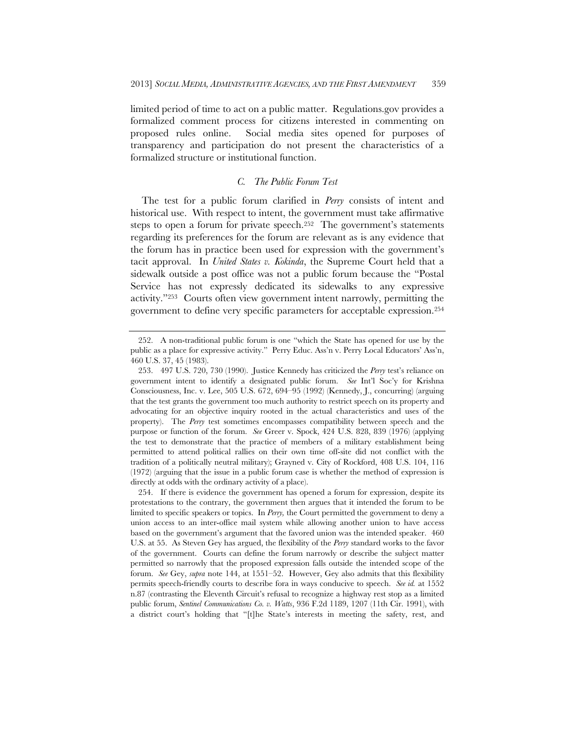limited period of time to act on a public matter. Regulations.gov provides a formalized comment process for citizens interested in commenting on proposed rules online. Social media sites opened for purposes of transparency and participation do not present the characteristics of a formalized structure or institutional function.

## *C. The Public Forum Test*

The test for a public forum clarified in *Perry* consists of intent and historical use. With respect to intent, the government must take affirmative steps to open a forum for private speech.<sup>252</sup> The government's statements regarding its preferences for the forum are relevant as is any evidence that the forum has in practice been used for expression with the government's tacit approval. In *United States v. Kokinda*, the Supreme Court held that a sidewalk outside a post office was not a public forum because the "Postal Service has not expressly dedicated its sidewalks to any expressive activity."253 Courts often view government intent narrowly, permitting the government to define very specific parameters for acceptable expression.254

 <sup>252.</sup> A non-traditional public forum is one "which the State has opened for use by the public as a place for expressive activity." Perry Educ. Ass'n v. Perry Local Educators' Ass'n, 460 U.S. 37, 45 (1983).

 <sup>253. 497</sup> U.S. 720, 730 (1990). Justice Kennedy has criticized the *Perry* test's reliance on government intent to identify a designated public forum. *See* Int'l Soc'y for Krishna Consciousness, Inc. v. Lee, 505 U.S. 672, 694–95 (1992) (Kennedy, J., concurring) (arguing that the test grants the government too much authority to restrict speech on its property and advocating for an objective inquiry rooted in the actual characteristics and uses of the property). The *Perry* test sometimes encompasses compatibility between speech and the purpose or function of the forum. *See* Greer v. Spock, 424 U.S. 828, 839 (1976) (applying the test to demonstrate that the practice of members of a military establishment being permitted to attend political rallies on their own time off-site did not conflict with the tradition of a politically neutral military); Grayned v. City of Rockford, 408 U.S. 104, 116 (1972) (arguing that the issue in a public forum case is whether the method of expression is directly at odds with the ordinary activity of a place).

 <sup>254.</sup> If there is evidence the government has opened a forum for expression, despite its protestations to the contrary, the government then argues that it intended the forum to be limited to specific speakers or topics. In *Perry,* the Court permitted the government to deny a union access to an inter-office mail system while allowing another union to have access based on the government's argument that the favored union was the intended speaker. 460 U.S. at 55. As Steven Gey has argued, the flexibility of the *Perry* standard works to the favor of the government. Courts can define the forum narrowly or describe the subject matter permitted so narrowly that the proposed expression falls outside the intended scope of the forum. *See* Gey, *supra* note 144, at 1551–52. However, Gey also admits that this flexibility permits speech-friendly courts to describe fora in ways conducive to speech. *See id.* at 1552 n.87 (contrasting the Eleventh Circuit's refusal to recognize a highway rest stop as a limited public forum, *Sentinel Communications Co. v. Watts*, 936 F.2d 1189, 1207 (11th Cir. 1991), with a district court's holding that "[t]he State's interests in meeting the safety, rest, and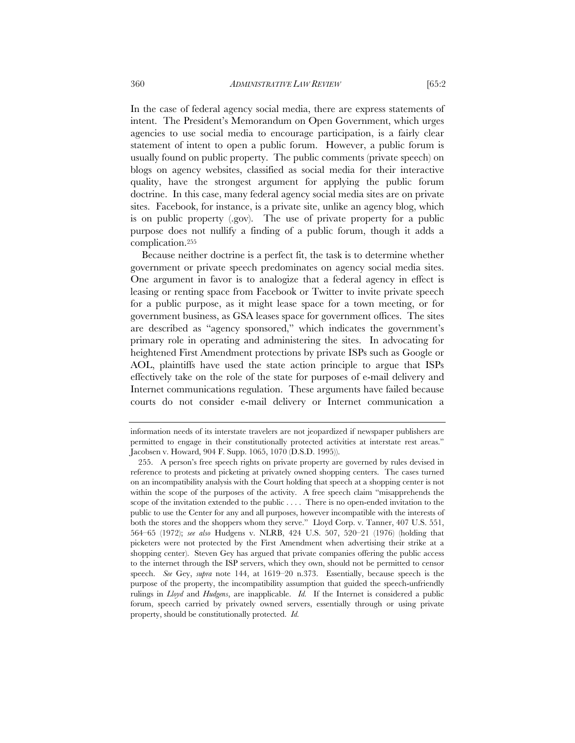In the case of federal agency social media, there are express statements of intent. The President's Memorandum on Open Government, which urges agencies to use social media to encourage participation, is a fairly clear statement of intent to open a public forum. However, a public forum is usually found on public property. The public comments (private speech) on blogs on agency websites, classified as social media for their interactive quality, have the strongest argument for applying the public forum doctrine. In this case, many federal agency social media sites are on private sites. Facebook, for instance, is a private site, unlike an agency blog, which is on public property (.gov). The use of private property for a public purpose does not nullify a finding of a public forum, though it adds a complication.255

Because neither doctrine is a perfect fit, the task is to determine whether government or private speech predominates on agency social media sites. One argument in favor is to analogize that a federal agency in effect is leasing or renting space from Facebook or Twitter to invite private speech for a public purpose, as it might lease space for a town meeting, or for government business, as GSA leases space for government offices. The sites are described as "agency sponsored," which indicates the government's primary role in operating and administering the sites. In advocating for heightened First Amendment protections by private ISPs such as Google or AOL, plaintiffs have used the state action principle to argue that ISPs effectively take on the role of the state for purposes of e-mail delivery and Internet communications regulation. These arguments have failed because courts do not consider e-mail delivery or Internet communication a

information needs of its interstate travelers are not jeopardized if newspaper publishers are permitted to engage in their constitutionally protected activities at interstate rest areas." Jacobsen v. Howard, 904 F. Supp. 1065, 1070 (D.S.D. 1995)).

 <sup>255.</sup> A person's free speech rights on private property are governed by rules devised in reference to protests and picketing at privately owned shopping centers. The cases turned on an incompatibility analysis with the Court holding that speech at a shopping center is not within the scope of the purposes of the activity. A free speech claim "misapprehends the scope of the invitation extended to the public . . . . There is no open-ended invitation to the public to use the Center for any and all purposes, however incompatible with the interests of both the stores and the shoppers whom they serve." Lloyd Corp. v. Tanner, 407 U.S. 551, 564–65 (1972); *see also* Hudgens v. NLRB, 424 U.S. 507, 520–21 (1976) (holding that picketers were not protected by the First Amendment when advertising their strike at a shopping center). Steven Gey has argued that private companies offering the public access to the internet through the ISP servers, which they own, should not be permitted to censor speech. *See* Gey, *supra* note 144, at 1619–20 n.373. Essentially, because speech is the purpose of the property, the incompatibility assumption that guided the speech-unfriendly rulings in *Lloyd* and *Hudgens*, are inapplicable. *Id.* If the Internet is considered a public forum, speech carried by privately owned servers, essentially through or using private property, should be constitutionally protected. *Id.*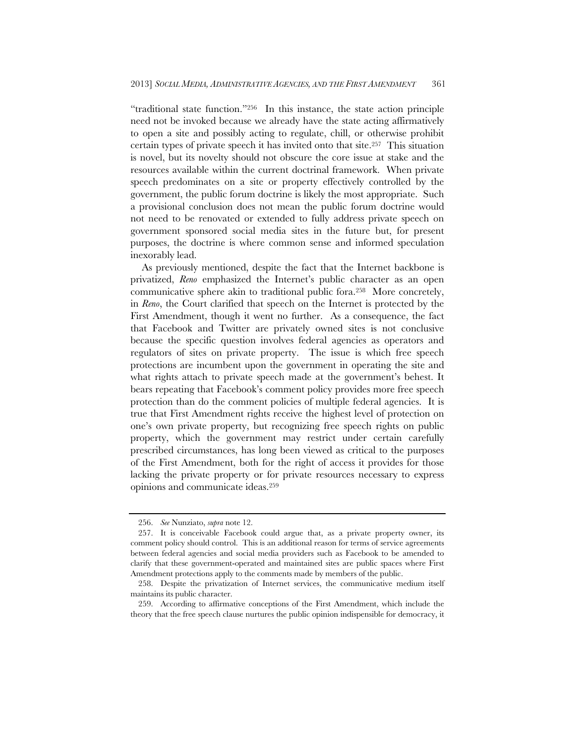"traditional state function."256 In this instance, the state action principle need not be invoked because we already have the state acting affirmatively to open a site and possibly acting to regulate, chill, or otherwise prohibit certain types of private speech it has invited onto that site.257 This situation is novel, but its novelty should not obscure the core issue at stake and the resources available within the current doctrinal framework. When private speech predominates on a site or property effectively controlled by the government, the public forum doctrine is likely the most appropriate. Such a provisional conclusion does not mean the public forum doctrine would not need to be renovated or extended to fully address private speech on government sponsored social media sites in the future but, for present purposes, the doctrine is where common sense and informed speculation inexorably lead.

As previously mentioned, despite the fact that the Internet backbone is privatized, *Reno* emphasized the Internet's public character as an open communicative sphere akin to traditional public fora.258 More concretely, in *Reno*, the Court clarified that speech on the Internet is protected by the First Amendment, though it went no further. As a consequence, the fact that Facebook and Twitter are privately owned sites is not conclusive because the specific question involves federal agencies as operators and regulators of sites on private property. The issue is which free speech protections are incumbent upon the government in operating the site and what rights attach to private speech made at the government's behest. It bears repeating that Facebook's comment policy provides more free speech protection than do the comment policies of multiple federal agencies. It is true that First Amendment rights receive the highest level of protection on one's own private property, but recognizing free speech rights on public property, which the government may restrict under certain carefully prescribed circumstances, has long been viewed as critical to the purposes of the First Amendment, both for the right of access it provides for those lacking the private property or for private resources necessary to express opinions and communicate ideas.259

 <sup>256.</sup> *See* Nunziato, *supra* note 12.

 <sup>257.</sup> It is conceivable Facebook could argue that, as a private property owner, its comment policy should control. This is an additional reason for terms of service agreements between federal agencies and social media providers such as Facebook to be amended to clarify that these government-operated and maintained sites are public spaces where First Amendment protections apply to the comments made by members of the public.

 <sup>258.</sup> Despite the privatization of Internet services, the communicative medium itself maintains its public character.

 <sup>259.</sup> According to affirmative conceptions of the First Amendment, which include the theory that the free speech clause nurtures the public opinion indispensible for democracy, it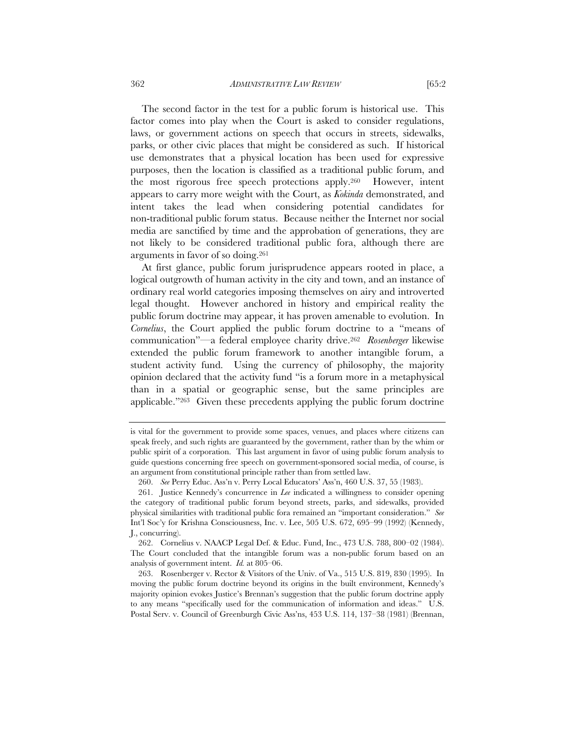The second factor in the test for a public forum is historical use. This factor comes into play when the Court is asked to consider regulations, laws, or government actions on speech that occurs in streets, sidewalks, parks, or other civic places that might be considered as such. If historical use demonstrates that a physical location has been used for expressive purposes, then the location is classified as a traditional public forum, and the most rigorous free speech protections apply.260 However, intent appears to carry more weight with the Court, as *Kokinda* demonstrated, and intent takes the lead when considering potential candidates for non-traditional public forum status. Because neither the Internet nor social media are sanctified by time and the approbation of generations, they are not likely to be considered traditional public fora, although there are

At first glance, public forum jurisprudence appears rooted in place, a logical outgrowth of human activity in the city and town, and an instance of ordinary real world categories imposing themselves on airy and introverted legal thought. However anchored in history and empirical reality the public forum doctrine may appear, it has proven amenable to evolution. In *Cornelius*, the Court applied the public forum doctrine to a "means of communication"—a federal employee charity drive.262 *Rosenberger* likewise extended the public forum framework to another intangible forum, a student activity fund. Using the currency of philosophy, the majority opinion declared that the activity fund "is a forum more in a metaphysical than in a spatial or geographic sense, but the same principles are applicable."263 Given these precedents applying the public forum doctrine

arguments in favor of so doing.261

is vital for the government to provide some spaces, venues, and places where citizens can speak freely, and such rights are guaranteed by the government, rather than by the whim or public spirit of a corporation. This last argument in favor of using public forum analysis to guide questions concerning free speech on government-sponsored social media, of course, is an argument from constitutional principle rather than from settled law.

 <sup>260.</sup> *See* Perry Educ. Ass'n v. Perry Local Educators' Ass'n, 460 U.S. 37, 55 (1983).

 <sup>261.</sup> Justice Kennedy's concurrence in *Lee* indicated a willingness to consider opening the category of traditional public forum beyond streets, parks, and sidewalks, provided physical similarities with traditional public fora remained an "important consideration." *See* Int'l Soc'y for Krishna Consciousness, Inc. v. Lee, 505 U.S. 672, 695–99 (1992) (Kennedy, J., concurring).

 <sup>262.</sup> Cornelius v. NAACP Legal Def. & Educ. Fund, Inc., 473 U.S. 788, 800–02 (1984). The Court concluded that the intangible forum was a non-public forum based on an analysis of government intent. *Id.* at 805–06.

 <sup>263.</sup> Rosenberger v. Rector & Visitors of the Univ. of Va., 515 U.S. 819, 830 (1995). In moving the public forum doctrine beyond its origins in the built environment, Kennedy's majority opinion evokes Justice's Brennan's suggestion that the public forum doctrine apply to any means "specifically used for the communication of information and ideas." U.S. Postal Serv. v. Council of Greenburgh Civic Ass'ns, 453 U.S. 114, 137–38 (1981) (Brennan,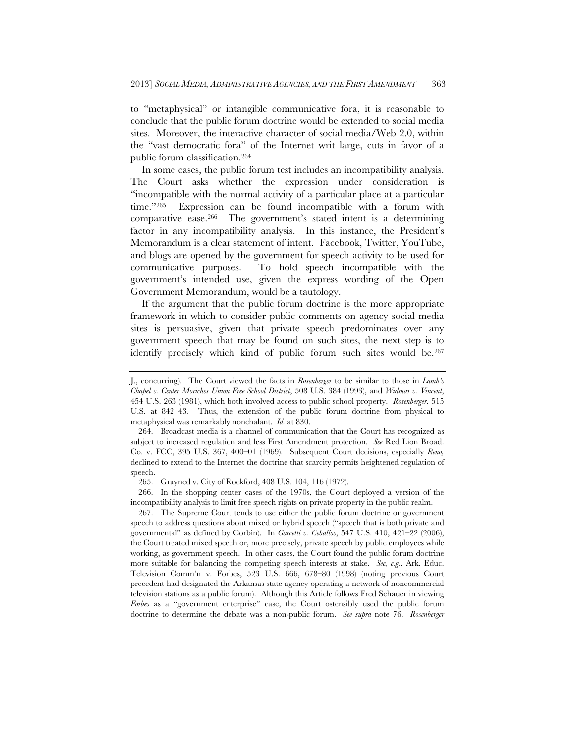to "metaphysical" or intangible communicative fora, it is reasonable to conclude that the public forum doctrine would be extended to social media sites. Moreover, the interactive character of social media/Web 2.0, within the "vast democratic fora" of the Internet writ large, cuts in favor of a public forum classification.264

In some cases, the public forum test includes an incompatibility analysis. The Court asks whether the expression under consideration is "incompatible with the normal activity of a particular place at a particular time."265 Expression can be found incompatible with a forum with comparative ease.266 The government's stated intent is a determining factor in any incompatibility analysis. In this instance, the President's Memorandum is a clear statement of intent. Facebook, Twitter, YouTube, and blogs are opened by the government for speech activity to be used for communicative purposes. To hold speech incompatible with the government's intended use, given the express wording of the Open Government Memorandum, would be a tautology.

If the argument that the public forum doctrine is the more appropriate framework in which to consider public comments on agency social media sites is persuasive, given that private speech predominates over any government speech that may be found on such sites, the next step is to identify precisely which kind of public forum such sites would be.267

J., concurring). The Court viewed the facts in *Rosenberger* to be similar to those in *Lamb's Chapel v. Center Moriches Union Free School District*, 508 U.S. 384 (1993), and *Widmar v. Vincent*, 454 U.S. 263 (1981), which both involved access to public school property. *Rosenberger*, 515 U.S. at 842–43. Thus, the extension of the public forum doctrine from physical to metaphysical was remarkably nonchalant. *Id.* at 830.

 <sup>264.</sup> Broadcast media is a channel of communication that the Court has recognized as subject to increased regulation and less First Amendment protection. *See* Red Lion Broad. Co. v. FCC, 395 U.S. 367, 400–01 (1969). Subsequent Court decisions, especially *Reno,* declined to extend to the Internet the doctrine that scarcity permits heightened regulation of speech.

 <sup>265.</sup> Grayned v. City of Rockford, 408 U.S. 104, 116 (1972).

 <sup>266.</sup> In the shopping center cases of the 1970s, the Court deployed a version of the incompatibility analysis to limit free speech rights on private property in the public realm.

 <sup>267.</sup> The Supreme Court tends to use either the public forum doctrine or government speech to address questions about mixed or hybrid speech ("speech that is both private and governmental" as defined by Corbin). In *Garcetti v. Ceballos*, 547 U.S. 410, 421–22 (2006), the Court treated mixed speech or, more precisely, private speech by public employees while working, as government speech. In other cases, the Court found the public forum doctrine more suitable for balancing the competing speech interests at stake. *See, e.g.*, Ark. Educ. Television Comm'n v. Forbes, 523 U.S. 666, 678–80 (1998) (noting previous Court precedent had designated the Arkansas state agency operating a network of noncommercial television stations as a public forum). Although this Article follows Fred Schauer in viewing *Forbes* as a "government enterprise" case, the Court ostensibly used the public forum doctrine to determine the debate was a non-public forum. *See supra* note 76. *Rosenberger*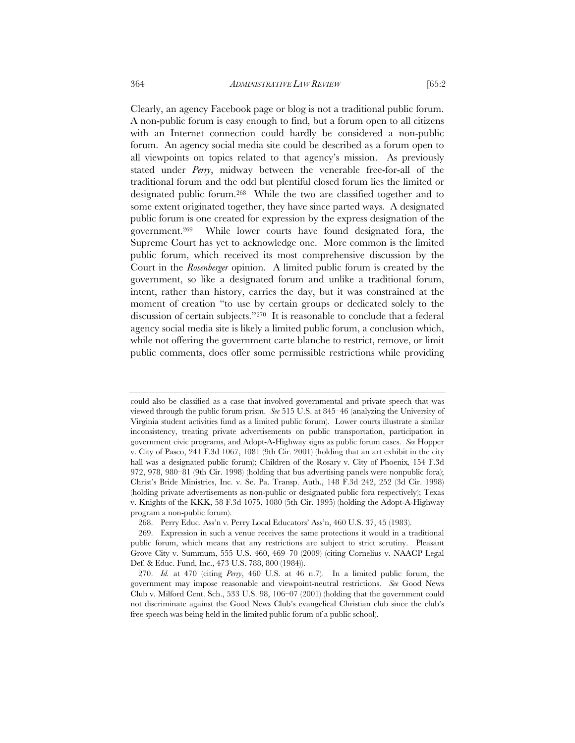Clearly, an agency Facebook page or blog is not a traditional public forum. A non-public forum is easy enough to find, but a forum open to all citizens with an Internet connection could hardly be considered a non-public forum. An agency social media site could be described as a forum open to all viewpoints on topics related to that agency's mission. As previously stated under *Perry*, midway between the venerable free-for-all of the traditional forum and the odd but plentiful closed forum lies the limited or designated public forum.268 While the two are classified together and to some extent originated together, they have since parted ways. A designated public forum is one created for expression by the express designation of the government.269 While lower courts have found designated fora, the Supreme Court has yet to acknowledge one. More common is the limited public forum, which received its most comprehensive discussion by the Court in the *Rosenberger* opinion. A limited public forum is created by the government, so like a designated forum and unlike a traditional forum, intent, rather than history, carries the day, but it was constrained at the moment of creation "to use by certain groups or dedicated solely to the discussion of certain subjects."270 It is reasonable to conclude that a federal agency social media site is likely a limited public forum, a conclusion which,

while not offering the government carte blanche to restrict, remove, or limit public comments, does offer some permissible restrictions while providing

could also be classified as a case that involved governmental and private speech that was viewed through the public forum prism. *See* 515 U.S. at 845–46 (analyzing the University of Virginia student activities fund as a limited public forum). Lower courts illustrate a similar inconsistency, treating private advertisements on public transportation, participation in government civic programs, and Adopt-A-Highway signs as public forum cases. *See* Hopper v. City of Pasco, 241 F.3d 1067, 1081 (9th Cir. 2001) (holding that an art exhibit in the city hall was a designated public forum); Children of the Rosary v. City of Phoenix*,* 154 F.3d 972, 978, 980–81 (9th Cir. 1998) (holding that bus advertising panels were nonpublic fora); Christ's Bride Ministries, Inc. v. Se. Pa. Transp. Auth., 148 F.3d 242, 252 (3d Cir. 1998) (holding private advertisements as non-public or designated public fora respectively); Texas v. Knights of the KKK, 58 F.3d 1075, 1080 (5th Cir. 1995) (holding the Adopt-A-Highway program a non-public forum).

 <sup>268.</sup> Perry Educ. Ass'n v. Perry Local Educators' Ass'n, 460 U.S. 37, 45 (1983).

 <sup>269.</sup> Expression in such a venue receives the same protections it would in a traditional public forum, which means that any restrictions are subject to strict scrutiny. Pleasant Grove City v. Summum, 555 U.S. 460, 469–70 (2009) (citing Cornelius v. NAACP Legal Def. & Educ. Fund, Inc., 473 U.S. 788, 800 (1984)).

 <sup>270.</sup> *Id.* at 470 (citing *Perry*, 460 U.S. at 46 n.7)*.* In a limited public forum, the government may impose reasonable and viewpoint-neutral restrictions. *See* Good News Club v. Milford Cent. Sch., 533 U.S. 98, 106–07 (2001) (holding that the government could not discriminate against the Good News Club's evangelical Christian club since the club's free speech was being held in the limited public forum of a public school).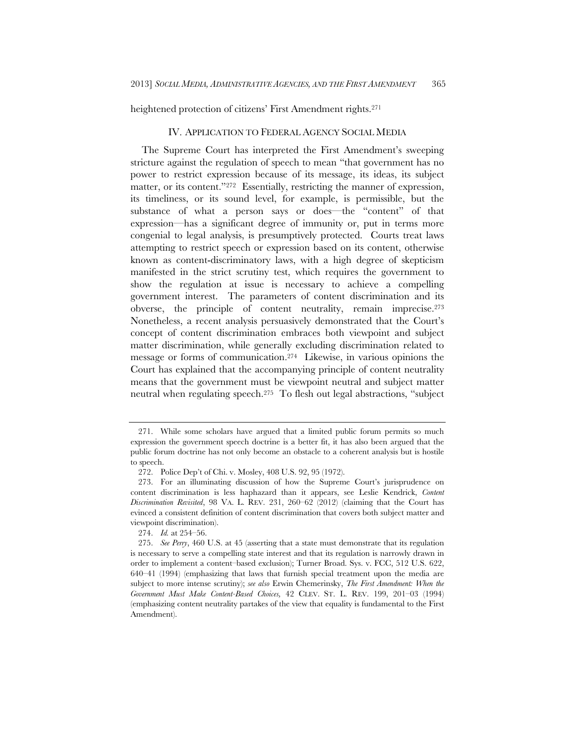heightened protection of citizens' First Amendment rights.<sup>271</sup>

## IV. APPLICATION TO FEDERAL AGENCY SOCIAL MEDIA

The Supreme Court has interpreted the First Amendment's sweeping stricture against the regulation of speech to mean "that government has no power to restrict expression because of its message, its ideas, its subject matter, or its content."<sup>272</sup> Essentially, restricting the manner of expression, its timeliness, or its sound level, for example, is permissible, but the substance of what a person says or does—the "content" of that expression—has a significant degree of immunity or, put in terms more congenial to legal analysis, is presumptively protected. Courts treat laws attempting to restrict speech or expression based on its content, otherwise known as content-discriminatory laws, with a high degree of skepticism manifested in the strict scrutiny test, which requires the government to show the regulation at issue is necessary to achieve a compelling government interest. The parameters of content discrimination and its obverse, the principle of content neutrality, remain imprecise.273 Nonetheless, a recent analysis persuasively demonstrated that the Court's concept of content discrimination embraces both viewpoint and subject matter discrimination, while generally excluding discrimination related to message or forms of communication.274 Likewise, in various opinions the Court has explained that the accompanying principle of content neutrality means that the government must be viewpoint neutral and subject matter neutral when regulating speech.275 To flesh out legal abstractions, "subject

 <sup>271.</sup> While some scholars have argued that a limited public forum permits so much expression the government speech doctrine is a better fit, it has also been argued that the public forum doctrine has not only become an obstacle to a coherent analysis but is hostile to speech.

 <sup>272.</sup> Police Dep't of Chi. v. Mosley, 408 U.S. 92, 95 (1972).

 <sup>273.</sup> For an illuminating discussion of how the Supreme Court's jurisprudence on content discrimination is less haphazard than it appears, see Leslie Kendrick, *Content Discrimination Revisited*, 98 VA. L. REV. 231, 260–62 (2012) (claiming that the Court has evinced a consistent definition of content discrimination that covers both subject matter and viewpoint discrimination).

 <sup>274.</sup> *Id.* at 254–56.

 <sup>275.</sup> *See Perry*, 460 U.S. at 45 (asserting that a state must demonstrate that its regulation is necessary to serve a compelling state interest and that its regulation is narrowly drawn in order to implement a content–based exclusion); Turner Broad. Sys. v. FCC, 512 U.S. 622, 640–41 (1994) (emphasizing that laws that furnish special treatment upon the media are subject to more intense scrutiny); *see also* Erwin Chemerinsky, *The First Amendment: When the Government Must Make Content-Based Choices,* 42 CLEV. ST. L. REV. 199, 201–03 (1994) (emphasizing content neutrality partakes of the view that equality is fundamental to the First Amendment).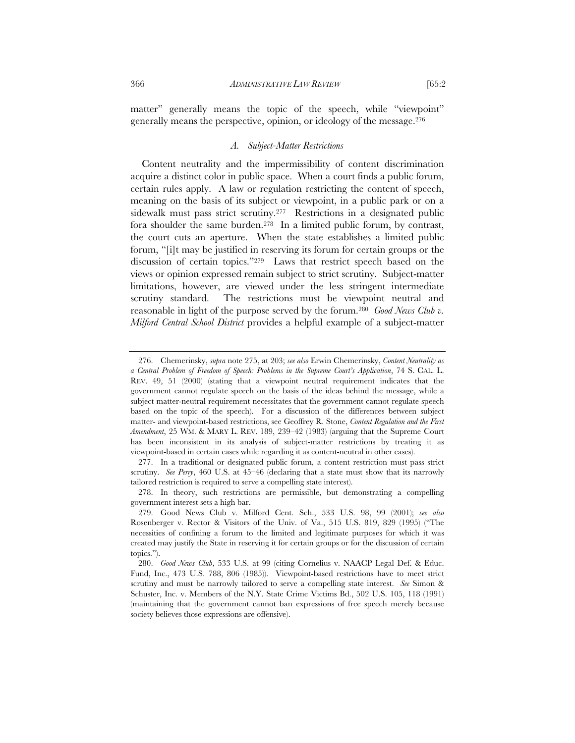matter" generally means the topic of the speech, while "viewpoint" generally means the perspective, opinion, or ideology of the message.276

# *A. Subject-Matter Restrictions*

Content neutrality and the impermissibility of content discrimination acquire a distinct color in public space. When a court finds a public forum, certain rules apply. A law or regulation restricting the content of speech, meaning on the basis of its subject or viewpoint, in a public park or on a sidewalk must pass strict scrutiny.277 Restrictions in a designated public fora shoulder the same burden.<sup>278</sup> In a limited public forum, by contrast, the court cuts an aperture. When the state establishes a limited public forum, "[i]t may be justified in reserving its forum for certain groups or the discussion of certain topics."279 Laws that restrict speech based on the views or opinion expressed remain subject to strict scrutiny. Subject-matter limitations, however, are viewed under the less stringent intermediate scrutiny standard. The restrictions must be viewpoint neutral and reasonable in light of the purpose served by the forum.280 *Good News Club v. Milford Central School District* provides a helpful example of a subject-matter

 <sup>276.</sup> Chemerinsky, *supra* note 275, at 203; *see also* Erwin Chemerinsky, *Content Neutrality as a Central Problem of Freedom of Speech: Problems in the Supreme Court's Application*, 74 S. CAL. L. REV. 49, 51 (2000) (stating that a viewpoint neutral requirement indicates that the government cannot regulate speech on the basis of the ideas behind the message, while a subject matter-neutral requirement necessitates that the government cannot regulate speech based on the topic of the speech). For a discussion of the differences between subject matter- and viewpoint-based restrictions, see Geoffrey R. Stone, *Content Regulation and the First Amendment*, 25 WM. & MARY L. REV. 189, 239–42 (1983) (arguing that the Supreme Court has been inconsistent in its analysis of subject-matter restrictions by treating it as viewpoint-based in certain cases while regarding it as content-neutral in other cases).

 <sup>277.</sup> In a traditional or designated public forum, a content restriction must pass strict scrutiny. *See Perry*, 460 U.S. at 45–46 (declaring that a state must show that its narrowly tailored restriction is required to serve a compelling state interest).

 <sup>278.</sup> In theory, such restrictions are permissible, but demonstrating a compelling government interest sets a high bar.

 <sup>279.</sup> Good News Club v. Milford Cent. Sch., 533 U.S. 98, 99 (2001); *see also* Rosenberger v. Rector & Visitors of the Univ. of Va., 515 U.S. 819, 829 (1995) ("The necessities of confining a forum to the limited and legitimate purposes for which it was created may justify the State in reserving it for certain groups or for the discussion of certain topics.").

 <sup>280.</sup> *Good News Club*, 533 U.S. at 99 (citing Cornelius v. NAACP Legal Def. & Educ. Fund, Inc., 473 U.S. 788, 806 (1985)). Viewpoint-based restrictions have to meet strict scrutiny and must be narrowly tailored to serve a compelling state interest. *See* Simon & Schuster, Inc. v. Members of the N.Y. State Crime Victims Bd., 502 U.S. 105, 118 (1991) (maintaining that the government cannot ban expressions of free speech merely because society believes those expressions are offensive).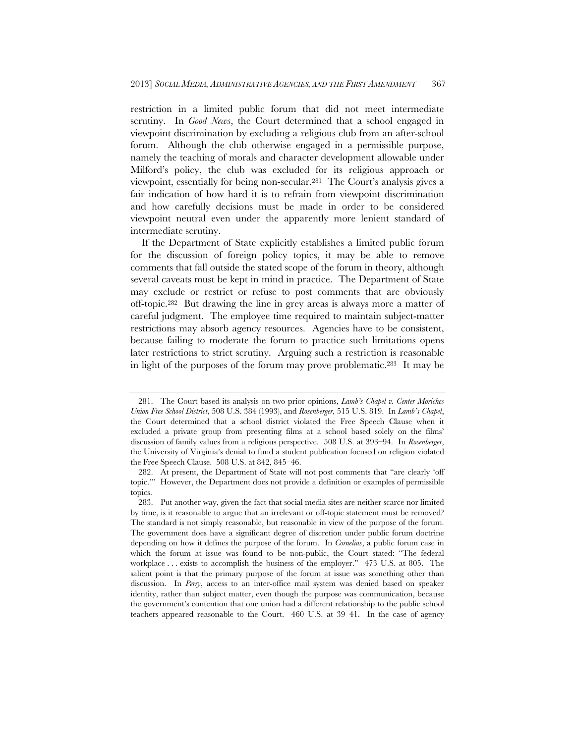restriction in a limited public forum that did not meet intermediate scrutiny. In *Good News*, the Court determined that a school engaged in viewpoint discrimination by excluding a religious club from an after-school forum. Although the club otherwise engaged in a permissible purpose, namely the teaching of morals and character development allowable under Milford's policy, the club was excluded for its religious approach or viewpoint, essentially for being non-secular.281 The Court's analysis gives a fair indication of how hard it is to refrain from viewpoint discrimination and how carefully decisions must be made in order to be considered viewpoint neutral even under the apparently more lenient standard of intermediate scrutiny.

If the Department of State explicitly establishes a limited public forum for the discussion of foreign policy topics, it may be able to remove comments that fall outside the stated scope of the forum in theory, although several caveats must be kept in mind in practice. The Department of State may exclude or restrict or refuse to post comments that are obviously off-topic.282 But drawing the line in grey areas is always more a matter of careful judgment. The employee time required to maintain subject-matter restrictions may absorb agency resources. Agencies have to be consistent, because failing to moderate the forum to practice such limitations opens later restrictions to strict scrutiny. Arguing such a restriction is reasonable in light of the purposes of the forum may prove problematic.283 It may be

 <sup>281.</sup> The Court based its analysis on two prior opinions, *Lamb's Chapel v. Center Moriches Union Free School District*, 508 U.S. 384 (1993), and *Rosenberger*, 515 U.S. 819. In *Lamb's Chapel*, the Court determined that a school district violated the Free Speech Clause when it excluded a private group from presenting films at a school based solely on the films' discussion of family values from a religious perspective. 508 U.S. at 393–94. In *Rosenberger*, the University of Virginia's denial to fund a student publication focused on religion violated the Free Speech Clause. 508 U.S. at 842, 845–46.

 <sup>282.</sup> At present, the Department of State will not post comments that "are clearly 'off topic.'" However, the Department does not provide a definition or examples of permissible topics.

 <sup>283.</sup> Put another way, given the fact that social media sites are neither scarce nor limited by time, is it reasonable to argue that an irrelevant or off-topic statement must be removed? The standard is not simply reasonable, but reasonable in view of the purpose of the forum. The government does have a significant degree of discretion under public forum doctrine depending on how it defines the purpose of the forum. In *Cornelius*, a public forum case in which the forum at issue was found to be non-public, the Court stated: "The federal workplace . . . exists to accomplish the business of the employer." 473 U.S. at 805. The salient point is that the primary purpose of the forum at issue was something other than discussion. In *Perry*, access to an inter-office mail system was denied based on speaker identity, rather than subject matter, even though the purpose was communication, because the government's contention that one union had a different relationship to the public school teachers appeared reasonable to the Court. 460 U.S. at 39–41. In the case of agency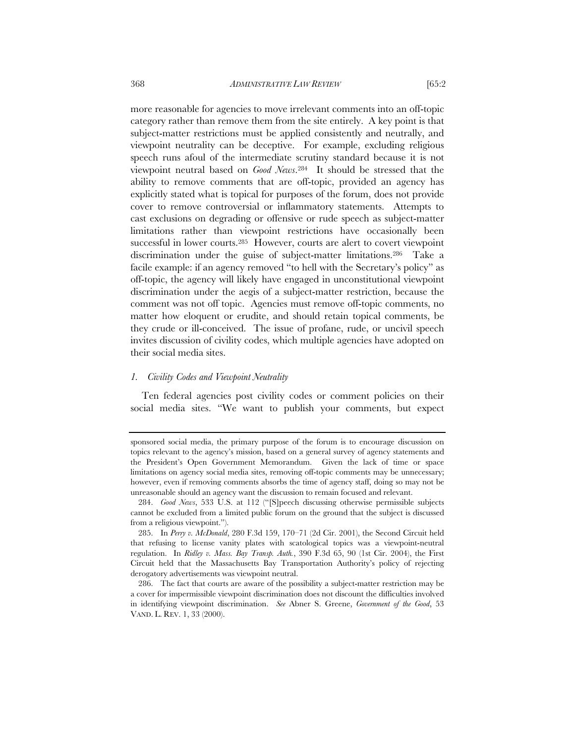more reasonable for agencies to move irrelevant comments into an off-topic category rather than remove them from the site entirely. A key point is that subject-matter restrictions must be applied consistently and neutrally, and viewpoint neutrality can be deceptive. For example, excluding religious speech runs afoul of the intermediate scrutiny standard because it is not viewpoint neutral based on *Good News*.284 It should be stressed that the ability to remove comments that are off-topic, provided an agency has explicitly stated what is topical for purposes of the forum, does not provide cover to remove controversial or inflammatory statements. Attempts to cast exclusions on degrading or offensive or rude speech as subject-matter limitations rather than viewpoint restrictions have occasionally been successful in lower courts.285 However, courts are alert to covert viewpoint discrimination under the guise of subject-matter limitations.286 Take a facile example: if an agency removed "to hell with the Secretary's policy" as off-topic, the agency will likely have engaged in unconstitutional viewpoint discrimination under the aegis of a subject-matter restriction, because the comment was not off topic. Agencies must remove off-topic comments, no matter how eloquent or erudite, and should retain topical comments, be they crude or ill-conceived. The issue of profane, rude, or uncivil speech invites discussion of civility codes, which multiple agencies have adopted on their social media sites.

# *1. Civility Codes and Viewpoint Neutrality*

Ten federal agencies post civility codes or comment policies on their social media sites. "We want to publish your comments, but expect

sponsored social media, the primary purpose of the forum is to encourage discussion on topics relevant to the agency's mission, based on a general survey of agency statements and the President's Open Government Memorandum. Given the lack of time or space limitations on agency social media sites, removing off-topic comments may be unnecessary; however, even if removing comments absorbs the time of agency staff, doing so may not be unreasonable should an agency want the discussion to remain focused and relevant.

 <sup>284.</sup> *Good News*, 533 U.S. at 112 ("[S]peech discussing otherwise permissible subjects cannot be excluded from a limited public forum on the ground that the subject is discussed from a religious viewpoint.").

 <sup>285.</sup> In *Perry v. McDonald*, 280 F.3d 159, 170–71 (2d Cir. 2001), the Second Circuit held that refusing to license vanity plates with scatological topics was a viewpoint-neutral regulation. In *Ridley v. Mass. Bay Transp. Auth.*, 390 F.3d 65, 90 (1st Cir. 2004), the First Circuit held that the Massachusetts Bay Transportation Authority's policy of rejecting derogatory advertisements was viewpoint neutral.

 <sup>286.</sup> The fact that courts are aware of the possibility a subject-matter restriction may be a cover for impermissible viewpoint discrimination does not discount the difficulties involved in identifying viewpoint discrimination. *See* Abner S. Greene, *Government of the Good*, 53 VAND. L. REV. 1, 33 (2000).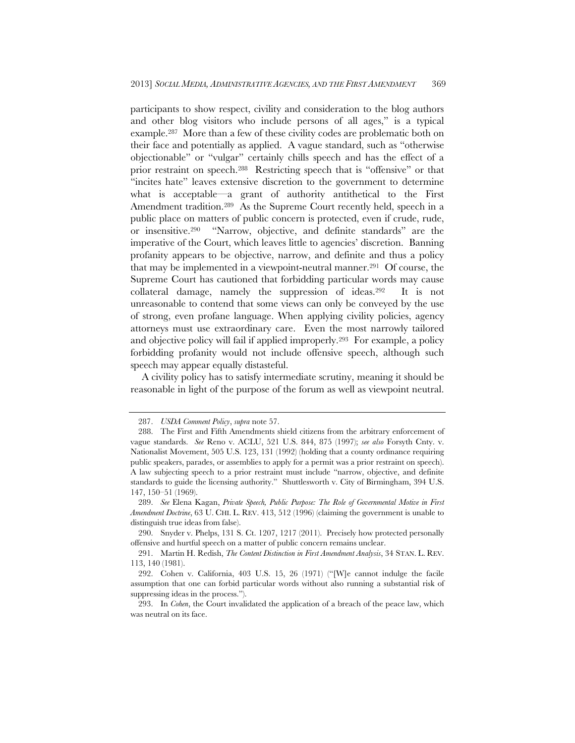participants to show respect, civility and consideration to the blog authors and other blog visitors who include persons of all ages," is a typical example.287 More than a few of these civility codes are problematic both on their face and potentially as applied. A vague standard, such as "otherwise objectionable" or "vulgar" certainly chills speech and has the effect of a prior restraint on speech.288 Restricting speech that is "offensive" or that "incites hate" leaves extensive discretion to the government to determine what is acceptable—a grant of authority antithetical to the First Amendment tradition.<sup>289</sup> As the Supreme Court recently held, speech in a public place on matters of public concern is protected, even if crude, rude, or insensitive.290 "Narrow, objective, and definite standards" are the imperative of the Court, which leaves little to agencies' discretion. Banning profanity appears to be objective, narrow, and definite and thus a policy that may be implemented in a viewpoint-neutral manner.291 Of course, the Supreme Court has cautioned that forbidding particular words may cause collateral damage, namely the suppression of ideas.292 It is not unreasonable to contend that some views can only be conveyed by the use of strong, even profane language. When applying civility policies, agency attorneys must use extraordinary care. Even the most narrowly tailored and objective policy will fail if applied improperly.293 For example, a policy forbidding profanity would not include offensive speech, although such speech may appear equally distasteful.

A civility policy has to satisfy intermediate scrutiny, meaning it should be reasonable in light of the purpose of the forum as well as viewpoint neutral.

 <sup>287.</sup> *USDA Comment Policy*, *supra* note 57.

 <sup>288.</sup> The First and Fifth Amendments shield citizens from the arbitrary enforcement of vague standards. *See* Reno v. ACLU, 521 U.S. 844, 875 (1997); *see also* Forsyth Cnty. v. Nationalist Movement, 505 U.S. 123, 131 (1992) (holding that a county ordinance requiring public speakers, parades, or assemblies to apply for a permit was a prior restraint on speech). A law subjecting speech to a prior restraint must include "narrow, objective, and definite standards to guide the licensing authority." Shuttlesworth v. City of Birmingham, 394 U.S. 147, 150–51 (1969).

 <sup>289.</sup> *See* Elena Kagan, *Private Speech, Public Purpose: The Role of Governmental Motive in First Amendment Doctrine*, 63 U. CHI. L. REV. 413, 512 (1996) (claiming the government is unable to distinguish true ideas from false).

 <sup>290.</sup> Snyder v. Phelps, 131 S. Ct. 1207, 1217 (2011). Precisely how protected personally offensive and hurtful speech on a matter of public concern remains unclear.

 <sup>291.</sup> Martin H. Redish, *The Content Distinction in First Amendment Analysis*, 34 STAN. L. REV. 113, 140 (1981).

 <sup>292.</sup> Cohen v. California, 403 U.S. 15, 26 (1971) ("[W]e cannot indulge the facile assumption that one can forbid particular words without also running a substantial risk of suppressing ideas in the process.").

 <sup>293.</sup> In *Cohen*, the Court invalidated the application of a breach of the peace law, which was neutral on its face.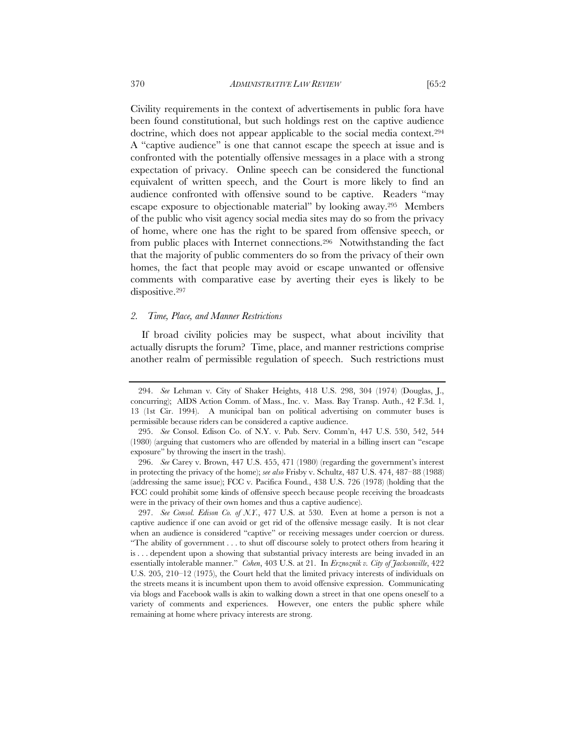Civility requirements in the context of advertisements in public fora have been found constitutional, but such holdings rest on the captive audience doctrine, which does not appear applicable to the social media context.294 A "captive audience" is one that cannot escape the speech at issue and is confronted with the potentially offensive messages in a place with a strong expectation of privacy. Online speech can be considered the functional equivalent of written speech, and the Court is more likely to find an audience confronted with offensive sound to be captive. Readers "may escape exposure to objectionable material" by looking away.295 Members of the public who visit agency social media sites may do so from the privacy of home, where one has the right to be spared from offensive speech, or from public places with Internet connections.296 Notwithstanding the fact that the majority of public commenters do so from the privacy of their own homes, the fact that people may avoid or escape unwanted or offensive comments with comparative ease by averting their eyes is likely to be dispositive.297

### *2. Time, Place, and Manner Restrictions*

If broad civility policies may be suspect, what about incivility that actually disrupts the forum? Time, place, and manner restrictions comprise another realm of permissible regulation of speech. Such restrictions must

 <sup>294.</sup> *See* Lehman v. City of Shaker Heights, 418 U.S. 298, 304 (1974) (Douglas, J., concurring); AIDS Action Comm. of Mass., Inc. v. Mass. Bay Transp. Auth., 42 F.3d. 1, 13 (1st Cir. 1994). A municipal ban on political advertising on commuter buses is permissible because riders can be considered a captive audience.

 <sup>295.</sup> *See* Consol. Edison Co. of N.Y. v. Pub. Serv. Comm'n, 447 U.S. 530, 542, 544 (1980) (arguing that customers who are offended by material in a billing insert can "escape exposure" by throwing the insert in the trash).

 <sup>296.</sup> *See* Carey v. Brown, 447 U.S. 455, 471 (1980) (regarding the government's interest in protecting the privacy of the home); *see also* Frisby v. Schultz, 487 U.S. 474, 487–88 (1988) (addressing the same issue); FCC v. Pacifica Found., 438 U.S. 726 (1978) (holding that the FCC could prohibit some kinds of offensive speech because people receiving the broadcasts were in the privacy of their own homes and thus a captive audience).

 <sup>297.</sup> *See Consol. Edison Co. of N.Y.*, 477 U.S. at 530. Even at home a person is not a captive audience if one can avoid or get rid of the offensive message easily. It is not clear when an audience is considered "captive" or receiving messages under coercion or duress. "The ability of government . . . to shut off discourse solely to protect others from hearing it is . . . dependent upon a showing that substantial privacy interests are being invaded in an essentially intolerable manner." *Cohen*, 403 U.S. at 21. In *Erznoznik v. City of Jacksonville*, 422 U.S. 205, 210–12 (1975), the Court held that the limited privacy interests of individuals on the streets means it is incumbent upon them to avoid offensive expression. Communicating via blogs and Facebook walls is akin to walking down a street in that one opens oneself to a variety of comments and experiences. However, one enters the public sphere while remaining at home where privacy interests are strong.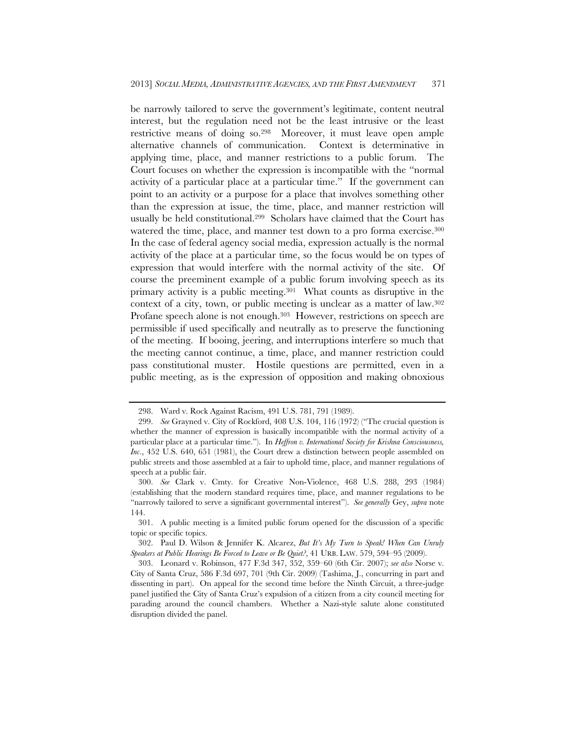be narrowly tailored to serve the government's legitimate, content neutral interest, but the regulation need not be the least intrusive or the least restrictive means of doing so.298 Moreover, it must leave open ample alternative channels of communication. Context is determinative in applying time, place, and manner restrictions to a public forum. The Court focuses on whether the expression is incompatible with the "normal activity of a particular place at a particular time." If the government can point to an activity or a purpose for a place that involves something other than the expression at issue, the time, place, and manner restriction will usually be held constitutional.299 Scholars have claimed that the Court has watered the time, place, and manner test down to a pro forma exercise.<sup>300</sup> In the case of federal agency social media, expression actually is the normal activity of the place at a particular time, so the focus would be on types of expression that would interfere with the normal activity of the site. Of course the preeminent example of a public forum involving speech as its primary activity is a public meeting.301 What counts as disruptive in the context of a city, town, or public meeting is unclear as a matter of law.302 Profane speech alone is not enough.<sup>303</sup> However, restrictions on speech are permissible if used specifically and neutrally as to preserve the functioning of the meeting. If booing, jeering, and interruptions interfere so much that the meeting cannot continue, a time, place, and manner restriction could pass constitutional muster. Hostile questions are permitted, even in a public meeting, as is the expression of opposition and making obnoxious

 <sup>298.</sup> Ward v. Rock Against Racism, 491 U.S. 781, 791 (1989).

 <sup>299.</sup> *See* Grayned v. City of Rockford, 408 U.S. 104, 116 (1972) ("The crucial question is whether the manner of expression is basically incompatible with the normal activity of a particular place at a particular time."). In *Heffron v. International Society for Krishna Consciousness, Inc*., 452 U.S. 640, 651 (1981), the Court drew a distinction between people assembled on public streets and those assembled at a fair to uphold time, place, and manner regulations of speech at a public fair.

 <sup>300.</sup> *See* Clark v. Cmty. for Creative Non-Violence, 468 U.S. 288, 293 (1984) (establishing that the modern standard requires time, place, and manner regulations to be "narrowly tailored to serve a significant governmental interest"). *See generally* Gey, *supra* note 144.

 <sup>301.</sup> A public meeting is a limited public forum opened for the discussion of a specific topic or specific topics.

 <sup>302.</sup> Paul D. Wilson & Jennifer K. Alcarez, *But It's My Turn to Speak! When Can Unruly Speakers at Public Hearings Be Forced to Leave or Be Quiet?*, 41 URB. LAW. 579, 594–95 (2009).

 <sup>303.</sup> Leonard v. Robinson, 477 F.3d 347, 352, 359–60 (6th Cir. 2007); *see also* Norse v. City of Santa Cruz, 586 F.3d 697, 701 (9th Cir. 2009) (Tashima, J., concurring in part and dissenting in part). On appeal for the second time before the Ninth Circuit, a three-judge panel justified the City of Santa Cruz's expulsion of a citizen from a city council meeting for parading around the council chambers. Whether a Nazi-style salute alone constituted disruption divided the panel.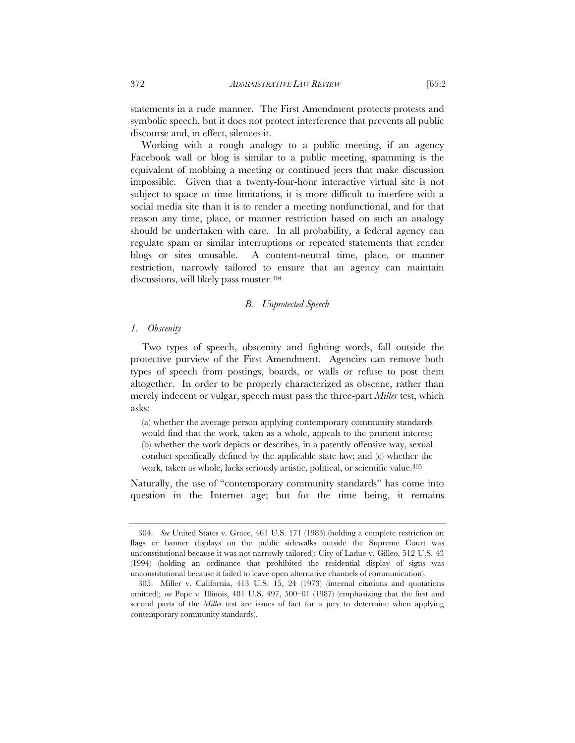statements in a rude manner. The First Amendment protects protests and symbolic speech, but it does not protect interference that prevents all public discourse and, in effect, silences it.

Working with a rough analogy to a public meeting, if an agency Facebook wall or blog is similar to a public meeting, spamming is the equivalent of mobbing a meeting or continued jeers that make discussion impossible. Given that a twenty-four-hour interactive virtual site is not subject to space or time limitations, it is more difficult to interfere with a social media site than it is to render a meeting nonfunctional, and for that reason any time, place, or manner restriction based on such an analogy should be undertaken with care. In all probability, a federal agency can regulate spam or similar interruptions or repeated statements that render blogs or sites unusable. A content-neutral time, place, or manner restriction, narrowly tailored to ensure that an agency can maintain discussions, will likely pass muster.304

## *B. Unprotected Speech*

#### *1. Obscenity*

Two types of speech, obscenity and fighting words, fall outside the protective purview of the First Amendment. Agencies can remove both types of speech from postings, boards, or walls or refuse to post them altogether. In order to be properly characterized as obscene, rather than merely indecent or vulgar, speech must pass the three-part *Miller* test, which asks:

(a) whether the average person applying contemporary community standards would find that the work, taken as a whole, appeals to the prurient interest; (b) whether the work depicts or describes, in a patently offensive way, sexual conduct specifically defined by the applicable state law; and (c) whether the work, taken as whole, lacks seriously artistic, political, or scientific value.<sup>305</sup>

Naturally, the use of "contemporary community standards" has come into question in the Internet age; but for the time being, it remains

 <sup>304.</sup> *See* United States v. Grace, 461 U.S. 171 (1983) (holding a complete restriction on flags or banner displays on the public sidewalks outside the Supreme Court was unconstitutional because it was not narrowly tailored); City of Ladue v. Gilleo, 512 U.S. 43 (1994) (holding an ordinance that prohibited the residential display of signs was unconstitutional because it failed to leave open alternative channels of communication).

 <sup>305.</sup> Miller v. California, 413 U.S. 15, 24 (1973) (internal citations and quotations omitted); *see* Pope v. Illinois, 481 U.S. 497, 500–01 (1987) (emphasizing that the first and second parts of the *Miller* test are issues of fact for a jury to determine when applying contemporary community standards).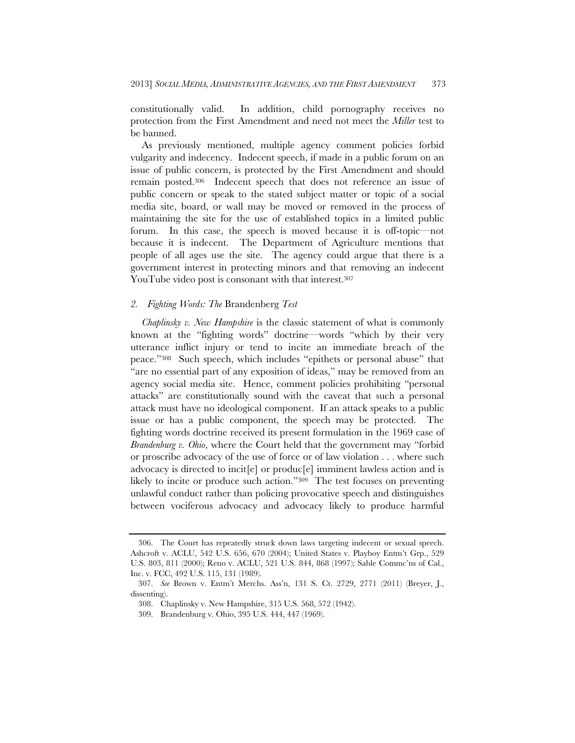constitutionally valid. In addition, child pornography receives no protection from the First Amendment and need not meet the *Miller* test to be banned.

As previously mentioned, multiple agency comment policies forbid vulgarity and indecency. Indecent speech, if made in a public forum on an issue of public concern, is protected by the First Amendment and should remain posted.306 Indecent speech that does not reference an issue of public concern or speak to the stated subject matter or topic of a social media site, board, or wall may be moved or removed in the process of maintaining the site for the use of established topics in a limited public forum. In this case, the speech is moved because it is off-topic—not because it is indecent. The Department of Agriculture mentions that people of all ages use the site. The agency could argue that there is a government interest in protecting minors and that removing an indecent YouTube video post is consonant with that interest.<sup>307</sup>

# *2. Fighting Words: The* Brandenberg *Test*

*Chaplinsky v. New Hampshire* is the classic statement of what is commonly known at the "fighting words" doctrine—words "which by their very utterance inflict injury or tend to incite an immediate breach of the peace."308 Such speech, which includes "epithets or personal abuse" that "are no essential part of any exposition of ideas," may be removed from an agency social media site. Hence, comment policies prohibiting "personal attacks" are constitutionally sound with the caveat that such a personal attack must have no ideological component. If an attack speaks to a public issue or has a public component, the speech may be protected. The fighting words doctrine received its present formulation in the 1969 case of *Brandenburg v. Ohio*, where the Court held that the government may "forbid or proscribe advocacy of the use of force or of law violation . . . where such advocacy is directed to incit[e] or produc[e] imminent lawless action and is likely to incite or produce such action."309 The test focuses on preventing unlawful conduct rather than policing provocative speech and distinguishes between vociferous advocacy and advocacy likely to produce harmful

 <sup>306.</sup> The Court has repeatedly struck down laws targeting indecent or sexual speech. Ashcroft v. ACLU, 542 U.S. 656, 670 (2004); United States v. Playboy Entm't Grp., 529 U.S. 803, 811 (2000); Reno v. ACLU, 521 U.S. 844, 868 (1997); Sable Commc'ns of Cal., Inc. v. FCC, 492 U.S. 115, 131 (1989).

 <sup>307.</sup> *See* Brown v. Entm't Merchs. Ass'n, 131 S. Ct. 2729, 2771 (2011) (Breyer, J., dissenting).

 <sup>308.</sup> Chaplinsky v. New Hampshire, 315 U.S. 568, 572 (1942).

 <sup>309.</sup> Brandenburg v. Ohio, 395 U.S. 444, 447 (1969).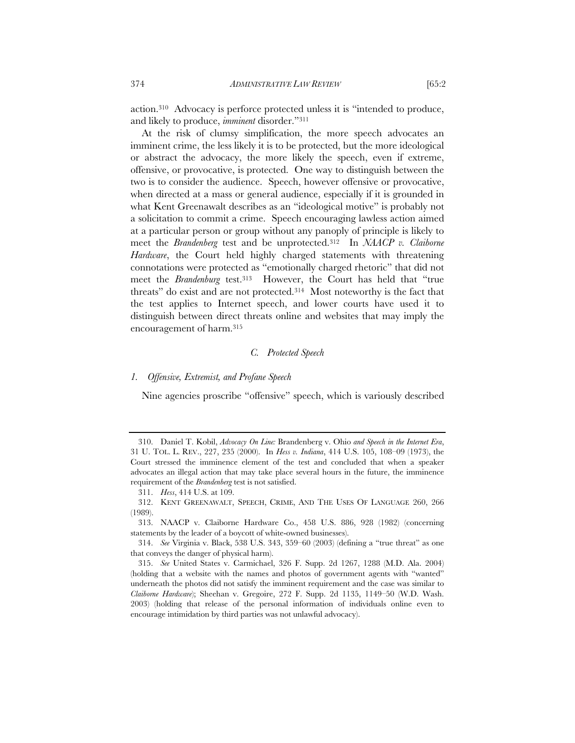action.310 Advocacy is perforce protected unless it is "intended to produce, and likely to produce, *imminent* disorder."311

At the risk of clumsy simplification, the more speech advocates an imminent crime, the less likely it is to be protected, but the more ideological or abstract the advocacy, the more likely the speech, even if extreme, offensive, or provocative, is protected. One way to distinguish between the two is to consider the audience. Speech, however offensive or provocative, when directed at a mass or general audience, especially if it is grounded in what Kent Greenawalt describes as an "ideological motive" is probably not a solicitation to commit a crime. Speech encouraging lawless action aimed at a particular person or group without any panoply of principle is likely to meet the *Brandenberg* test and be unprotected.312 In *NAACP v. Claiborne Hardware*, the Court held highly charged statements with threatening connotations were protected as "emotionally charged rhetoric" that did not meet the *Brandenburg* test.313 However, the Court has held that "true threats" do exist and are not protected.314 Most noteworthy is the fact that the test applies to Internet speech, and lower courts have used it to distinguish between direct threats online and websites that may imply the encouragement of harm.315

# *C. Protected Speech*

## *1. Offensive, Extremist, and Profane Speech*

Nine agencies proscribe "offensive" speech, which is variously described

 <sup>310.</sup> Daniel T. Kobil, *Advocacy On Line:* Brandenberg v. Ohio *and Speech in the Internet Era*, 31 U. TOL. L. REV., 227, 235 (2000). In *Hess v. Indiana*, 414 U.S. 105, 108–09 (1973), the Court stressed the imminence element of the test and concluded that when a speaker advocates an illegal action that may take place several hours in the future, the imminence requirement of the *Brandenberg* test is not satisfied.

 <sup>311.</sup> *Hess*, 414 U.S. at 109.

 <sup>312.</sup> KENT GREENAWALT, SPEECH, CRIME, AND THE USES OF LANGUAGE 260, 266 (1989).

 <sup>313.</sup> NAACP v. Claiborne Hardware Co., 458 U.S. 886, 928 (1982) (concerning statements by the leader of a boycott of white-owned businesses).

 <sup>314.</sup> *See* Virginia v. Black, 538 U.S. 343, 359–60 (2003) (defining a "true threat" as one that conveys the danger of physical harm).

 <sup>315.</sup> *See* United States v. Carmichael, 326 F. Supp. 2d 1267, 1288 (M.D. Ala. 2004) (holding that a website with the names and photos of government agents with "wanted" underneath the photos did not satisfy the imminent requirement and the case was similar to *Claiborne Hardware*); Sheehan v. Gregoire, 272 F. Supp. 2d 1135, 1149–50 (W.D. Wash. 2003) (holding that release of the personal information of individuals online even to encourage intimidation by third parties was not unlawful advocacy).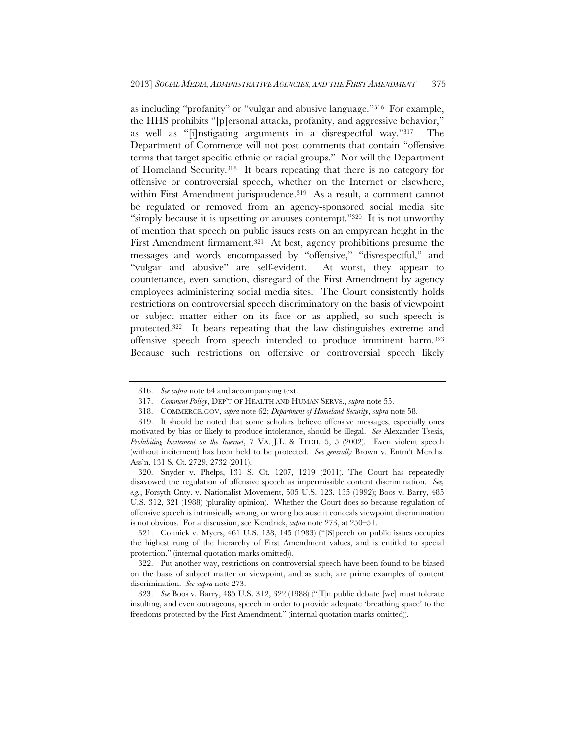as including "profanity" or "vulgar and abusive language."316 For example, the HHS prohibits "[p]ersonal attacks, profanity, and aggressive behavior," as well as "[i]nstigating arguments in a disrespectful way."317 The Department of Commerce will not post comments that contain "offensive terms that target specific ethnic or racial groups." Nor will the Department of Homeland Security.318 It bears repeating that there is no category for offensive or controversial speech, whether on the Internet or elsewhere, within First Amendment jurisprudence.<sup>319</sup> As a result, a comment cannot be regulated or removed from an agency-sponsored social media site "simply because it is upsetting or arouses contempt."320 It is not unworthy of mention that speech on public issues rests on an empyrean height in the First Amendment firmament.321 At best, agency prohibitions presume the messages and words encompassed by "offensive," "disrespectful," and "vulgar and abusive" are self-evident. At worst, they appear to countenance, even sanction, disregard of the First Amendment by agency employees administering social media sites. The Court consistently holds restrictions on controversial speech discriminatory on the basis of viewpoint or subject matter either on its face or as applied, so such speech is protected.322 It bears repeating that the law distinguishes extreme and offensive speech from speech intended to produce imminent harm.323 Because such restrictions on offensive or controversial speech likely

 <sup>316.</sup> *See supra* note 64 and accompanying text.

 <sup>317.</sup> *Comment Policy*, DEP'T OF HEALTH AND HUMAN SERVS., *supra* note 55.

 <sup>318.</sup> COMMERCE.GOV, *supra* note 62; *Department of Homeland Security*, *supra* note 58.

 <sup>319.</sup> It should be noted that some scholars believe offensive messages, especially ones motivated by bias or likely to produce intolerance, should be illegal. *See* Alexander Tsesis, *Prohibiting Incitement on the Internet*, 7 VA. J.L. & TECH. 5, 5 (2002). Even violent speech (without incitement) has been held to be protected. *See generally* Brown v. Entm't Merchs. Ass'n, 131 S. Ct. 2729, 2732 (2011).

 <sup>320.</sup> Snyder v. Phelps, 131 S. Ct. 1207, 1219 (2011). The Court has repeatedly disavowed the regulation of offensive speech as impermissible content discrimination. *See, e.g.*, Forsyth Cnty. v. Nationalist Movement, 505 U.S. 123, 135 (1992); Boos v. Barry, 485 U.S. 312, 321 (1988) (plurality opinion). Whether the Court does so because regulation of offensive speech is intrinsically wrong, or wrong because it conceals viewpoint discrimination is not obvious. For a discussion, see Kendrick, *supra* note 273, at 250–51.

 <sup>321.</sup> Connick v. Myers, 461 U.S. 138, 145 (1983) ("[S]peech on public issues occupies the highest rung of the hierarchy of First Amendment values, and is entitled to special protection." (internal quotation marks omitted)).

 <sup>322.</sup> Put another way, restrictions on controversial speech have been found to be biased on the basis of subject matter or viewpoint, and as such, are prime examples of content discrimination. *See supra* note 273.

 <sup>323.</sup> *See* Boos v. Barry, 485 U.S. 312, 322 (1988) ("[I]n public debate [we] must tolerate insulting, and even outrageous, speech in order to provide adequate 'breathing space' to the freedoms protected by the First Amendment." (internal quotation marks omitted)).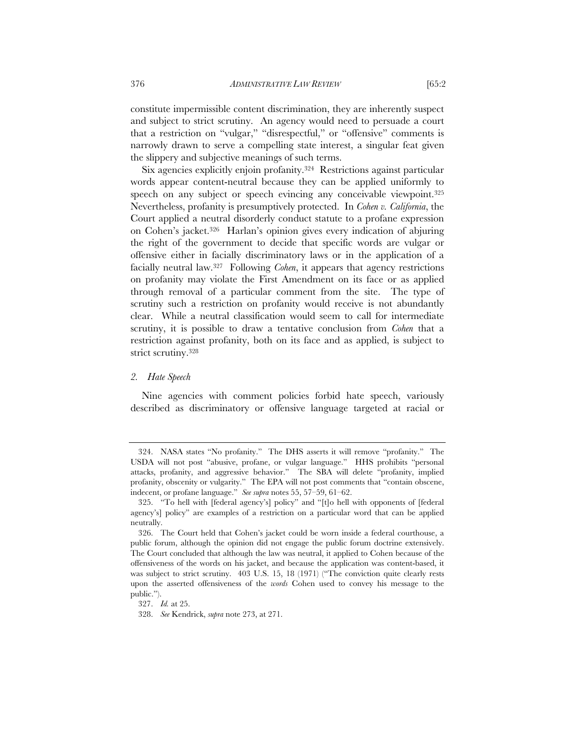constitute impermissible content discrimination, they are inherently suspect and subject to strict scrutiny. An agency would need to persuade a court that a restriction on "vulgar," "disrespectful," or "offensive" comments is narrowly drawn to serve a compelling state interest, a singular feat given the slippery and subjective meanings of such terms.

Six agencies explicitly enjoin profanity.324 Restrictions against particular words appear content-neutral because they can be applied uniformly to speech on any subject or speech evincing any conceivable viewpoint.<sup>325</sup> Nevertheless, profanity is presumptively protected. In *Cohen v. California*, the Court applied a neutral disorderly conduct statute to a profane expression on Cohen's jacket.326 Harlan's opinion gives every indication of abjuring the right of the government to decide that specific words are vulgar or offensive either in facially discriminatory laws or in the application of a facially neutral law.327 Following *Cohen*, it appears that agency restrictions on profanity may violate the First Amendment on its face or as applied through removal of a particular comment from the site. The type of scrutiny such a restriction on profanity would receive is not abundantly clear. While a neutral classification would seem to call for intermediate scrutiny, it is possible to draw a tentative conclusion from *Cohen* that a restriction against profanity, both on its face and as applied, is subject to strict scrutiny.328

# *2. Hate Speech*

Nine agencies with comment policies forbid hate speech, variously described as discriminatory or offensive language targeted at racial or

 <sup>324.</sup> NASA states "No profanity." The DHS asserts it will remove "profanity." The USDA will not post "abusive, profane, or vulgar language." HHS prohibits "personal attacks, profanity, and aggressive behavior." The SBA will delete "profanity, implied profanity, obscenity or vulgarity." The EPA will not post comments that "contain obscene, indecent, or profane language." *See supra* notes 55, 57–59, 61–62.

 <sup>325. &</sup>quot;To hell with [federal agency's] policy" and "[t]o hell with opponents of [federal agency's] policy" are examples of a restriction on a particular word that can be applied neutrally.

 <sup>326.</sup> The Court held that Cohen's jacket could be worn inside a federal courthouse, a public forum, although the opinion did not engage the public forum doctrine extensively. The Court concluded that although the law was neutral, it applied to Cohen because of the offensiveness of the words on his jacket, and because the application was content-based, it was subject to strict scrutiny. 403 U.S. 15, 18 (1971) ("The conviction quite clearly rests upon the asserted offensiveness of the *words* Cohen used to convey his message to the public.").

 <sup>327.</sup> *Id.* at 25.

 <sup>328.</sup> *See* Kendrick, *supra* note 273, at 271.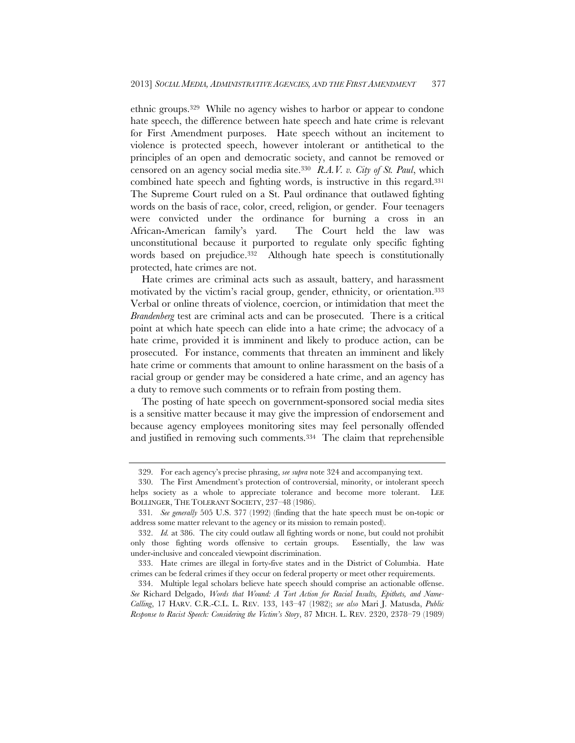ethnic groups.329 While no agency wishes to harbor or appear to condone hate speech, the difference between hate speech and hate crime is relevant for First Amendment purposes. Hate speech without an incitement to violence is protected speech, however intolerant or antithetical to the principles of an open and democratic society, and cannot be removed or censored on an agency social media site.330 *R.A.V. v. City of St. Paul*, which combined hate speech and fighting words, is instructive in this regard.331 The Supreme Court ruled on a St. Paul ordinance that outlawed fighting words on the basis of race, color, creed, religion, or gender. Four teenagers were convicted under the ordinance for burning a cross in an African-American family's yard. The Court held the law was unconstitutional because it purported to regulate only specific fighting words based on prejudice.<sup>332</sup> Although hate speech is constitutionally protected, hate crimes are not.

Hate crimes are criminal acts such as assault, battery, and harassment motivated by the victim's racial group, gender, ethnicity, or orientation.333 Verbal or online threats of violence, coercion, or intimidation that meet the *Brandenberg* test are criminal acts and can be prosecuted. There is a critical point at which hate speech can elide into a hate crime; the advocacy of a hate crime, provided it is imminent and likely to produce action, can be prosecuted. For instance, comments that threaten an imminent and likely hate crime or comments that amount to online harassment on the basis of a racial group or gender may be considered a hate crime, and an agency has a duty to remove such comments or to refrain from posting them.

The posting of hate speech on government-sponsored social media sites is a sensitive matter because it may give the impression of endorsement and because agency employees monitoring sites may feel personally offended and justified in removing such comments.334 The claim that reprehensible

 <sup>329.</sup> For each agency's precise phrasing, *see supra* note 324 and accompanying text.

 <sup>330.</sup> The First Amendment's protection of controversial, minority, or intolerant speech helps society as a whole to appreciate tolerance and become more tolerant. LEE BOLLINGER, THE TOLERANT SOCIETY, 237–48 (1986).

<sup>331</sup>*. See generally* 505 U.S. 377 (1992) (finding that the hate speech must be on-topic or address some matter relevant to the agency or its mission to remain posted).

 <sup>332.</sup> *Id.* at 386. The city could outlaw all fighting words or none, but could not prohibit only those fighting words offensive to certain groups. Essentially, the law was under-inclusive and concealed viewpoint discrimination.

 <sup>333.</sup> Hate crimes are illegal in forty-five states and in the District of Columbia. Hate crimes can be federal crimes if they occur on federal property or meet other requirements.

 <sup>334.</sup> Multiple legal scholars believe hate speech should comprise an actionable offense. *See* Richard Delgado, *Words that Wound: A Tort Action for Racial Insults, Epithets, and Name-Calling*, 17 HARV. C.R.-C.L. L. REV. 133, 143–47 (1982); *see also* Mari J. Matusda, *Public Response to Racist Speech: Considering the Victim's Story*, 87 MICH. L. REV. 2320, 2378–79 (1989)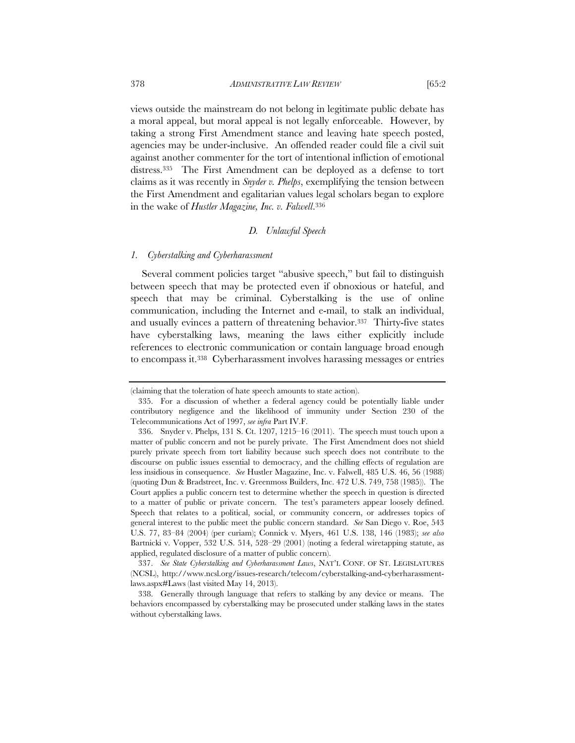views outside the mainstream do not belong in legitimate public debate has a moral appeal, but moral appeal is not legally enforceable. However, by taking a strong First Amendment stance and leaving hate speech posted, agencies may be under-inclusive. An offended reader could file a civil suit against another commenter for the tort of intentional infliction of emotional distress.335 The First Amendment can be deployed as a defense to tort claims as it was recently in *Snyder v. Phelps*, exemplifying the tension between the First Amendment and egalitarian values legal scholars began to explore in the wake of *Hustler Magazine, Inc. v. Falwell*.336

# *D. Unlawful Speech*

#### *1. Cyberstalking and Cyberharassment*

Several comment policies target "abusive speech," but fail to distinguish between speech that may be protected even if obnoxious or hateful, and speech that may be criminal. Cyberstalking is the use of online communication, including the Internet and e-mail, to stalk an individual, and usually evinces a pattern of threatening behavior.337 Thirty-five states have cyberstalking laws, meaning the laws either explicitly include references to electronic communication or contain language broad enough to encompass it.338 Cyberharassment involves harassing messages or entries

<sup>(</sup>claiming that the toleration of hate speech amounts to state action).

 <sup>335.</sup> For a discussion of whether a federal agency could be potentially liable under contributory negligence and the likelihood of immunity under Section 230 of the Telecommunications Act of 1997, *see infra* Part IV.F.

 <sup>336.</sup> Snyder v. Phelps, 131 S. Ct. 1207, 1215–16 (2011). The speech must touch upon a matter of public concern and not be purely private. The First Amendment does not shield purely private speech from tort liability because such speech does not contribute to the discourse on public issues essential to democracy, and the chilling effects of regulation are less insidious in consequence. *See* Hustler Magazine, Inc. v. Falwell, 485 U.S. 46, 56 (1988) (quoting Dun & Bradstreet, Inc. v. Greenmoss Builders, Inc. 472 U.S. 749, 758 (1985)). The Court applies a public concern test to determine whether the speech in question is directed to a matter of public or private concern. The test's parameters appear loosely defined. Speech that relates to a political, social, or community concern, or addresses topics of general interest to the public meet the public concern standard. *See* San Diego v. Roe, 543 U.S. 77, 83–84 (2004) (per curiam); Connick v. Myers, 461 U.S. 138, 146 (1983); *see also*  Bartnicki v. Vopper, 532 U.S. 514, 528–29 (2001) (noting a federal wiretapping statute, as applied, regulated disclosure of a matter of public concern).

 <sup>337.</sup> *See State Cyberstalking and Cyberharassment Laws*, NAT'L CONF. OF ST. LEGISLATURES (NCSL), http://www.ncsl.org/issues-research/telecom/cyberstalking-and-cyberharassmentlaws.aspx#Laws (last visited May 14, 2013).

 <sup>338.</sup> Generally through language that refers to stalking by any device or means. The behaviors encompassed by cyberstalking may be prosecuted under stalking laws in the states without cyberstalking laws.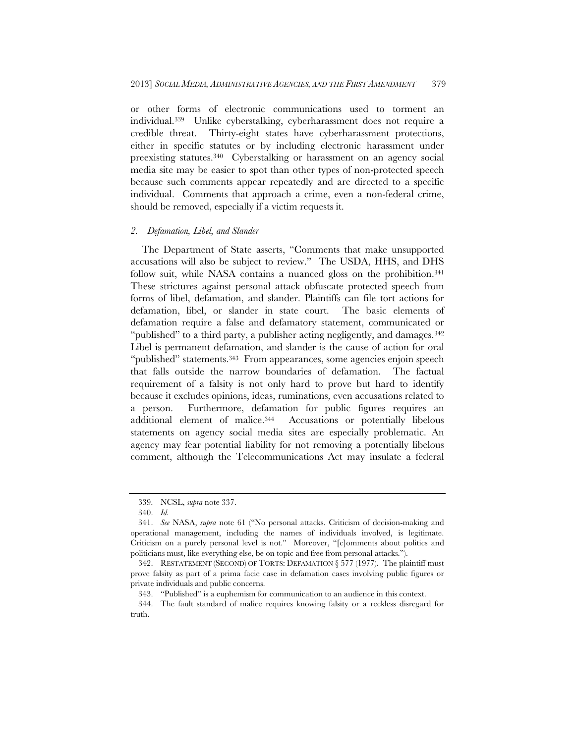or other forms of electronic communications used to torment an individual.339 Unlike cyberstalking, cyberharassment does not require a credible threat. Thirty-eight states have cyberharassment protections, either in specific statutes or by including electronic harassment under preexisting statutes.340 Cyberstalking or harassment on an agency social media site may be easier to spot than other types of non-protected speech because such comments appear repeatedly and are directed to a specific individual. Comments that approach a crime, even a non-federal crime, should be removed, especially if a victim requests it.

# *2. Defamation, Libel, and Slander*

The Department of State asserts, "Comments that make unsupported accusations will also be subject to review." The USDA, HHS, and DHS follow suit, while NASA contains a nuanced gloss on the prohibition.<sup>341</sup> These strictures against personal attack obfuscate protected speech from forms of libel, defamation, and slander. Plaintiffs can file tort actions for defamation, libel, or slander in state court. The basic elements of defamation require a false and defamatory statement, communicated or "published" to a third party, a publisher acting negligently, and damages.<sup>342</sup> Libel is permanent defamation, and slander is the cause of action for oral "published" statements.343 From appearances, some agencies enjoin speech that falls outside the narrow boundaries of defamation. The factual requirement of a falsity is not only hard to prove but hard to identify because it excludes opinions, ideas, ruminations, even accusations related to a person. Furthermore, defamation for public figures requires an additional element of malice.344 Accusations or potentially libelous statements on agency social media sites are especially problematic. An agency may fear potential liability for not removing a potentially libelous comment, although the Telecommunications Act may insulate a federal

 <sup>339.</sup> NCSL, *supra* note 337.

 <sup>340.</sup> *Id.*

 <sup>341.</sup> *See* NASA, *supra* note 61 ("No personal attacks. Criticism of decision-making and operational management, including the names of individuals involved, is legitimate. Criticism on a purely personal level is not." Moreover, "[c]omments about politics and politicians must, like everything else, be on topic and free from personal attacks.").

 <sup>342.</sup> RESTATEMENT (SECOND) OF TORTS: DEFAMATION § 577 (1977). The plaintiff must prove falsity as part of a prima facie case in defamation cases involving public figures or private individuals and public concerns.

 <sup>343. &</sup>quot;Published" is a euphemism for communication to an audience in this context.

 <sup>344.</sup> The fault standard of malice requires knowing falsity or a reckless disregard for truth.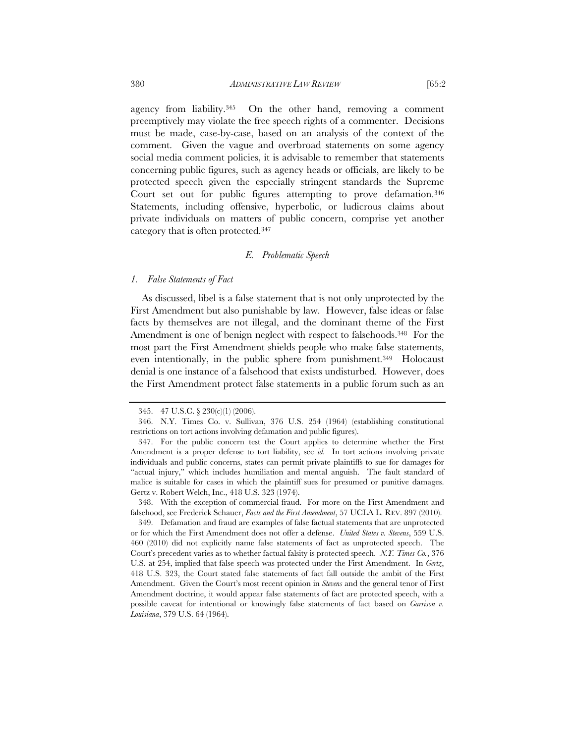agency from liability.345 On the other hand, removing a comment preemptively may violate the free speech rights of a commenter. Decisions must be made, case-by-case, based on an analysis of the context of the comment. Given the vague and overbroad statements on some agency social media comment policies, it is advisable to remember that statements concerning public figures, such as agency heads or officials, are likely to be protected speech given the especially stringent standards the Supreme Court set out for public figures attempting to prove defamation.<sup>346</sup> Statements, including offensive, hyperbolic, or ludicrous claims about private individuals on matters of public concern, comprise yet another category that is often protected.347

### *E. Problematic Speech*

### *1. False Statements of Fact*

As discussed, libel is a false statement that is not only unprotected by the First Amendment but also punishable by law. However, false ideas or false facts by themselves are not illegal, and the dominant theme of the First Amendment is one of benign neglect with respect to falsehoods.<sup>348</sup> For the most part the First Amendment shields people who make false statements, even intentionally, in the public sphere from punishment.<sup>349</sup> Holocaust denial is one instance of a falsehood that exists undisturbed. However, does the First Amendment protect false statements in a public forum such as an

 348. With the exception of commercial fraud. For more on the First Amendment and falsehood, see Frederick Schauer, *Facts and the First Amendment*, 57 UCLA L. REV. 897 (2010).

 <sup>345. 47</sup> U.S.C. § 230(c)(1) (2006).

 <sup>346.</sup> N.Y. Times Co. v. Sullivan, 376 U.S. 254 (1964) (establishing constitutional restrictions on tort actions involving defamation and public figures).

 <sup>347.</sup> For the public concern test the Court applies to determine whether the First Amendment is a proper defense to tort liability, see *id.* In tort actions involving private individuals and public concerns, states can permit private plaintiffs to sue for damages for "actual injury," which includes humiliation and mental anguish. The fault standard of malice is suitable for cases in which the plaintiff sues for presumed or punitive damages. Gertz v. Robert Welch, Inc., 418 U.S. 323 (1974).

 <sup>349.</sup> Defamation and fraud are examples of false factual statements that are unprotected or for which the First Amendment does not offer a defense. *United States v. Stevens*, 559 U.S. 460 (2010) did not explicitly name false statements of fact as unprotected speech. The Court's precedent varies as to whether factual falsity is protected speech. *N.Y. Times Co.*, 376 U.S. at 254, implied that false speech was protected under the First Amendment. In *Gertz*, 418 U.S. 323, the Court stated false statements of fact fall outside the ambit of the First Amendment. Given the Court's most recent opinion in *Stevens* and the general tenor of First Amendment doctrine, it would appear false statements of fact are protected speech, with a possible caveat for intentional or knowingly false statements of fact based on *Garrison v. Louisiana*, 379 U.S. 64 (1964).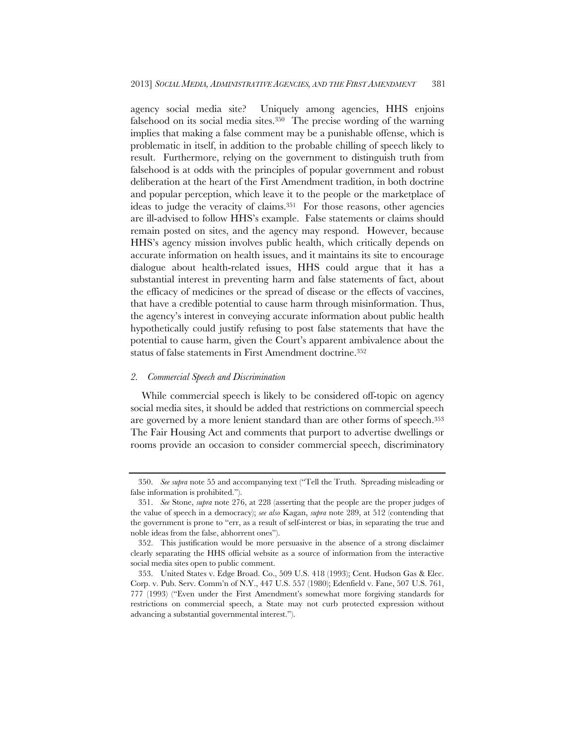agency social media site? Uniquely among agencies, HHS enjoins falsehood on its social media sites.350 The precise wording of the warning implies that making a false comment may be a punishable offense, which is problematic in itself, in addition to the probable chilling of speech likely to result. Furthermore, relying on the government to distinguish truth from falsehood is at odds with the principles of popular government and robust deliberation at the heart of the First Amendment tradition, in both doctrine and popular perception, which leave it to the people or the marketplace of ideas to judge the veracity of claims.<sup>351</sup> For those reasons, other agencies are ill-advised to follow HHS's example. False statements or claims should remain posted on sites, and the agency may respond. However, because HHS's agency mission involves public health, which critically depends on accurate information on health issues, and it maintains its site to encourage dialogue about health-related issues, HHS could argue that it has a substantial interest in preventing harm and false statements of fact, about the efficacy of medicines or the spread of disease or the effects of vaccines, that have a credible potential to cause harm through misinformation. Thus, the agency's interest in conveying accurate information about public health hypothetically could justify refusing to post false statements that have the potential to cause harm, given the Court's apparent ambivalence about the status of false statements in First Amendment doctrine.352

### *2. Commercial Speech and Discrimination*

While commercial speech is likely to be considered off-topic on agency social media sites, it should be added that restrictions on commercial speech are governed by a more lenient standard than are other forms of speech.353 The Fair Housing Act and comments that purport to advertise dwellings or rooms provide an occasion to consider commercial speech, discriminatory

 <sup>350.</sup> *See supra* note 55 and accompanying text ("Tell the Truth. Spreading misleading or false information is prohibited.").

 <sup>351.</sup> *See* Stone, *supra* note 276, at 228 (asserting that the people are the proper judges of the value of speech in a democracy); *see also* Kagan, *supra* note 289, at 512 (contending that the government is prone to "err, as a result of self-interest or bias, in separating the true and noble ideas from the false, abhorrent ones").

 <sup>352.</sup> This justification would be more persuasive in the absence of a strong disclaimer clearly separating the HHS official website as a source of information from the interactive social media sites open to public comment.

 <sup>353.</sup> United States v. Edge Broad. Co., 509 U.S. 418 (1993); Cent. Hudson Gas & Elec. Corp. v. Pub. Serv. Comm'n of N.Y., 447 U.S. 557 (1980); Edenfield v. Fane, 507 U.S. 761, 777 (1993) ("Even under the First Amendment's somewhat more forgiving standards for restrictions on commercial speech, a State may not curb protected expression without advancing a substantial governmental interest.").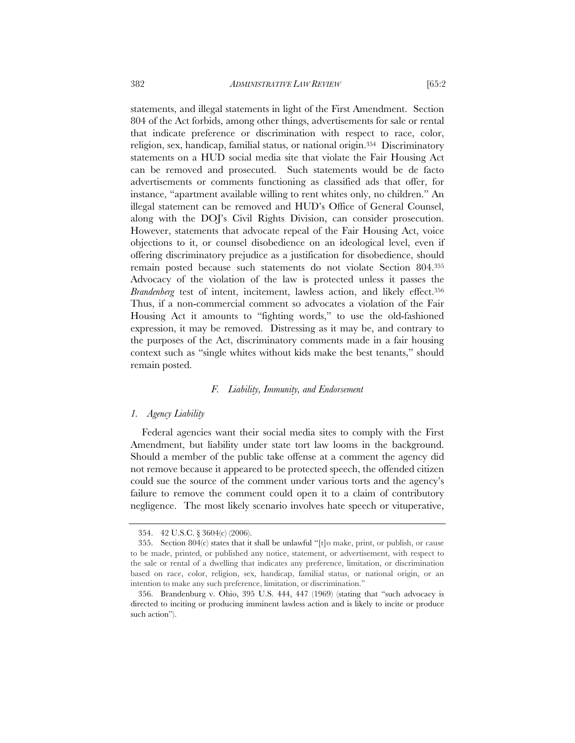statements, and illegal statements in light of the First Amendment. Section 804 of the Act forbids, among other things, advertisements for sale or rental that indicate preference or discrimination with respect to race, color, religion, sex, handicap, familial status, or national origin.354 Discriminatory statements on a HUD social media site that violate the Fair Housing Act can be removed and prosecuted. Such statements would be de facto advertisements or comments functioning as classified ads that offer, for instance, "apartment available willing to rent whites only, no children." An illegal statement can be removed and HUD's Office of General Counsel, along with the DOJ's Civil Rights Division, can consider prosecution. However, statements that advocate repeal of the Fair Housing Act, voice objections to it, or counsel disobedience on an ideological level, even if offering discriminatory prejudice as a justification for disobedience, should remain posted because such statements do not violate Section 804.355 Advocacy of the violation of the law is protected unless it passes the *Brandenberg* test of intent, incitement, lawless action, and likely effect.356 Thus, if a non-commercial comment so advocates a violation of the Fair Housing Act it amounts to "fighting words," to use the old-fashioned expression, it may be removed. Distressing as it may be, and contrary to the purposes of the Act, discriminatory comments made in a fair housing context such as "single whites without kids make the best tenants," should remain posted.

### *F. Liability, Immunity, and Endorsement*

#### *1. Agency Liability*

Federal agencies want their social media sites to comply with the First Amendment, but liability under state tort law looms in the background. Should a member of the public take offense at a comment the agency did not remove because it appeared to be protected speech, the offended citizen could sue the source of the comment under various torts and the agency's failure to remove the comment could open it to a claim of contributory negligence. The most likely scenario involves hate speech or vituperative,

 <sup>354. 42</sup> U.S.C. § 3604(c) (2006).

 <sup>355.</sup> Section 804(c) states that it shall be unlawful "[t]o make, print, or publish, or cause to be made, printed, or published any notice, statement, or advertisement, with respect to the sale or rental of a dwelling that indicates any preference, limitation, or discrimination based on race, color, religion, sex, handicap, familial status, or national origin, or an intention to make any such preference, limitation, or discrimination."

 <sup>356.</sup> Brandenburg v. Ohio, 395 U.S. 444, 447 (1969) (stating that "such advocacy is directed to inciting or producing imminent lawless action and is likely to incite or produce such action").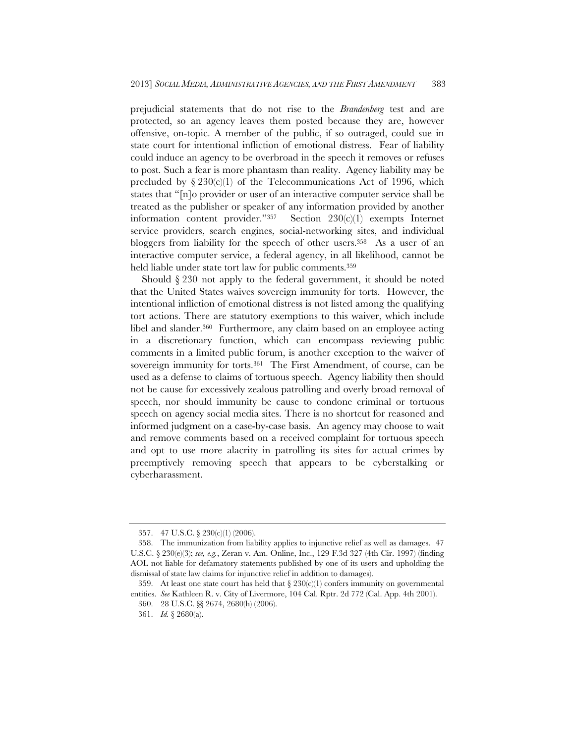prejudicial statements that do not rise to the *Brandenberg* test and are protected, so an agency leaves them posted because they are, however offensive, on-topic. A member of the public, if so outraged, could sue in state court for intentional infliction of emotional distress. Fear of liability could induce an agency to be overbroad in the speech it removes or refuses to post. Such a fear is more phantasm than reality. Agency liability may be precluded by  $\S 230(c)(1)$  of the Telecommunications Act of 1996, which states that "[n]o provider or user of an interactive computer service shall be treated as the publisher or speaker of any information provided by another information content provider."357 Section 230(c)(1) exempts Internet service providers, search engines, social-networking sites, and individual bloggers from liability for the speech of other users.358 As a user of an interactive computer service, a federal agency, in all likelihood, cannot be held liable under state tort law for public comments.359

Should § 230 not apply to the federal government, it should be noted that the United States waives sovereign immunity for torts. However, the intentional infliction of emotional distress is not listed among the qualifying tort actions. There are statutory exemptions to this waiver, which include libel and slander.360 Furthermore, any claim based on an employee acting in a discretionary function, which can encompass reviewing public comments in a limited public forum, is another exception to the waiver of sovereign immunity for torts.<sup>361</sup> The First Amendment, of course, can be used as a defense to claims of tortuous speech. Agency liability then should not be cause for excessively zealous patrolling and overly broad removal of speech, nor should immunity be cause to condone criminal or tortuous speech on agency social media sites. There is no shortcut for reasoned and informed judgment on a case-by-case basis. An agency may choose to wait and remove comments based on a received complaint for tortuous speech and opt to use more alacrity in patrolling its sites for actual crimes by preemptively removing speech that appears to be cyberstalking or cyberharassment.

 <sup>357. 47</sup> U.S.C. § 230(c)(1) (2006).

 <sup>358.</sup> The immunization from liability applies to injunctive relief as well as damages. 47 U.S.C. § 230(e)(3); *see, e.g.*, Zeran v. Am. Online, Inc., 129 F.3d 327 (4th Cir. 1997) (finding AOL not liable for defamatory statements published by one of its users and upholding the dismissal of state law claims for injunctive relief in addition to damages).

<sup>359.</sup> At least one state court has held that  $\S 230(c)(1)$  confers immunity on governmental entities. *See* Kathleen R. v. City of Livermore, 104 Cal. Rptr. 2d 772 (Cal. App. 4th 2001).

 <sup>360. 28</sup> U.S.C. §§ 2674, 2680(h) (2006).

 <sup>361.</sup> *Id.* § 2680(a).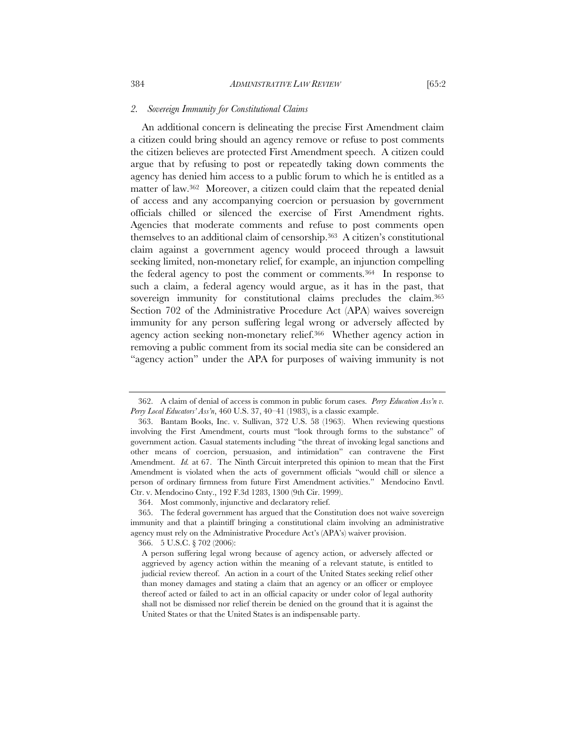An additional concern is delineating the precise First Amendment claim a citizen could bring should an agency remove or refuse to post comments the citizen believes are protected First Amendment speech. A citizen could argue that by refusing to post or repeatedly taking down comments the agency has denied him access to a public forum to which he is entitled as a matter of law.362 Moreover, a citizen could claim that the repeated denial of access and any accompanying coercion or persuasion by government officials chilled or silenced the exercise of First Amendment rights. Agencies that moderate comments and refuse to post comments open themselves to an additional claim of censorship.363 A citizen's constitutional claim against a government agency would proceed through a lawsuit seeking limited, non-monetary relief, for example, an injunction compelling the federal agency to post the comment or comments.364 In response to such a claim, a federal agency would argue, as it has in the past, that sovereign immunity for constitutional claims precludes the claim.<sup>365</sup> Section 702 of the Administrative Procedure Act (APA) waives sovereign immunity for any person suffering legal wrong or adversely affected by agency action seeking non-monetary relief.366 Whether agency action in removing a public comment from its social media site can be considered an "agency action" under the APA for purposes of waiving immunity is not

366. 5 U.S.C. § 702 (2006):

 <sup>362.</sup> A claim of denial of access is common in public forum cases. *Perry Education Ass'n v. Perry Local Educators' Ass'n*, 460 U.S. 37, 40–41 (1983), is a classic example.

 <sup>363.</sup> Bantam Books, Inc. v. Sullivan, 372 U.S. 58 (1963). When reviewing questions involving the First Amendment, courts must "look through forms to the substance" of government action. Casual statements including "the threat of invoking legal sanctions and other means of coercion, persuasion, and intimidation" can contravene the First Amendment. *Id.* at 67. The Ninth Circuit interpreted this opinion to mean that the First Amendment is violated when the acts of government officials "would chill or silence a person of ordinary firmness from future First Amendment activities." Mendocino Envtl. Ctr. v. Mendocino Cnty., 192 F.3d 1283, 1300 (9th Cir. 1999).

 <sup>364.</sup> Most commonly, injunctive and declaratory relief.

 <sup>365.</sup> The federal government has argued that the Constitution does not waive sovereign immunity and that a plaintiff bringing a constitutional claim involving an administrative agency must rely on the Administrative Procedure Act's (APA's) waiver provision.

A person suffering legal wrong because of agency action, or adversely affected or aggrieved by agency action within the meaning of a relevant statute, is entitled to judicial review thereof. An action in a court of the United States seeking relief other than money damages and stating a claim that an agency or an officer or employee thereof acted or failed to act in an official capacity or under color of legal authority shall not be dismissed nor relief therein be denied on the ground that it is against the United States or that the United States is an indispensable party.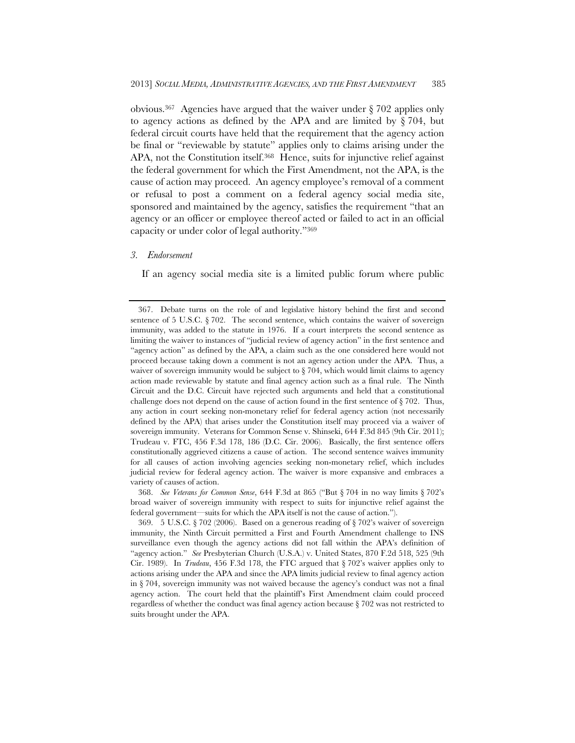obvious.367 Agencies have argued that the waiver under § 702 applies only to agency actions as defined by the APA and are limited by  $\S 704$ , but federal circuit courts have held that the requirement that the agency action be final or "reviewable by statute" applies only to claims arising under the APA, not the Constitution itself.<sup>368</sup> Hence, suits for injunctive relief against the federal government for which the First Amendment, not the APA, is the cause of action may proceed. An agency employee's removal of a comment or refusal to post a comment on a federal agency social media site, sponsored and maintained by the agency, satisfies the requirement "that an agency or an officer or employee thereof acted or failed to act in an official capacity or under color of legal authority."369

## *3. Endorsement*

If an agency social media site is a limited public forum where public

 368. *See Veterans for Common Sense*, 644 F.3d at 865 ("But § 704 in no way limits § 702's broad waiver of sovereign immunity with respect to suits for injunctive relief against the federal government—suits for which the APA itself is not the cause of action.").

 <sup>367.</sup> Debate turns on the role of and legislative history behind the first and second sentence of  $5 \text{ U.S.C. } § 702$ . The second sentence, which contains the waiver of sovereign immunity, was added to the statute in 1976. If a court interprets the second sentence as limiting the waiver to instances of "judicial review of agency action" in the first sentence and "agency action" as defined by the APA, a claim such as the one considered here would not proceed because taking down a comment is not an agency action under the APA. Thus, a waiver of sovereign immunity would be subject to  $\S 704$ , which would limit claims to agency action made reviewable by statute and final agency action such as a final rule. The Ninth Circuit and the D.C. Circuit have rejected such arguments and held that a constitutional challenge does not depend on the cause of action found in the first sentence of § 702. Thus, any action in court seeking non-monetary relief for federal agency action (not necessarily defined by the APA) that arises under the Constitution itself may proceed via a waiver of sovereign immunity. Veterans for Common Sense v. Shinseki, 644 F.3d 845 (9th Cir. 2011); Trudeau v. FTC, 456 F.3d 178, 186 (D.C. Cir. 2006). Basically, the first sentence offers constitutionally aggrieved citizens a cause of action. The second sentence waives immunity for all causes of action involving agencies seeking non-monetary relief, which includes judicial review for federal agency action. The waiver is more expansive and embraces a variety of causes of action.

 <sup>369. 5</sup> U.S.C. § 702 (2006). Based on a generous reading of § 702's waiver of sovereign immunity, the Ninth Circuit permitted a First and Fourth Amendment challenge to INS surveillance even though the agency actions did not fall within the APA's definition of "agency action." *See* Presbyterian Church (U.S.A.) v. United States, 870 F.2d 518, 525 (9th Cir. 1989). In *Trudeau*, 456 F.3d 178, the FTC argued that § 702's waiver applies only to actions arising under the APA and since the APA limits judicial review to final agency action in § 704, sovereign immunity was not waived because the agency's conduct was not a final agency action. The court held that the plaintiff's First Amendment claim could proceed regardless of whether the conduct was final agency action because  $\S 702$  was not restricted to suits brought under the APA.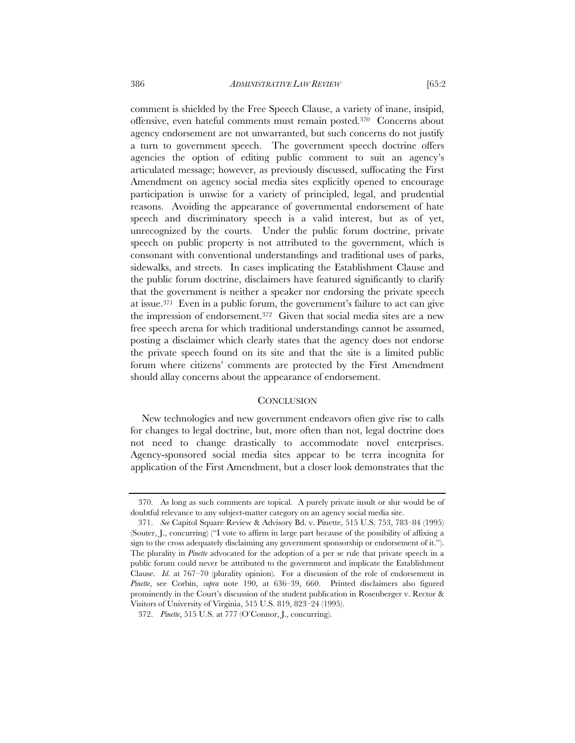comment is shielded by the Free Speech Clause, a variety of inane, insipid, offensive, even hateful comments must remain posted.370 Concerns about agency endorsement are not unwarranted, but such concerns do not justify a turn to government speech. The government speech doctrine offers agencies the option of editing public comment to suit an agency's articulated message; however, as previously discussed, suffocating the First Amendment on agency social media sites explicitly opened to encourage participation is unwise for a variety of principled, legal, and prudential reasons. Avoiding the appearance of governmental endorsement of hate speech and discriminatory speech is a valid interest, but as of yet, unrecognized by the courts. Under the public forum doctrine, private speech on public property is not attributed to the government, which is consonant with conventional understandings and traditional uses of parks, sidewalks, and streets. In cases implicating the Establishment Clause and the public forum doctrine, disclaimers have featured significantly to clarify that the government is neither a speaker nor endorsing the private speech at issue.371 Even in a public forum, the government's failure to act can give the impression of endorsement.372 Given that social media sites are a new free speech arena for which traditional understandings cannot be assumed, posting a disclaimer which clearly states that the agency does not endorse the private speech found on its site and that the site is a limited public forum where citizens' comments are protected by the First Amendment should allay concerns about the appearance of endorsement.

#### **CONCLUSION**

New technologies and new government endeavors often give rise to calls for changes to legal doctrine, but, more often than not, legal doctrine does not need to change drastically to accommodate novel enterprises. Agency-sponsored social media sites appear to be terra incognita for application of the First Amendment, but a closer look demonstrates that the

 <sup>370.</sup> As long as such comments are topical. A purely private insult or slur would be of doubtful relevance to any subject-matter category on an agency social media site.

 <sup>371.</sup> *See* Capitol Square Review & Advisory Bd. v. Pinette, 515 U.S. 753, 783–84 (1995) (Souter, J., concurring) ("I vote to affirm in large part because of the possibility of affixing a sign to the cross adequately disclaiming any government sponsorship or endorsement of it."). The plurality in *Pinette* advocated for the adoption of a per se rule that private speech in a public forum could never be attributed to the government and implicate the Establishment Clause. *Id.* at 767–70 (plurality opinion). For a discussion of the role of endorsement in *Pinette*, see Corbin, *supra* note 190, at 636–39, 660. Printed disclaimers also figured prominently in the Court's discussion of the student publication in Rosenberger v. Rector & Visitors of University of Virginia, 515 U.S. 819, 823–24 (1995).

 <sup>372.</sup> *Pinette*, 515 U.S. at 777 (O'Connor, J., concurring).